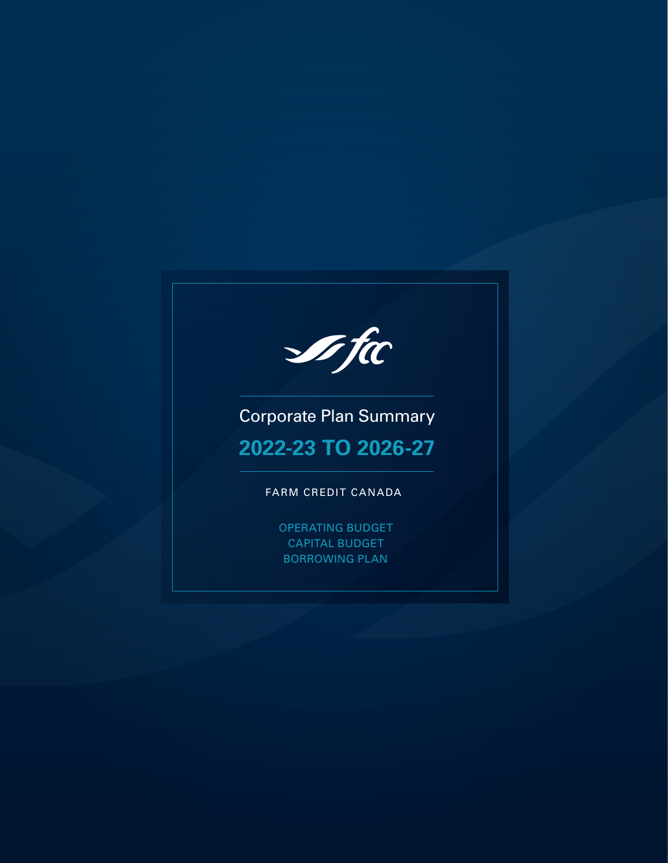**I**fic

Corporate Plan Summary

# **2022-23 TO 2026-27**

## FARM CREDIT CANADA

OPERATING BUDGET CAPITAL BUDGET BORROWING PLAN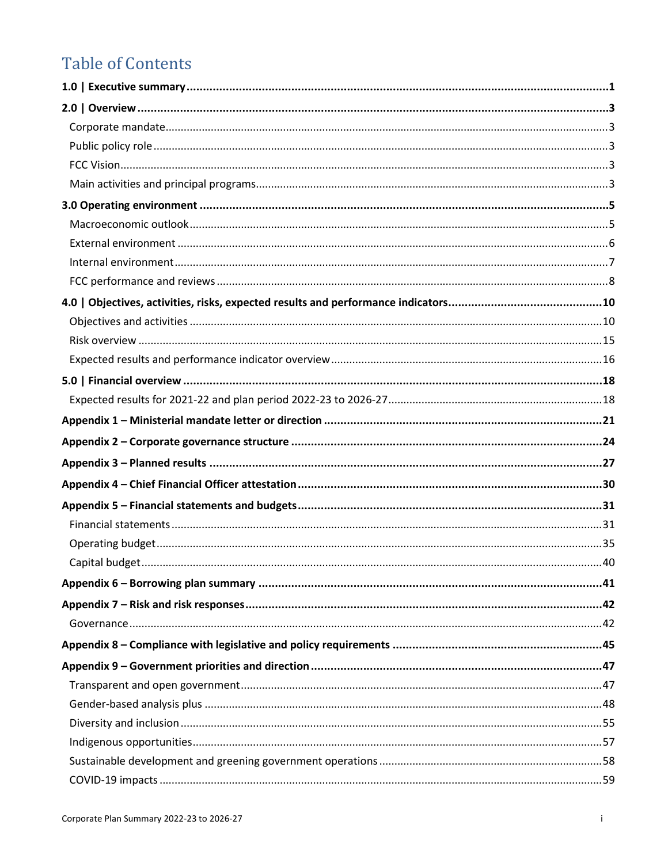# **Table of Contents**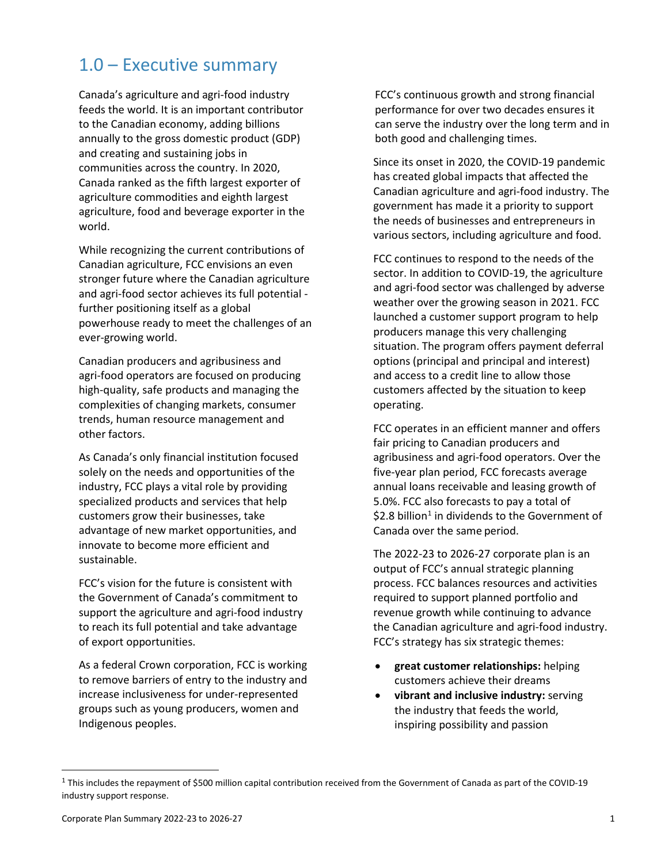## 1.0 – Executive summary

Canada's agriculture and agri-food industry feeds the world. It is an important contributor to the Canadian economy, adding billions annually to the gross domestic product (GDP) and creating and sustaining jobs in communities across the country. In 2020, Canada ranked as the fifth largest exporter of agriculture commodities and eighth largest agriculture, food and beverage exporter in the world.

While recognizing the current contributions of Canadian agriculture, FCC envisions an even stronger future where the Canadian agriculture and agri-food sector achieves its full potential further positioning itself as a global powerhouse ready to meet the challenges of an ever-growing world.

Canadian producers and agribusiness and agri-food operators are focused on producing high-quality, safe products and managing the complexities of changing markets, consumer trends, human resource management and other factors.

As Canada's only financial institution focused solely on the needs and opportunities of the industry, FCC plays a vital role by providing specialized products and services that help customers grow their businesses, take advantage of new market opportunities, and innovate to become more efficient and sustainable.

FCC's vision for the future is consistent with the Government of Canada's commitment to support the agriculture and agri-food industry to reach its full potential and take advantage of export opportunities.

As a federal Crown corporation, FCC is working to remove barriers of entry to the industry and increase inclusiveness for under-represented groups such as young producers, women and Indigenous peoples.

FCC's continuous growth and strong financial performance for over two decades ensures it can serve the industry over the long term and in both good and challenging times.

Since its onset in 2020, the COVID-19 pandemic has created global impacts that affected the Canadian agriculture and agri-food industry. The government has made it a priority to support the needs of businesses and entrepreneurs in various sectors, including agriculture and food.

FCC continues to respond to the needs of the sector. In addition to COVID-19, the agriculture and agri-food sector was challenged by adverse weather over the growing season in 2021. FCC launched a customer support program to help producers manage this very challenging situation. The program offers payment deferral options (principal and principal and interest) and access to a credit line to allow those customers affected by the situation to keep operating.

FCC operates in an efficient manner and offers fair pricing to Canadian producers and agribusiness and agri-food operators. Over the five-year plan period, FCC forecasts average annual loans receivable and leasing growth of 5.0%. FCC also forecasts to pay a total of \$2.8 billion<sup>[1](#page-2-0)</sup> in dividends to the Government of Canada over the same period.

The 2022-23 to 2026-27 corporate plan is an output of FCC's annual strategic planning process. FCC balances resources and activities required to support planned portfolio and revenue growth while continuing to advance the Canadian agriculture and agri-food industry. FCC's strategy has six strategic themes:

- **great customer relationships:** helping customers achieve their dreams
- **vibrant and inclusive industry:** serving the industry that feeds the world, inspiring possibility and passion

<span id="page-2-0"></span> $1$  This includes the repayment of \$500 million capital contribution received from the Government of Canada as part of the COVID-19 industry support response.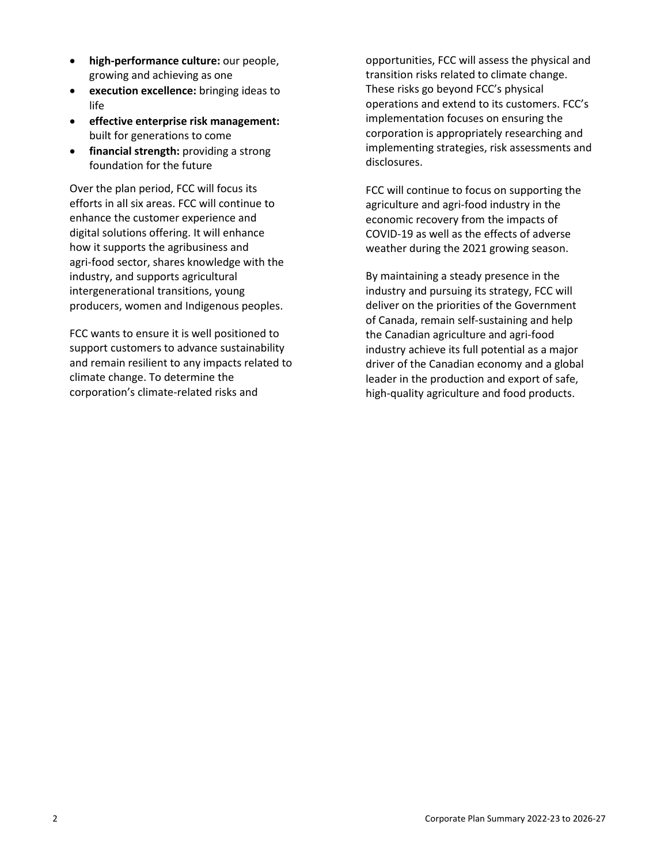- **high-performance culture:** our people, growing and achieving as one
- **execution excellence:** bringing ideas to life
- **effective enterprise risk management:**  built for generations to come
- **financial strength:** providing a strong foundation for the future

Over the plan period, FCC will focus its efforts in all six areas. FCC will continue to enhance the customer experience and digital solutions offering. It will enhance how it supports the agribusiness and agri-food sector, shares knowledge with the industry, and supports agricultural intergenerational transitions, young producers, women and Indigenous peoples.

FCC wants to ensure it is well positioned to support customers to advance sustainability and remain resilient to any impacts related to climate change. To determine the corporation's climate-related risks and

opportunities, FCC will assess the physical and transition risks related to climate change. These risks go beyond FCC's physical operations and extend to its customers. FCC's implementation focuses on ensuring the corporation is appropriately researching and implementing strategies, risk assessments and disclosures.

FCC will continue to focus on supporting the agriculture and agri-food industry in the economic recovery from the impacts of COVID-19 as well as the effects of adverse weather during the 2021 growing season.

By maintaining a steady presence in the industry and pursuing its strategy, FCC will deliver on the priorities of the Government of Canada, remain self-sustaining and help the Canadian agriculture and agri-food industry achieve its full potential as a major driver of the Canadian economy and a global leader in the production and export of safe, high-quality agriculture and food products.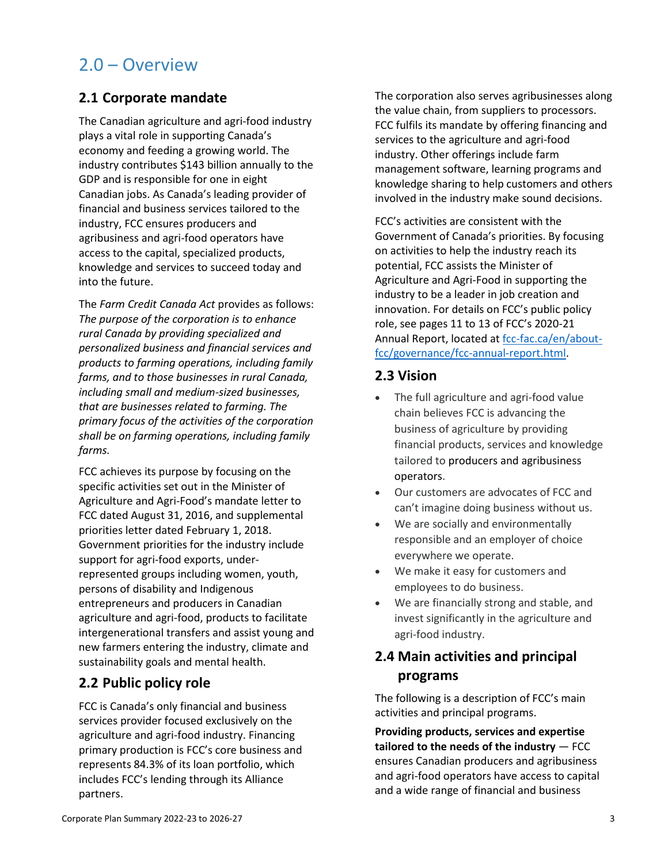## 2.0 – Overview

## **2.1 Corporate mandate**

The Canadian agriculture and agri-food industry plays a vital role in supporting Canada's economy and feeding a growing world. The industry contributes \$143 billion annually to the GDP and is responsible for one in eight Canadian jobs. As Canada's leading provider of financial and business services tailored to the industry, FCC ensures producers and agribusiness and agri-food operators have access to the capital, specialized products, knowledge and services to succeed today and into the future.

The *Farm Credit Canada Act* provides as follows: *The purpose of the corporation is to enhance rural Canada by providing specialized and personalized business and financial services and products to farming operations, including family farms, and to those businesses in rural Canada, including small and medium-sized businesses, that are businesses related to farming. The primary focus of the activities of the corporation shall be on farming operations, including family farms.*

FCC achieves its purpose by focusing on the specific activities set out in the Minister of Agriculture and Agri-Food's mandate letter to FCC dated August 31, 2016, and supplemental priorities letter dated February 1, 2018. Government priorities for the industry include support for agri-food exports, underrepresented groups including women, youth, persons of disability and Indigenous entrepreneurs and producers in Canadian agriculture and agri-food, products to facilitate intergenerational transfers and assist young and new farmers entering the industry, climate and sustainability goals and mental health.

## **2.2 Public policy role**

FCC is Canada's only financial and business services provider focused exclusively on the agriculture and agri-food industry. Financing primary production is FCC's core business and represents 84.3% of its loan portfolio, which includes FCC's lending through its Alliance partners.

The corporation also serves agribusinesses along the value chain, from suppliers to processors. FCC fulfils its mandate by offering financing and services to the agriculture and agri-food industry. Other offerings include farm management software, learning programs and knowledge sharing to help customers and others involved in the industry make sound decisions.

FCC's activities are consistent with the Government of Canada's priorities. By focusing on activities to help the industry reach its potential, FCC assists the Minister of Agriculture and Agri-Food in supporting the industry to be a leader in job creation and innovation. For details on FCC's public policy role, see pages 11 to 13 of FCC's 2020-21 Annual Report, located a[t fcc-fac.ca/en/about](https://www.fcc-fac.ca/en/about-fcc/fcc-annual-report.html)[fcc/governance/fcc-annual-report.html.](https://www.fcc-fac.ca/en/about-fcc/fcc-annual-report.html)

## **2.3 Vision**

- The full agriculture and agri-food value chain believes FCC is advancing the business of agriculture by providing financial products, services and knowledge tailored to producers and agribusiness operators.
- Our customers are advocates of FCC and can't imagine doing business without us.
- We are socially and environmentally responsible and an employer of choice everywhere we operate.
- We make it easy for customers and employees to do business.
- We are financially strong and stable, and invest significantly in the agriculture and agri-food industry.

## **2.4 Main activities and principal programs**

The following is a description of FCC's main activities and principal programs.

**Providing products, services and expertise tailored to the needs of the industry** — FCC ensures Canadian producers and agribusiness and agri-food operators have access to capital and a wide range of financial and business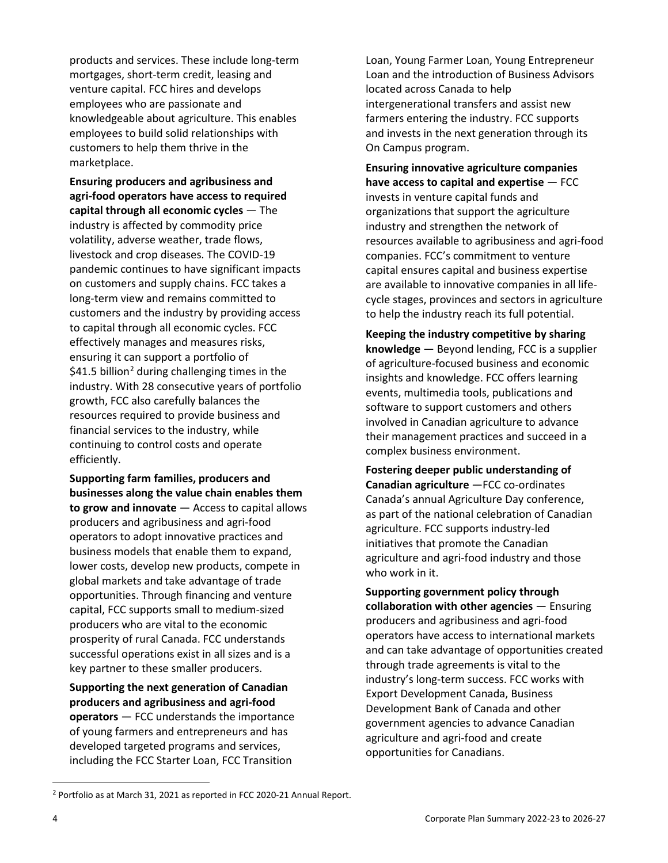products and services. These include long-term mortgages, short-term credit, leasing and venture capital. FCC hires and develops employees who are passionate and knowledgeable about agriculture. This enables employees to build solid relationships with customers to help them thrive in the marketplace.

**Ensuring producers and agribusiness and agri-food operators have access to required capital through all economic cycles** — The industry is affected by commodity price volatility, adverse weather, trade flows, livestock and crop diseases. The COVID-19 pandemic continues to have significant impacts on customers and supply chains. FCC takes a long-term view and remains committed to customers and the industry by providing access to capital through all economic cycles. FCC effectively manages and measures risks, ensuring it can support a portfolio of \$41.5 billion<sup>[2](#page-5-0)</sup> during challenging times in the industry. With 28 consecutive years of portfolio growth, FCC also carefully balances the resources required to provide business and financial services to the industry, while continuing to control costs and operate efficiently.

**Supporting farm families, producers and businesses along the value chain enables them to grow and innovate** — Access to capital allows producers and agribusiness and agri-food operators to adopt innovative practices and business models that enable them to expand, lower costs, develop new products, compete in global markets and take advantage of trade opportunities. Through financing and venture capital, FCC supports small to medium-sized producers who are vital to the economic prosperity of rural Canada. FCC understands successful operations exist in all sizes and is a key partner to these smaller producers.

**Supporting the next generation of Canadian producers and agribusiness and agri-food operators** — FCC understands the importance of young farmers and entrepreneurs and has developed targeted programs and services, including the FCC Starter Loan, FCC Transition

Loan, Young Farmer Loan, Young Entrepreneur Loan and the introduction of Business Advisors located across Canada to help intergenerational transfers and assist new farmers entering the industry. FCC supports and invests in the next generation through its On Campus program.

**Ensuring innovative agriculture companies have access to capital and expertise** — FCC invests in venture capital funds and organizations that support the agriculture industry and strengthen the network of resources available to agribusiness and agri-food companies. FCC's commitment to venture capital ensures capital and business expertise are available to innovative companies in all lifecycle stages, provinces and sectors in agriculture to help the industry reach its full potential.

**Keeping the industry competitive by sharing knowledge** — Beyond lending, FCC is a supplier of agriculture-focused business and economic insights and knowledge. FCC offers learning events, multimedia tools, publications and software to support customers and others involved in Canadian agriculture to advance their management practices and succeed in a complex business environment.

**Fostering deeper public understanding of Canadian agriculture** —FCC co-ordinates Canada's annual Agriculture Day conference, as part of the national celebration of Canadian agriculture. FCC supports industry-led initiatives that promote the Canadian agriculture and agri-food industry and those who work in it.

**Supporting government policy through collaboration with other agencies** — Ensuring producers and agribusiness and agri-food operators have access to international markets and can take advantage of opportunities created through trade agreements is vital to the industry's long-term success. FCC works with Export Development Canada, Business Development Bank of Canada and other government agencies to advance Canadian agriculture and agri-food and create opportunities for Canadians.

<span id="page-5-0"></span><sup>2</sup> Portfolio as at March 31, 2021 as reported in FCC 2020-21 Annual Report.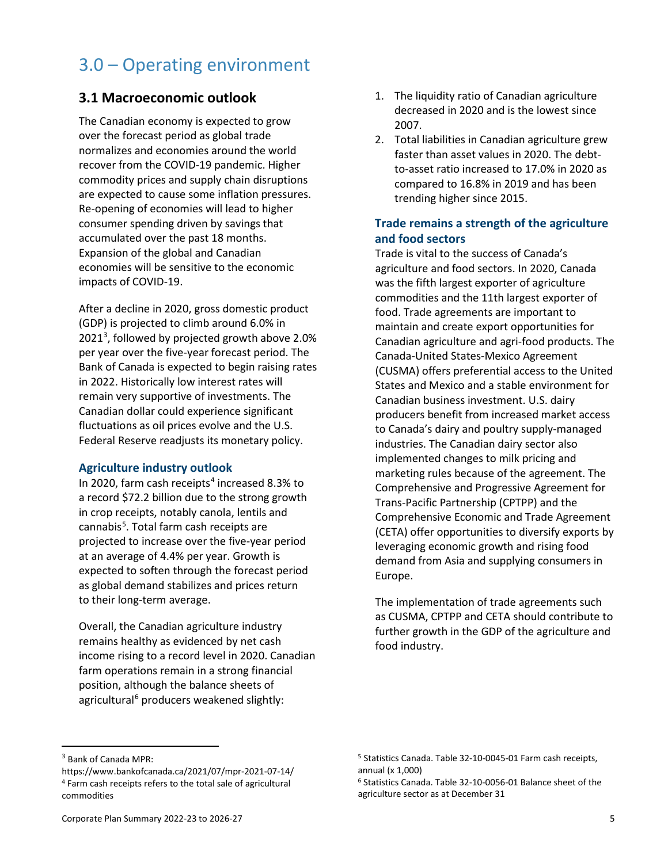## 3.0 – Operating environment

## **3.1 Macroeconomic outlook**

The Canadian economy is expected to grow over the forecast period as global trade normalizes and economies around the world recover from the COVID-19 pandemic. Higher commodity prices and supply chain disruptions are expected to cause some inflation pressures. Re-opening of economies will lead to higher consumer spending driven by savings that accumulated over the past 18 months. Expansion of the global and Canadian economies will be sensitive to the economic impacts of COVID-19.

After a decline in 2020, gross domestic product (GDP) is projected to climb around 6.0% in 2021[3](#page-6-0) , followed by projected growth above 2.0% per year over the five-year forecast period. The Bank of Canada is expected to begin raising rates in 2022. Historically low interest rates will remain very supportive of investments. The Canadian dollar could experience significant fluctuations as oil prices evolve and the U.S. Federal Reserve readjusts its monetary policy.

## **Agriculture industry outlook**

In 2020, farm cash receipts<sup>[4](#page-6-1)</sup> increased 8.3% to a record \$72.2 billion due to the strong growth in crop receipts, notably canola, lentils and cannabis<sup>[5](#page-6-0)</sup>. Total farm cash receipts are projected to increase over the five-year period at an average of 4.4% per year. Growth is expected to soften through the forecast period as global demand stabilizes and prices return to their long-term average.

Overall, the Canadian agriculture industry remains healthy as evidenced by net cash income rising to a record level in 2020. Canadian farm operations remain in a strong financial position, although the balance sheets of agricultural<sup>[6](#page-6-2)</sup> producers weakened slightly:

- 1. The liquidity ratio of Canadian agriculture decreased in 2020 and is the lowest since 2007.
- 2. Total liabilities in Canadian agriculture grew faster than asset values in 2020. The debtto-asset ratio increased to 17.0% in 2020 as compared to 16.8% in 2019 and has been trending higher since 2015.

## **Trade remains a strength of the agriculture and food sectors**

Trade is vital to the success of Canada's agriculture and food sectors. In 2020, Canada was the fifth largest exporter of agriculture commodities and the 11th largest exporter of food. Trade agreements are important to maintain and create export opportunities for Canadian agriculture and agri-food products. The Canada-United States-Mexico Agreement (CUSMA) offers preferential access to the United States and Mexico and a stable environment for Canadian business investment. U.S. dairy producers benefit from increased market access to Canada's dairy and poultry supply-managed industries. The Canadian dairy sector also implemented changes to milk pricing and marketing rules because of the agreement. The Comprehensive and Progressive Agreement for Trans-Pacific Partnership (CPTPP) and the Comprehensive Economic and Trade Agreement (CETA) offer opportunities to diversify exports by leveraging economic growth and rising food demand from Asia and supplying consumers in Europe.

The implementation of trade agreements such as CUSMA, CPTPP and CETA should contribute to further growth in the GDP of the agriculture and food industry.

<span id="page-6-0"></span><sup>3</sup> Bank of Canada MPR:

<span id="page-6-2"></span><span id="page-6-1"></span>https://www.bankofcanada.ca/2021/07/mpr-2021-07-14/ <sup>4</sup> Farm cash receipts refers to the total sale of agricultural commodities

<sup>5</sup> Statistics Canada. Table 32-10-0045-01 Farm cash receipts, annual (x 1,000)

<sup>6</sup> Statistics Canada. Table 32-10-0056-01 Balance sheet of the agriculture sector as at December 31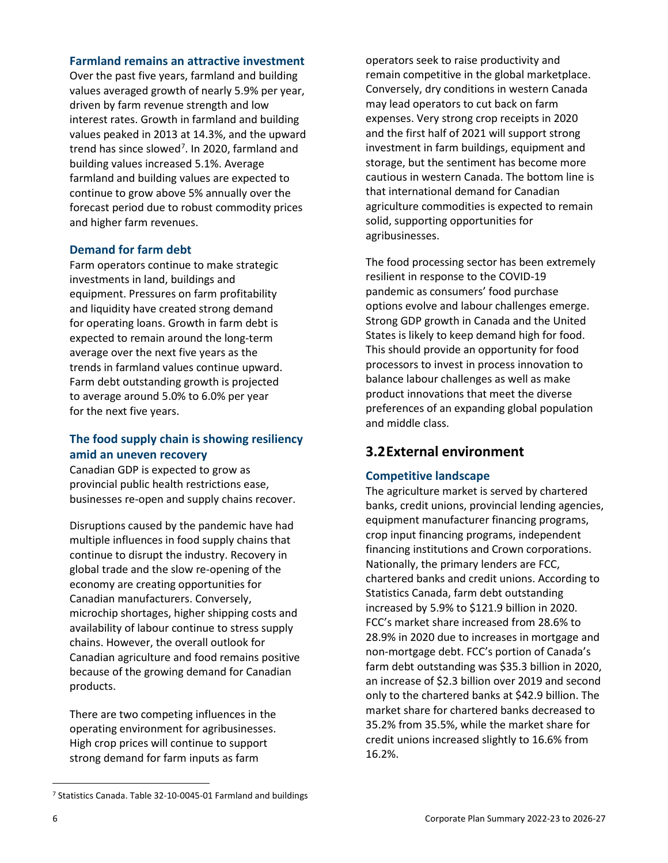#### **Farmland remains an attractive investment**

Over the past five years, farmland and building values averaged growth of nearly 5.9% per year, driven by farm revenue strength and low interest rates. Growth in farmland and building values peaked in 2013 at 14.3%, and the upward trend has since slowed<sup>[7](#page-7-0)</sup>. In 2020, farmland and building values increased 5.1%. Average farmland and building values are expected to continue to grow above 5% annually over the forecast period due to robust commodity prices and higher farm revenues.

### **Demand for farm debt**

Farm operators continue to make strategic investments in land, buildings and equipment. Pressures on farm profitability and liquidity have created strong demand for operating loans. Growth in farm debt is expected to remain around the long-term average over the next five years as the trends in farmland values continue upward. Farm debt outstanding growth is projected to average around 5.0% to 6.0% per year for the next five years.

## **The food supply chain is showing resiliency amid an uneven recovery**

Canadian GDP is expected to grow as provincial public health restrictions ease, businesses re-open and supply chains recover.

Disruptions caused by the pandemic have had multiple influences in food supply chains that continue to disrupt the industry. Recovery in global trade and the slow re-opening of the economy are creating opportunities for Canadian manufacturers. Conversely, microchip shortages, higher shipping costs and availability of labour continue to stress supply chains. However, the overall outlook for Canadian agriculture and food remains positive because of the growing demand for Canadian products.

There are two competing influences in the operating environment for agribusinesses. High crop prices will continue to support strong demand for farm inputs as farm

operators seek to raise productivity and remain competitive in the global marketplace. Conversely, dry conditions in western Canada may lead operators to cut back on farm expenses. Very strong crop receipts in 2020 and the first half of 2021 will support strong investment in farm buildings, equipment and storage, but the sentiment has become more cautious in western Canada. The bottom line is that international demand for Canadian agriculture commodities is expected to remain solid, supporting opportunities for agribusinesses.

The food processing sector has been extremely resilient in response to the COVID-19 pandemic as consumers' food purchase options evolve and labour challenges emerge. Strong GDP growth in Canada and the United States is likely to keep demand high for food. This should provide an opportunity for food processors to invest in process innovation to balance labour challenges as well as make product innovations that meet the diverse preferences of an expanding global population and middle class.

## **3.2External environment**

## **Competitive landscape**

The agriculture market is served by chartered banks, credit unions, provincial lending agencies, equipment manufacturer financing programs, crop input financing programs, independent financing institutions and Crown corporations. Nationally, the primary lenders are FCC, chartered banks and credit unions. According to Statistics Canada, farm debt outstanding increased by 5.9% to \$121.9 billion in 2020. FCC's market share increased from 28.6% to 28.9% in 2020 due to increases in mortgage and non-mortgage debt. FCC's portion of Canada's farm debt outstanding was \$35.3 billion in 2020, an increase of \$2.3 billion over 2019 and second only to the chartered banks at \$42.9 billion. The market share for chartered banks decreased to 35.2% from 35.5%, while the market share for credit unions increased slightly to 16.6% from 16.2%.

<span id="page-7-0"></span><sup>7</sup> Statistics Canada. Table 32-10-0045-01 Farmland and buildings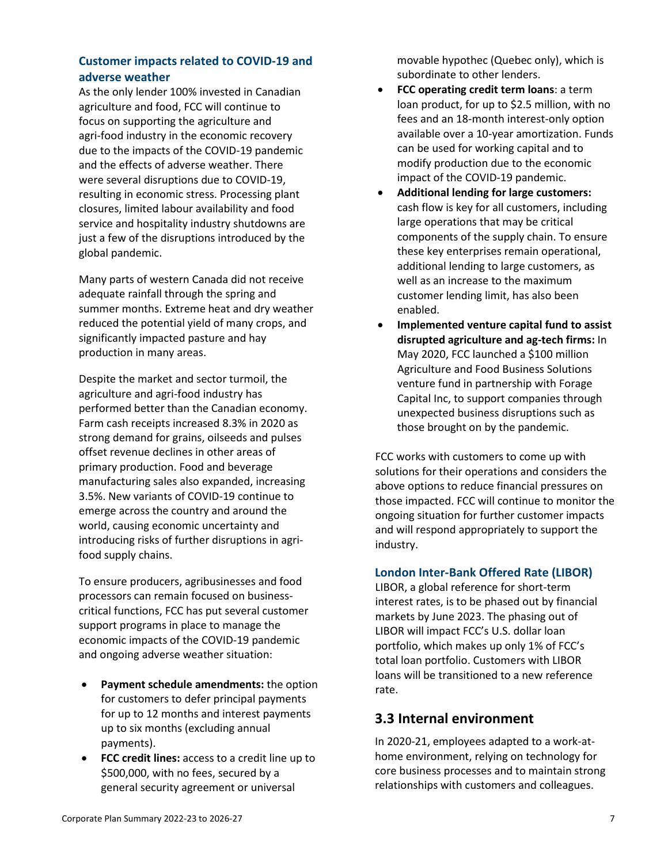## **Customer impacts related to COVID-19 and adverse weather**

As the only lender 100% invested in Canadian agriculture and food, FCC will continue to focus on supporting the agriculture and agri-food industry in the economic recovery due to the impacts of the COVID-19 pandemic and the effects of adverse weather. There were several disruptions due to COVID-19, resulting in economic stress. Processing plant closures, limited labour availability and food service and hospitality industry shutdowns are just a few of the disruptions introduced by the global pandemic.

Many parts of western Canada did not receive adequate rainfall through the spring and summer months. Extreme heat and dry weather reduced the potential yield of many crops, and significantly impacted pasture and hay production in many areas.

Despite the market and sector turmoil, the agriculture and agri-food industry has performed better than the Canadian economy. Farm cash receipts increased 8.3% in 2020 as strong demand for grains, oilseeds and pulses offset revenue declines in other areas of primary production. Food and beverage manufacturing sales also expanded, increasing 3.5%. New variants of COVID-19 continue to emerge across the country and around the world, causing economic uncertainty and introducing risks of further disruptions in agrifood supply chains.

To ensure producers, agribusinesses and food processors can remain focused on businesscritical functions, FCC has put several customer support programs in place to manage the economic impacts of the COVID-19 pandemic and ongoing adverse weather situation:

- **Payment schedule amendments:** the option for customers to defer principal payments for up to 12 months and interest payments up to six months (excluding annual payments).
- **FCC credit lines:** access to a credit line up to \$500,000, with no fees, secured by a general security agreement or universal

movable hypothec (Quebec only), which is subordinate to other lenders.

- **FCC operating credit term loans: a term** loan product, for up to \$2.5 million, with no fees and an 18-month interest-only option available over a 10-year amortization. Funds can be used for working capital and to modify production due to the economic impact of the COVID-19 pandemic.
- **Additional lending for large customers:**  cash flow is key for all customers, including large operations that may be critical components of the supply chain. To ensure these key enterprises remain operational, additional lending to large customers, as well as an increase to the maximum customer lending limit, has also been enabled.
- **Implemented venture capital fund to assist disrupted agriculture and ag-tech firms:** In May 2020, FCC launched a \$100 million Agriculture and Food Business Solutions venture fund in partnership with Forage Capital Inc, to support companies through unexpected business disruptions such as those brought on by the pandemic.

FCC works with customers to come up with solutions for their operations and considers the above options to reduce financial pressures on those impacted. FCC will continue to monitor the ongoing situation for further customer impacts and will respond appropriately to support the industry.

## **London Inter-Bank Offered Rate (LIBOR)**

LIBOR, a global reference for short-term interest rates, is to be phased out by financial markets by June 2023. The phasing out of LIBOR will impact FCC's U.S. dollar loan portfolio, which makes up only 1% of FCC's total loan portfolio. Customers with LIBOR loans will be transitioned to a new reference rate.

## **3.3 Internal environment**

In 2020-21, employees adapted to a work-athome environment, relying on technology for core business processes and to maintain strong relationships with customers and colleagues.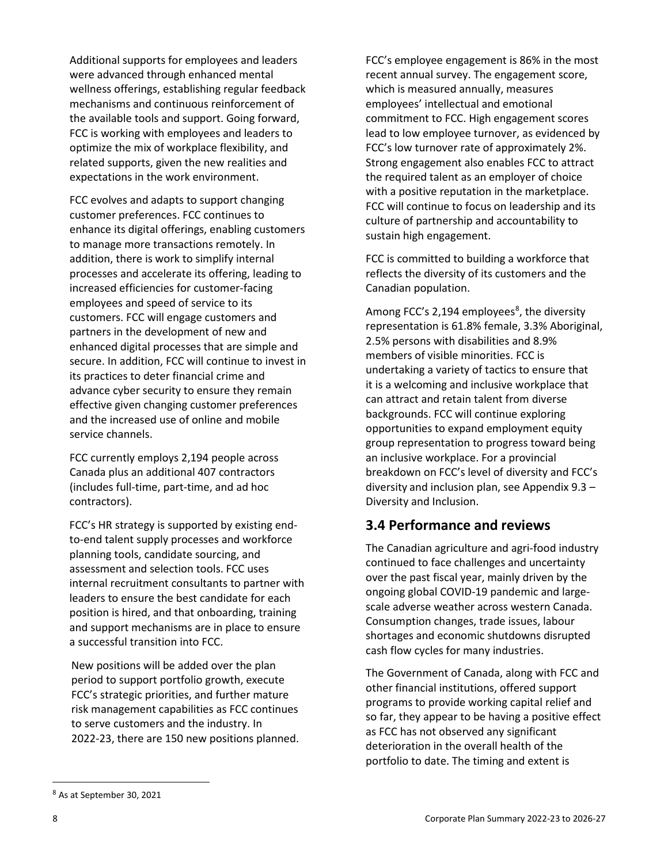Additional supports for employees and leaders were advanced through enhanced mental wellness offerings, establishing regular feedback mechanisms and continuous reinforcement of the available tools and support. Going forward, FCC is working with employees and leaders to optimize the mix of workplace flexibility, and related supports, given the new realities and expectations in the work environment.

FCC evolves and adapts to support changing customer preferences. FCC continues to enhance its digital offerings, enabling customers to manage more transactions remotely. In addition, there is work to simplify internal processes and accelerate its offering, leading to increased efficiencies for customer-facing employees and speed of service to its customers. FCC will engage customers and partners in the development of new and enhanced digital processes that are simple and secure. In addition, FCC will continue to invest in its practices to deter financial crime and advance cyber security to ensure they remain effective given changing customer preferences and the increased use of online and mobile service channels.

FCC currently employs 2,194 people across Canada plus an additional 407 contractors (includes full-time, part-time, and ad hoc contractors).

FCC's HR strategy is supported by existing endto-end talent supply processes and workforce planning tools, candidate sourcing, and assessment and selection tools. FCC uses internal recruitment consultants to partner with leaders to ensure the best candidate for each position is hired, and that onboarding, training and support mechanisms are in place to ensure a successful transition into FCC.

New positions will be added over the plan period to support portfolio growth, execute FCC's strategic priorities, and further mature risk management capabilities as FCC continues to serve customers and the industry. In 2022-23, there are 150 new positions planned.

FCC's employee engagement is 86% in the most recent annual survey. The engagement score, which is measured annually, measures employees' intellectual and emotional commitment to FCC. High engagement scores lead to low employee turnover, as evidenced by FCC's low turnover rate of approximately 2%. Strong engagement also enables FCC to attract the required talent as an employer of choice with a positive reputation in the marketplace. FCC will continue to focus on leadership and its culture of partnership and accountability to sustain high engagement.

FCC is committed to building a workforce that reflects the diversity of its customers and the Canadian population.

Among FCC's 2,194 employees<sup>[8](#page-9-0)</sup>, the diversity representation is 61.8% female, 3.3% Aboriginal, 2.5% persons with disabilities and 8.9% members of visible minorities. FCC is undertaking a variety of tactics to ensure that it is a welcoming and inclusive workplace that can attract and retain talent from diverse backgrounds. FCC will continue exploring opportunities to expand employment equity group representation to progress toward being an inclusive workplace. For a provincial breakdown on FCC's level of diversity and FCC's diversity and inclusion plan, see Appendix 9.3 – Diversity and Inclusion.

## **3.4 Performance and reviews**

The Canadian agriculture and agri-food industry continued to face challenges and uncertainty over the past fiscal year, mainly driven by the ongoing global COVID-19 pandemic and largescale adverse weather across western Canada. Consumption changes, trade issues, labour shortages and economic shutdowns disrupted cash flow cycles for many industries.

The Government of Canada, along with FCC and other financial institutions, offered support programs to provide working capital relief and so far, they appear to be having a positive effect as FCC has not observed any significant deterioration in the overall health of the portfolio to date. The timing and extent is

<span id="page-9-0"></span><sup>8</sup> As at September 30, 2021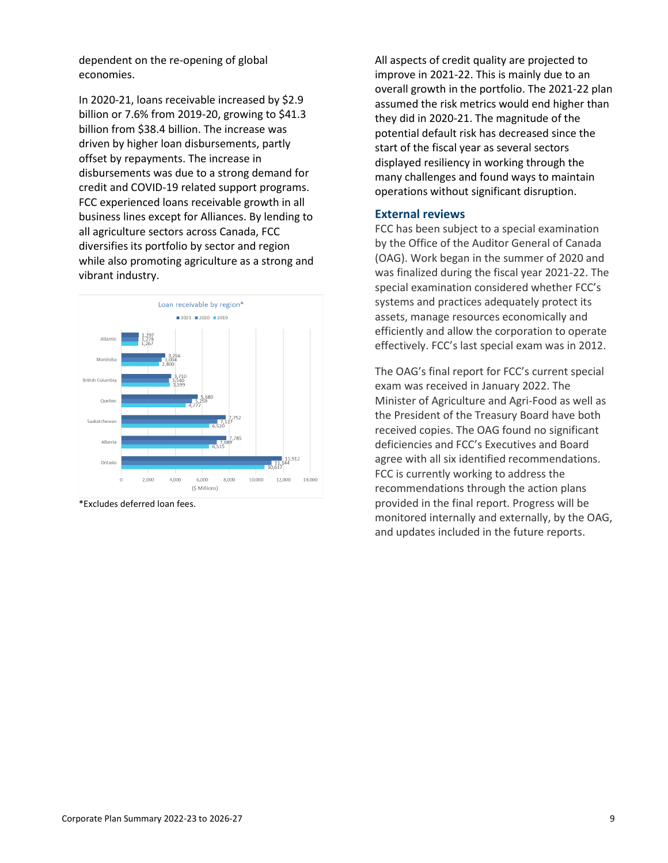dependent on the re-opening of global economies.

In 2020-21, loans receivable increased by \$2.9 billion or 7.6% from 2019-20, growing to \$41.3 billion from \$38.4 billion. The increase was driven by higher loan disbursements, partly offset by repayments. The increase in disbursements was due to a strong demand for credit and COVID-19 related support programs. FCC experienced loans receivable growth in all business lines except for Alliances. By lending to all agriculture sectors across Canada, FCC diversifies its portfolio by sector and region while also promoting agriculture as a strong and vibrant industry.



\*Excludes deferred loan fees.

All aspects of credit quality are projected to improve in 2021-22. This is mainly due to an overall growth in the portfolio. The 2021-22 plan assumed the risk metrics would end higher than they did in 2020-21. The magnitude of the potential default risk has decreased since the start of the fiscal year as several sectors displayed resiliency in working through the many challenges and found ways to maintain operations without significant disruption.

#### **External reviews**

FCC has been subject to a special examination by the Office of the Auditor General of Canada (OAG). Work began in the summer of 2020 and was finalized during the fiscal year 2021-22. The special examination considered whether FCC's systems and practices adequately protect its assets, manage resources economically and efficiently and allow the corporation to operate effectively. FCC's last special exam was in 2012.

The OAG's final report for FCC's current special exam was received in January 2022. The Minister of Agriculture and Agri-Food as well as the President of the Treasury Board have both received copies. The OAG found no significant deficiencies and FCC's Executives and Board agree with all six identified recommendations. FCC is currently working to address the recommendations through the action plans provided in the final report. Progress will be monitored internally and externally, by the OAG, and updates included in the future reports.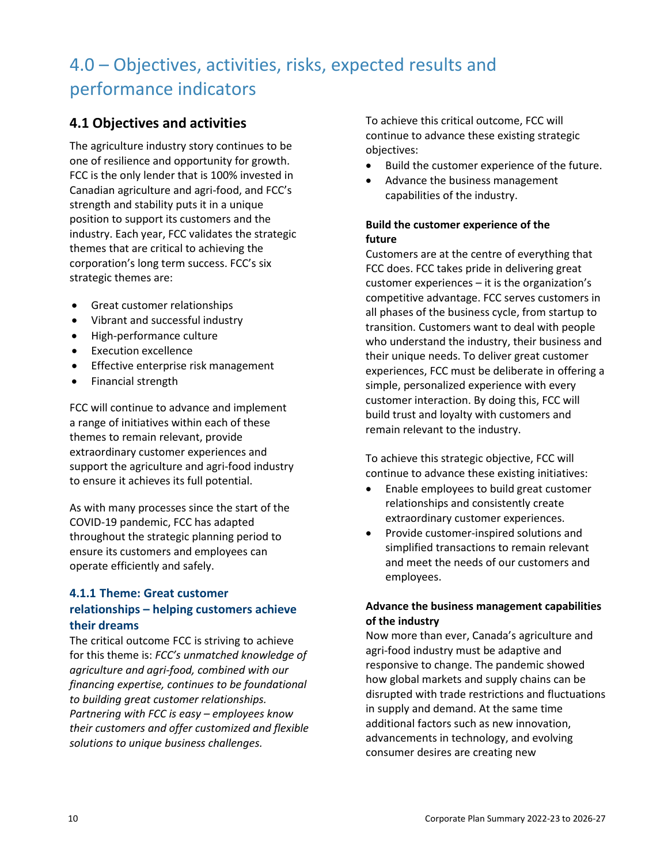# 4.0 – Objectives, activities, risks, expected results and performance indicators

## **4.1 Objectives and activities**

The agriculture industry story continues to be one of resilience and opportunity for growth. FCC is the only lender that is 100% invested in Canadian agriculture and agri-food, and FCC's strength and stability puts it in a unique position to support its customers and the industry. Each year, FCC validates the strategic themes that are critical to achieving the corporation's long term success. FCC's six strategic themes are:

- Great customer relationships
- Vibrant and successful industry
- High-performance culture
- Execution excellence
- Effective enterprise risk management
- Financial strength

FCC will continue to advance and implement a range of initiatives within each of these themes to remain relevant, provide extraordinary customer experiences and support the agriculture and agri-food industry to ensure it achieves its full potential.

As with many processes since the start of the COVID-19 pandemic, FCC has adapted throughout the strategic planning period to ensure its customers and employees can operate efficiently and safely.

## **4.1.1 Theme: Great customer relationships – helping customers achieve their dreams**

The critical outcome FCC is striving to achieve for this theme is: *FCC's unmatched knowledge of agriculture and agri-food, combined with our financing expertise, continues to be foundational to building great customer relationships. Partnering with FCC is easy – employees know their customers and offer customized and flexible solutions to unique business challenges.*

To achieve this critical outcome, FCC will continue to advance these existing strategic objectives:

- Build the customer experience of the future.
- Advance the business management capabilities of the industry.

### **Build the customer experience of the future**

Customers are at the centre of everything that FCC does. FCC takes pride in delivering great customer experiences – it is the organization's competitive advantage. FCC serves customers in all phases of the business cycle, from startup to transition. Customers want to deal with people who understand the industry, their business and their unique needs. To deliver great customer experiences, FCC must be deliberate in offering a simple, personalized experience with every customer interaction. By doing this, FCC will build trust and loyalty with customers and remain relevant to the industry.

To achieve this strategic objective, FCC will continue to advance these existing initiatives:

- Enable employees to build great customer relationships and consistently create extraordinary customer experiences.
- Provide customer-inspired solutions and simplified transactions to remain relevant and meet the needs of our customers and employees.

## **Advance the business management capabilities of the industry**

Now more than ever, Canada's agriculture and agri-food industry must be adaptive and responsive to change. The pandemic showed how global markets and supply chains can be disrupted with trade restrictions and fluctuations in supply and demand. At the same time additional factors such as new innovation, advancements in technology, and evolving consumer desires are creating new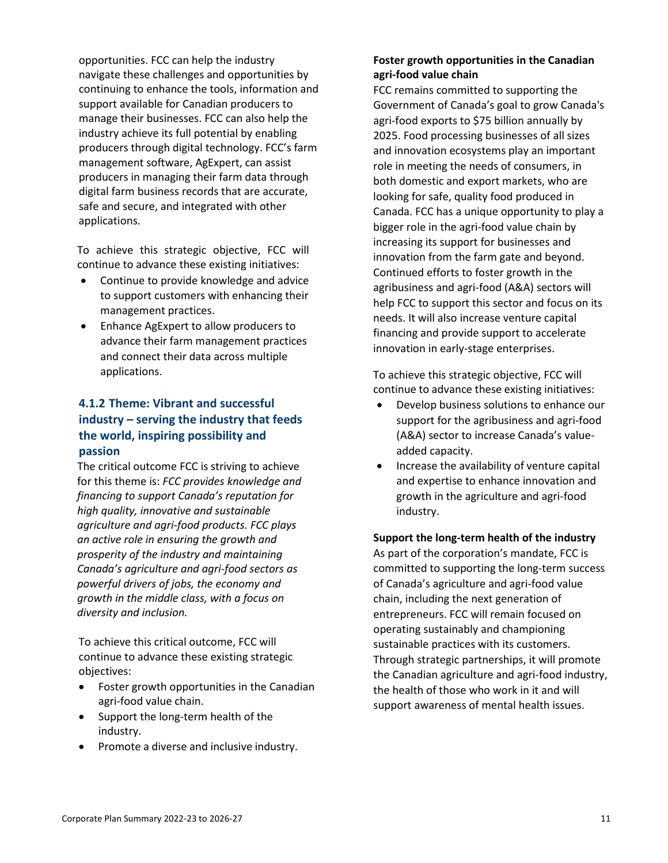opportunities. FCC can help the industry navigate these challenges and opportunities by continuing to enhance the tools, information and support available for Canadian producers to manage their businesses. FCC can also help the industry achieve its full potential by enabling producers through digital technology. FCC's farm management software, AgExpert, can assist producers in managing their farm data through digital farm business records that are accurate, safe and secure, and integrated with other applications.

To achieve this strategic objective, FCC will continue to advance these existing initiatives:

- Continue to provide knowledge and advice to support customers with enhancing their management practices.
- Enhance AgExpert to allow producers to advance their farm management practices and connect their data across multiple applications.

## **4.1.2 Theme: Vibrant and successful industry – serving the industry that feeds the world, inspiring possibility and passion**

The critical outcome FCC is striving to achieve for this theme is: *FCC provides knowledge and financing to support Canada's reputation for high quality, innovative and sustainable agriculture and agri-food products. FCC plays an active role in ensuring the growth and prosperity of the industry and maintaining Canada's agriculture and agri-food sectors as powerful drivers of jobs, the economy and growth in the middle class, with a focus on diversity and inclusion.*

To achieve this critical outcome, FCC will continue to advance these existing strategic objectives:

- Foster growth opportunities in the Canadian agri-food value chain.
- Support the long-term health of the industry.
- Promote a diverse and inclusive industry.

## **Foster growth opportunities in the Canadian agri-food value chain**

FCC remains committed to supporting the Government of Canada's goal to grow Canada's agri-food exports to \$75 billion annually by 2025. Food processing businesses of all sizes and innovation ecosystems play an important role in meeting the needs of consumers, in both domestic and export markets, who are looking for safe, quality food produced in Canada. FCC has a unique opportunity to play a bigger role in the agri-food value chain by increasing its support for businesses and innovation from the farm gate and beyond. Continued efforts to foster growth in the agribusiness and agri-food (A&A) sectors will help FCC to support this sector and focus on its needs. It will also increase venture capital financing and provide support to accelerate innovation in early-stage enterprises.

To achieve this strategic objective, FCC will continue to advance these existing initiatives:

- Develop business solutions to enhance our support for the agribusiness and agri-food (A&A) sector to increase Canada's valueadded capacity.
- Increase the availability of venture capital and expertise to enhance innovation and growth in the agriculture and agri-food industry.

**Support the long-term health of the industry** As part of the corporation's mandate, FCC is committed to supporting the long-term success of Canada's agriculture and agri-food value chain, including the next generation of entrepreneurs. FCC will remain focused on operating sustainably and championing sustainable practices with its customers. Through strategic partnerships, it will promote the Canadian agriculture and agri-food industry, the health of those who work in it and will support awareness of mental health issues.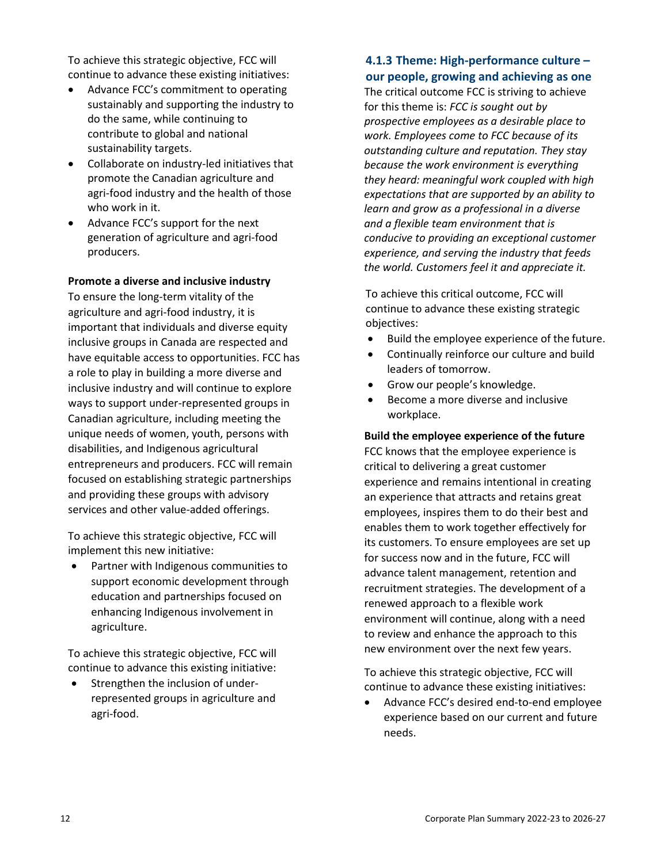To achieve this strategic objective, FCC will continue to advance these existing initiatives:

- Advance FCC's commitment to operating sustainably and supporting the industry to do the same, while continuing to contribute to global and national sustainability targets.
- Collaborate on industry-led initiatives that promote the Canadian agriculture and agri-food industry and the health of those who work in it.
- Advance FCC's support for the next generation of agriculture and agri-food producers.

#### **Promote a diverse and inclusive industry**

To ensure the long-term vitality of the agriculture and agri-food industry, it is important that individuals and diverse equity inclusive groups in Canada are respected and have equitable access to opportunities. FCC has a role to play in building a more diverse and inclusive industry and will continue to explore ways to support under-represented groups in Canadian agriculture, including meeting the unique needs of women, youth, persons with disabilities, and Indigenous agricultural entrepreneurs and producers. FCC will remain focused on establishing strategic partnerships and providing these groups with advisory services and other value-added offerings.

To achieve this strategic objective, FCC will implement this new initiative:

• Partner with Indigenous communities to support economic development through education and partnerships focused on enhancing Indigenous involvement in agriculture.

To achieve this strategic objective, FCC will continue to advance this existing initiative:

• Strengthen the inclusion of underrepresented groups in agriculture and agri-food.

## **4.1.3 Theme: High-performance culture – our people, growing and achieving as one**

The critical outcome FCC is striving to achieve for this theme is: *FCC is sought out by prospective employees as a desirable place to work. Employees come to FCC because of its outstanding culture and reputation. They stay because the work environment is everything they heard: meaningful work coupled with high expectations that are supported by an ability to learn and grow as a professional in a diverse and a flexible team environment that is conducive to providing an exceptional customer experience, and serving the industry that feeds the world. Customers feel it and appreciate it.*

To achieve this critical outcome, FCC will continue to advance these existing strategic objectives:

- Build the employee experience of the future.
- Continually reinforce our culture and build leaders of tomorrow.
- Grow our people's knowledge.
- Become a more diverse and inclusive workplace.

#### **Build the employee experience of the future**

FCC knows that the employee experience is critical to delivering a great customer experience and remains intentional in creating an experience that attracts and retains great employees, inspires them to do their best and enables them to work together effectively for its customers. To ensure employees are set up for success now and in the future, FCC will advance talent management, retention and recruitment strategies. The development of a renewed approach to a flexible work environment will continue, along with a need to review and enhance the approach to this new environment over the next few years.

To achieve this strategic objective, FCC will continue to advance these existing initiatives:

• Advance FCC's desired end-to-end employee experience based on our current and future needs.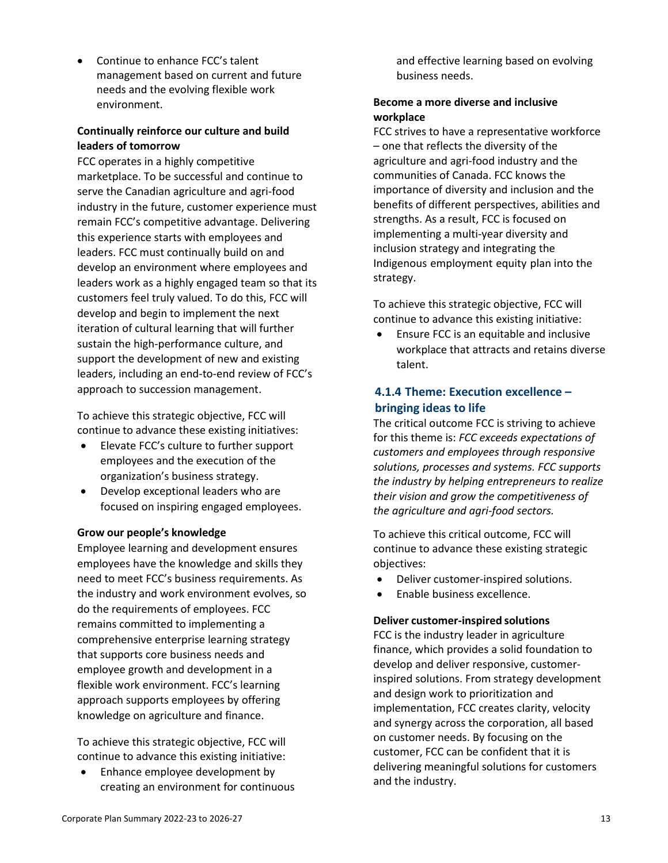• Continue to enhance FCC's talent management based on current and future needs and the evolving flexible work environment.

### **Continually reinforce our culture and build leaders of tomorrow**

FCC operates in a highly competitive marketplace. To be successful and continue to serve the Canadian agriculture and agri-food industry in the future, customer experience must remain FCC's competitive advantage. Delivering this experience starts with employees and leaders. FCC must continually build on and develop an environment where employees and leaders work as a highly engaged team so that its customers feel truly valued. To do this, FCC will develop and begin to implement the next iteration of cultural learning that will further sustain the high-performance culture, and support the development of new and existing leaders, including an end-to-end review of FCC's approach to succession management.

To achieve this strategic objective, FCC will continue to advance these existing initiatives:

- Elevate FCC's culture to further support employees and the execution of the organization's business strategy.
- Develop exceptional leaders who are focused on inspiring engaged employees.

#### **Grow our people's knowledge**

Employee learning and development ensures employees have the knowledge and skills they need to meet FCC's business requirements. As the industry and work environment evolves, so do the requirements of employees. FCC remains committed to implementing a comprehensive enterprise learning strategy that supports core business needs and employee growth and development in a flexible work environment. FCC's learning approach supports employees by offering knowledge on agriculture and finance.

To achieve this strategic objective, FCC will continue to advance this existing initiative:

• Enhance employee development by creating an environment for continuous and effective learning based on evolving business needs.

## **Become a more diverse and inclusive workplace**

FCC strives to have a representative workforce – one that reflects the diversity of the agriculture and agri-food industry and the communities of Canada. FCC knows the importance of diversity and inclusion and the benefits of different perspectives, abilities and strengths. As a result, FCC is focused on implementing a multi-year diversity and inclusion strategy and integrating the Indigenous employment equity plan into the strategy.

To achieve this strategic objective, FCC will continue to advance this existing initiative:

• Ensure FCC is an equitable and inclusive workplace that attracts and retains diverse talent.

## **4.1.4 Theme: Execution excellence – bringing ideas to life**

The critical outcome FCC is striving to achieve for this theme is: *FCC exceeds expectations of customers and employees through responsive solutions, processes and systems. FCC supports the industry by helping entrepreneurs to realize their vision and grow the competitiveness of the agriculture and agri-food sectors.*

To achieve this critical outcome, FCC will continue to advance these existing strategic objectives:

- Deliver customer-inspired solutions.
- Enable business excellence.

## **Deliver customer-inspired solutions**

FCC is the industry leader in agriculture finance, which provides a solid foundation to develop and deliver responsive, customerinspired solutions. From strategy development and design work to prioritization and implementation, FCC creates clarity, velocity and synergy across the corporation, all based on customer needs. By focusing on the customer, FCC can be confident that it is delivering meaningful solutions for customers and the industry.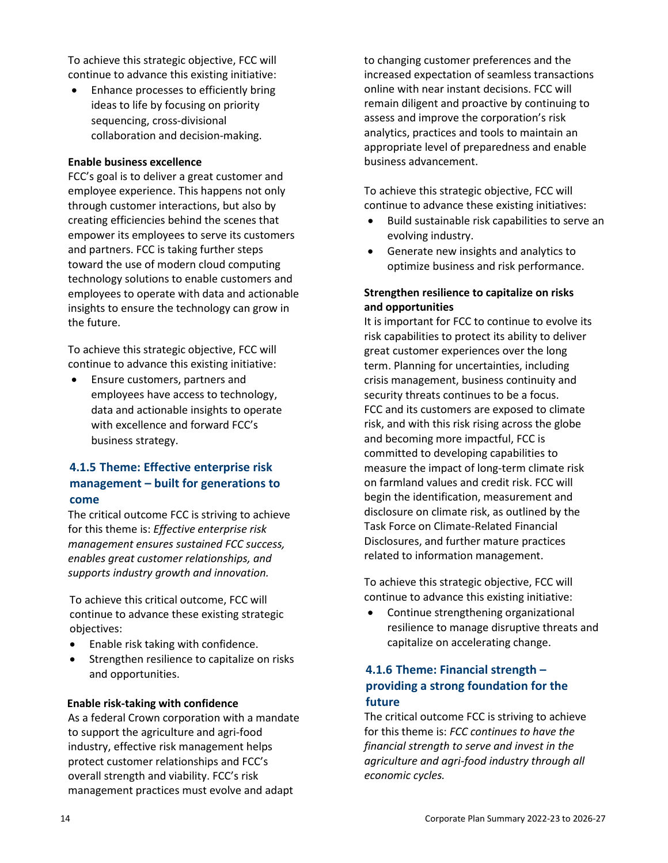To achieve this strategic objective, FCC will continue to advance this existing initiative:

• Enhance processes to efficiently bring ideas to life by focusing on priority sequencing, cross-divisional collaboration and decision-making.

#### **Enable business excellence**

FCC's goal is to deliver a great customer and employee experience. This happens not only through customer interactions, but also by creating efficiencies behind the scenes that empower its employees to serve its customers and partners. FCC is taking further steps toward the use of modern cloud computing technology solutions to enable customers and employees to operate with data and actionable insights to ensure the technology can grow in the future.

To achieve this strategic objective, FCC will continue to advance this existing initiative:

• Ensure customers, partners and employees have access to technology, data and actionable insights to operate with excellence and forward FCC's business strategy.

## **4.1.5 Theme: Effective enterprise risk management – built for generations to come**

The critical outcome FCC is striving to achieve for this theme is: *Effective enterprise risk management ensures sustained FCC success, enables great customer relationships, and supports industry growth and innovation.*

To achieve this critical outcome, FCC will continue to advance these existing strategic objectives:

- Enable risk taking with confidence.
- Strengthen resilience to capitalize on risks and opportunities.

#### **Enable risk-taking with confidence**

As a federal Crown corporation with a mandate to support the agriculture and agri-food industry, effective risk management helps protect customer relationships and FCC's overall strength and viability. FCC's risk management practices must evolve and adapt

to changing customer preferences and the increased expectation of seamless transactions online with near instant decisions. FCC will remain diligent and proactive by continuing to assess and improve the corporation's risk analytics, practices and tools to maintain an appropriate level of preparedness and enable business advancement.

To achieve this strategic objective, FCC will continue to advance these existing initiatives:

- Build sustainable risk capabilities to serve an evolving industry.
- Generate new insights and analytics to optimize business and risk performance.

### **Strengthen resilience to capitalize on risks and opportunities**

It is important for FCC to continue to evolve its risk capabilities to protect its ability to deliver great customer experiences over the long term. Planning for uncertainties, including crisis management, business continuity and security threats continues to be a focus. FCC and its customers are exposed to climate risk, and with this risk rising across the globe and becoming more impactful, FCC is committed to developing capabilities to measure the impact of long-term climate risk on farmland values and credit risk. FCC will begin the identification, measurement and disclosure on climate risk, as outlined by the Task Force on Climate-Related Financial Disclosures, and further mature practices related to information management.

To achieve this strategic objective, FCC will continue to advance this existing initiative:

• Continue strengthening organizational resilience to manage disruptive threats and capitalize on accelerating change.

## **4.1.6 Theme: Financial strength – providing a strong foundation for the future**

The critical outcome FCC is striving to achieve for this theme is: *FCC continues to have the financial strength to serve and invest in the agriculture and agri-food industry through all economic cycles.*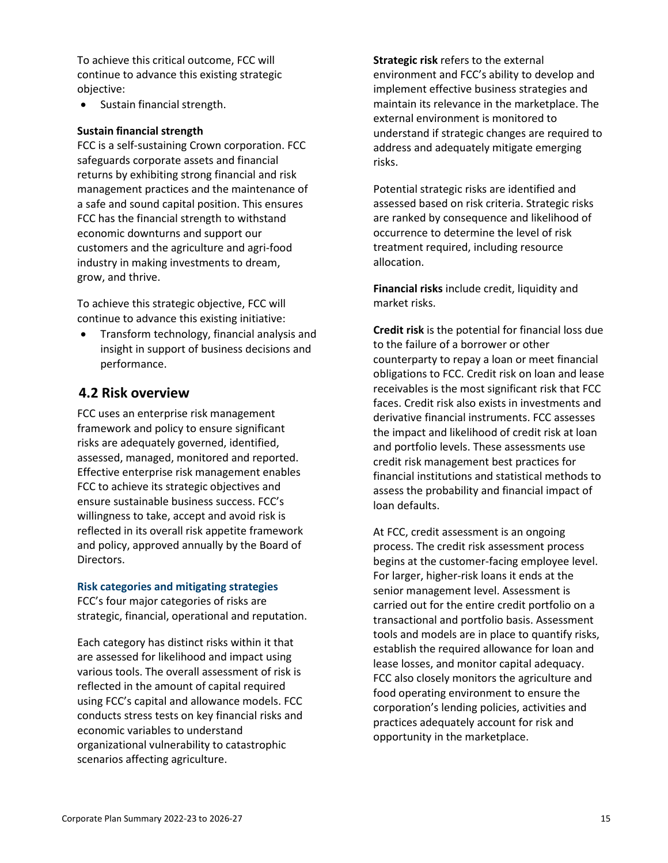To achieve this critical outcome, FCC will continue to advance this existing strategic objective:

• Sustain financial strength.

#### **Sustain financial strength**

FCC is a self-sustaining Crown corporation. FCC safeguards corporate assets and financial returns by exhibiting strong financial and risk management practices and the maintenance of a safe and sound capital position. This ensures FCC has the financial strength to withstand economic downturns and support our customers and the agriculture and agri-food industry in making investments to dream, grow, and thrive.

To achieve this strategic objective, FCC will continue to advance this existing initiative:

• Transform technology, financial analysis and insight in support of business decisions and performance.

## **4.2 Risk overview**

FCC uses an enterprise risk management framework and policy to ensure significant risks are adequately governed, identified, assessed, managed, monitored and reported. Effective enterprise risk management enables FCC to achieve its strategic objectives and ensure sustainable business success. FCC's willingness to take, accept and avoid risk is reflected in its overall risk appetite framework and policy, approved annually by the Board of Directors.

#### **Risk categories and mitigating strategies**

FCC's four major categories of risks are strategic, financial, operational and reputation.

Each category has distinct risks within it that are assessed for likelihood and impact using various tools. The overall assessment of risk is reflected in the amount of capital required using FCC's capital and allowance models. FCC conducts stress tests on key financial risks and economic variables to understand organizational vulnerability to catastrophic scenarios affecting agriculture.

**Strategic risk** refers to the external environment and FCC's ability to develop and implement effective business strategies and maintain its relevance in the marketplace. The external environment is monitored to understand if strategic changes are required to address and adequately mitigate emerging risks.

Potential strategic risks are identified and assessed based on risk criteria. Strategic risks are ranked by consequence and likelihood of occurrence to determine the level of risk treatment required, including resource allocation.

**Financial risks** include credit, liquidity and market risks.

**Credit risk** is the potential for financial loss due to the failure of a borrower or other counterparty to repay a loan or meet financial obligations to FCC. Credit risk on loan and lease receivables is the most significant risk that FCC faces. Credit risk also exists in investments and derivative financial instruments. FCC assesses the impact and likelihood of credit risk at loan and portfolio levels. These assessments use credit risk management best practices for financial institutions and statistical methods to assess the probability and financial impact of loan defaults.

At FCC, credit assessment is an ongoing process. The credit risk assessment process begins at the customer-facing employee level. For larger, higher-risk loans it ends at the senior management level. Assessment is carried out for the entire credit portfolio on a transactional and portfolio basis. Assessment tools and models are in place to quantify risks, establish the required allowance for loan and lease losses, and monitor capital adequacy. FCC also closely monitors the agriculture and food operating environment to ensure the corporation's lending policies, activities and practices adequately account for risk and opportunity in the marketplace.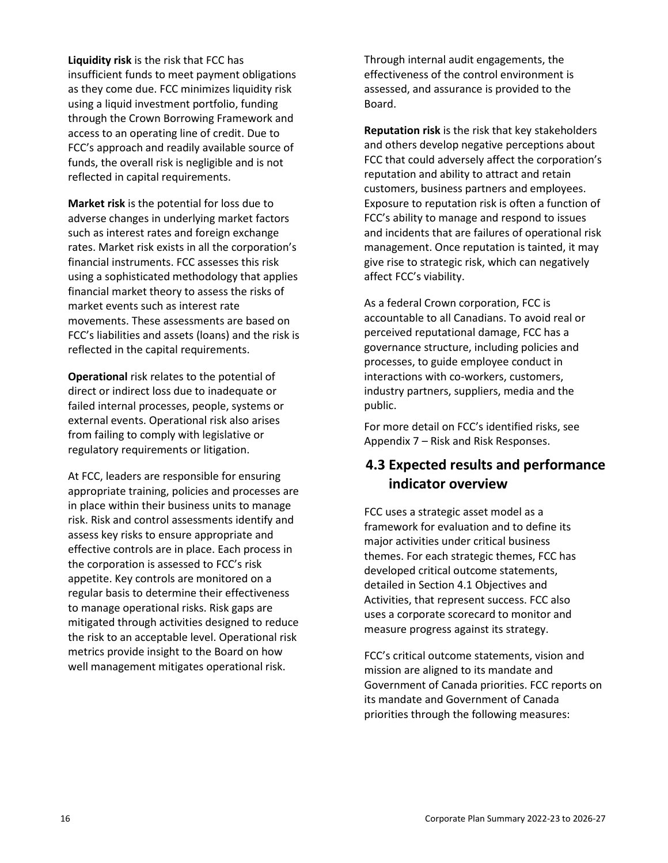**Liquidity risk** is the risk that FCC has insufficient funds to meet payment obligations as they come due. FCC minimizes liquidity risk using a liquid investment portfolio, funding through the Crown Borrowing Framework and access to an operating line of credit. Due to FCC's approach and readily available source of funds, the overall risk is negligible and is not reflected in capital requirements.

**Market risk** is the potential for loss due to adverse changes in underlying market factors such as interest rates and foreign exchange rates. Market risk exists in all the corporation's financial instruments. FCC assesses this risk using a sophisticated methodology that applies financial market theory to assess the risks of market events such as interest rate movements. These assessments are based on FCC's liabilities and assets (loans) and the risk is reflected in the capital requirements.

**Operational** risk relates to the potential of direct or indirect loss due to inadequate or failed internal processes, people, systems or external events. Operational risk also arises from failing to comply with legislative or regulatory requirements or litigation.

At FCC, leaders are responsible for ensuring appropriate training, policies and processes are in place within their business units to manage risk. Risk and control assessments identify and assess key risks to ensure appropriate and effective controls are in place. Each process in the corporation is assessed to FCC's risk appetite. Key controls are monitored on a regular basis to determine their effectiveness to manage operational risks. Risk gaps are mitigated through activities designed to reduce the risk to an acceptable level. Operational risk metrics provide insight to the Board on how well management mitigates operational risk.

Through internal audit engagements, the effectiveness of the control environment is assessed, and assurance is provided to the Board.

**Reputation risk** is the risk that key stakeholders and others develop negative perceptions about FCC that could adversely affect the corporation's reputation and ability to attract and retain customers, business partners and employees. Exposure to reputation risk is often a function of FCC's ability to manage and respond to issues and incidents that are failures of operational risk management. Once reputation is tainted, it may give rise to strategic risk, which can negatively affect FCC's viability.

As a federal Crown corporation, FCC is accountable to all Canadians. To avoid real or perceived reputational damage, FCC has a governance structure, including policies and processes, to guide employee conduct in interactions with co-workers, customers, industry partners, suppliers, media and the public.

For more detail on FCC's identified risks, see Appendix 7 – Risk and Risk Responses.

## **4.3 Expected results and performance indicator overview**

FCC uses a strategic asset model as a framework for evaluation and to define its major activities under critical business themes. For each strategic themes, FCC has developed critical outcome statements, detailed in Section 4.1 Objectives and Activities, that represent success. FCC also uses a corporate scorecard to monitor and measure progress against its strategy.

FCC's critical outcome statements, vision and mission are aligned to its mandate and Government of Canada priorities. FCC reports on its mandate and Government of Canada priorities through the following measures: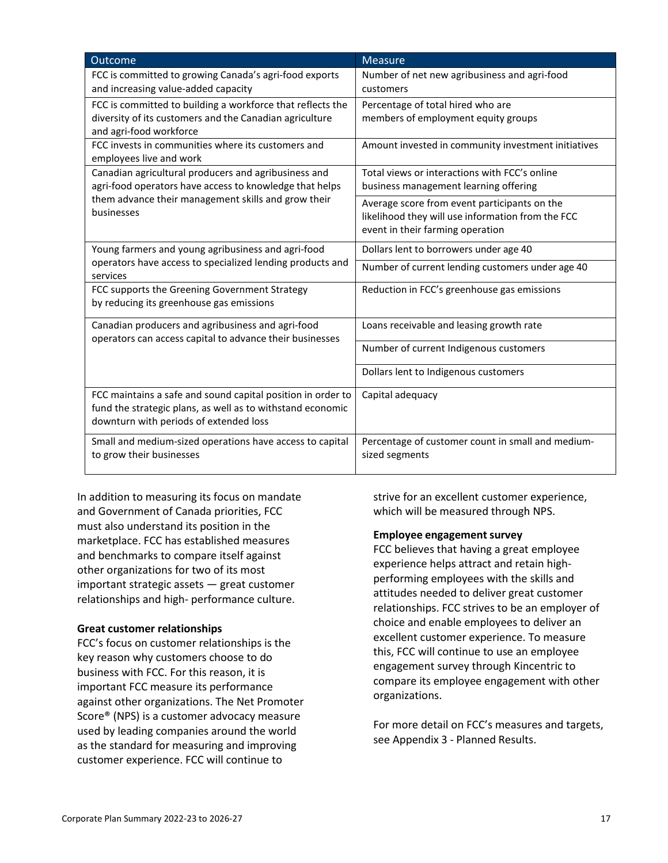| Outcome                                                                                                                                                             | <b>Measure</b>                                                                                                                        |
|---------------------------------------------------------------------------------------------------------------------------------------------------------------------|---------------------------------------------------------------------------------------------------------------------------------------|
| FCC is committed to growing Canada's agri-food exports<br>and increasing value-added capacity                                                                       | Number of net new agribusiness and agri-food<br>customers                                                                             |
| FCC is committed to building a workforce that reflects the<br>diversity of its customers and the Canadian agriculture<br>and agri-food workforce                    | Percentage of total hired who are<br>members of employment equity groups                                                              |
| FCC invests in communities where its customers and<br>employees live and work                                                                                       | Amount invested in community investment initiatives                                                                                   |
| Canadian agricultural producers and agribusiness and<br>agri-food operators have access to knowledge that helps                                                     | Total views or interactions with FCC's online<br>business management learning offering                                                |
| them advance their management skills and grow their<br>businesses                                                                                                   | Average score from event participants on the<br>likelihood they will use information from the FCC<br>event in their farming operation |
| Young farmers and young agribusiness and agri-food                                                                                                                  | Dollars lent to borrowers under age 40                                                                                                |
| operators have access to specialized lending products and<br>services                                                                                               | Number of current lending customers under age 40                                                                                      |
| FCC supports the Greening Government Strategy<br>by reducing its greenhouse gas emissions                                                                           | Reduction in FCC's greenhouse gas emissions                                                                                           |
| Canadian producers and agribusiness and agri-food<br>operators can access capital to advance their businesses                                                       | Loans receivable and leasing growth rate                                                                                              |
|                                                                                                                                                                     | Number of current Indigenous customers                                                                                                |
|                                                                                                                                                                     | Dollars lent to Indigenous customers                                                                                                  |
| FCC maintains a safe and sound capital position in order to<br>fund the strategic plans, as well as to withstand economic<br>downturn with periods of extended loss | Capital adequacy                                                                                                                      |
| Small and medium-sized operations have access to capital<br>to grow their businesses                                                                                | Percentage of customer count in small and medium-<br>sized segments                                                                   |

In addition to measuring its focus on mandate and Government of Canada priorities, FCC must also understand its position in the marketplace. FCC has established measures and benchmarks to compare itself against other organizations for two of its most important strategic assets — great customer relationships and high- performance culture.

#### **Great customer relationships**

FCC's focus on customer relationships is the key reason why customers choose to do business with FCC. For this reason, it is important FCC measure its performance against other organizations. The Net Promoter Score® (NPS) is a customer advocacy measure used by leading companies around the world as the standard for measuring and improving customer experience. FCC will continue to

strive for an excellent customer experience, which will be measured through NPS.

#### **Employee engagement survey**

FCC believes that having a great employee experience helps attract and retain highperforming employees with the skills and attitudes needed to deliver great customer relationships. FCC strives to be an employer of choice and enable employees to deliver an excellent customer experience. To measure this, FCC will continue to use an employee engagement survey through Kincentric to compare its employee engagement with other organizations.

For more detail on FCC's measures and targets, see Appendix 3 - Planned Results.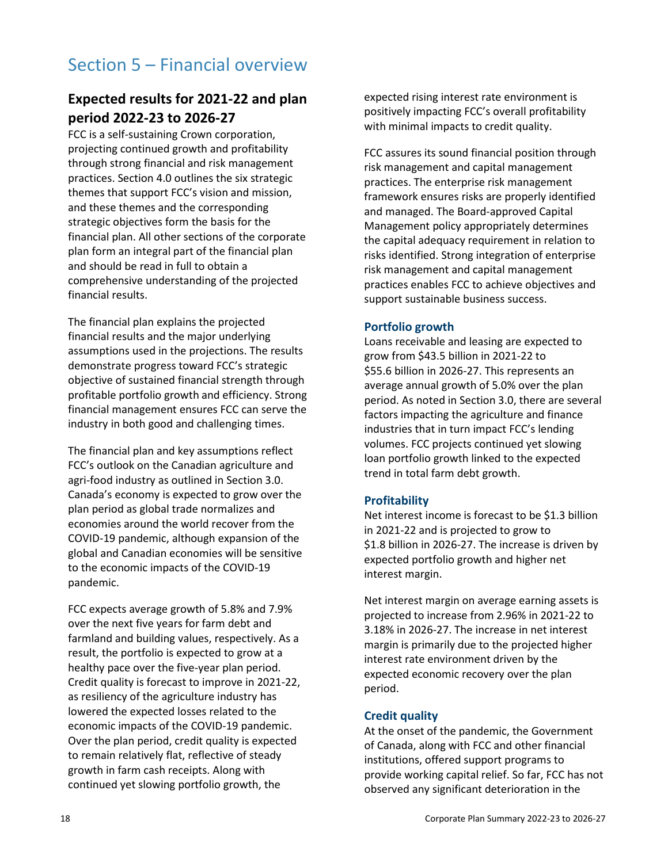# Section 5 – Financial overview

## **Expected results for 2021-22 and plan period 2022-23 to 2026-27**

FCC is a self-sustaining Crown corporation, projecting continued growth and profitability through strong financial and risk management practices. Section 4.0 outlines the six strategic themes that support FCC's vision and mission, and these themes and the corresponding strategic objectives form the basis for the financial plan. All other sections of the corporate plan form an integral part of the financial plan and should be read in full to obtain a comprehensive understanding of the projected financial results.

The financial plan explains the projected financial results and the major underlying assumptions used in the projections. The results demonstrate progress toward FCC's strategic objective of sustained financial strength through profitable portfolio growth and efficiency. Strong financial management ensures FCC can serve the industry in both good and challenging times.

The financial plan and key assumptions reflect FCC's outlook on the Canadian agriculture and agri-food industry as outlined in Section 3.0. Canada's economy is expected to grow over the plan period as global trade normalizes and economies around the world recover from the COVID-19 pandemic, although expansion of the global and Canadian economies will be sensitive to the economic impacts of the COVID-19 pandemic.

FCC expects average growth of 5.8% and 7.9% over the next five years for farm debt and farmland and building values, respectively. As a result, the portfolio is expected to grow at a healthy pace over the five-year plan period. Credit quality is forecast to improve in 2021-22, as resiliency of the agriculture industry has lowered the expected losses related to the economic impacts of the COVID-19 pandemic. Over the plan period, credit quality is expected to remain relatively flat, reflective of steady growth in farm cash receipts. Along with continued yet slowing portfolio growth, the

expected rising interest rate environment is positively impacting FCC's overall profitability with minimal impacts to credit quality.

FCC assures its sound financial position through risk management and capital management practices. The enterprise risk management framework ensures risks are properly identified and managed. The Board-approved Capital Management policy appropriately determines the capital adequacy requirement in relation to risks identified. Strong integration of enterprise risk management and capital management practices enables FCC to achieve objectives and support sustainable business success.

#### **Portfolio growth**

Loans receivable and leasing are expected to grow from \$43.5 billion in 2021-22 to \$55.6 billion in 2026-27. This represents an average annual growth of 5.0% over the plan period. As noted in Section 3.0, there are several factors impacting the agriculture and finance industries that in turn impact FCC's lending volumes. FCC projects continued yet slowing loan portfolio growth linked to the expected trend in total farm debt growth.

#### **Profitability**

Net interest income is forecast to be \$1.3 billion in 2021-22 and is projected to grow to \$1.8 billion in 2026-27. The increase is driven by expected portfolio growth and higher net interest margin.

Net interest margin on average earning assets is projected to increase from 2.96% in 2021-22 to 3.18% in 2026-27. The increase in net interest margin is primarily due to the projected higher interest rate environment driven by the expected economic recovery over the plan period.

#### **Credit quality**

At the onset of the pandemic, the Government of Canada, along with FCC and other financial institutions, offered support programs to provide working capital relief. So far, FCC has not observed any significant deterioration in the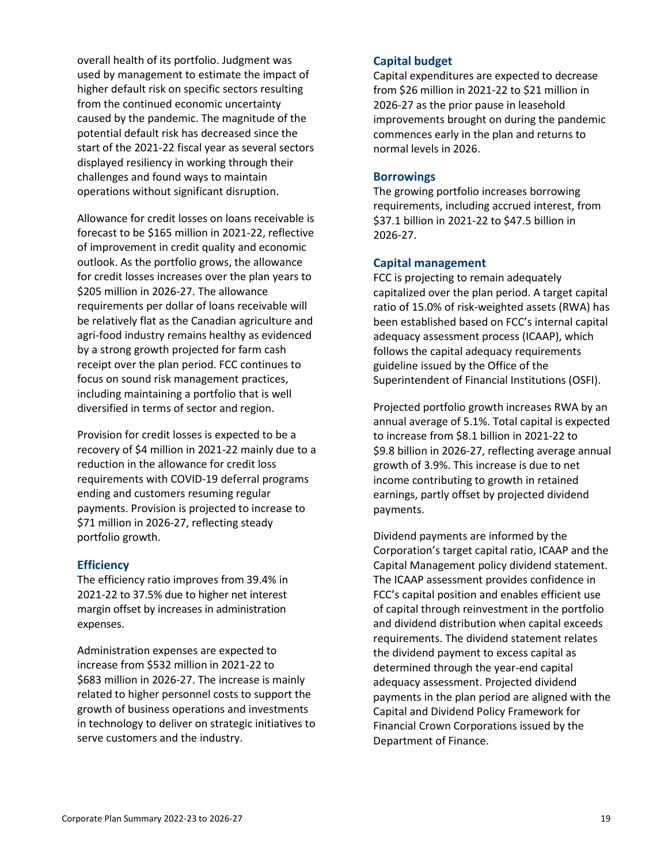overall health of its portfolio. Judgment was used by management to estimate the impact of higher default risk on specific sectors resulting from the continued economic uncertainty caused by the pandemic. The magnitude of the potential default risk has decreased since the start of the 2021-22 fiscal year as several sectors displayed resiliency in working through their challenges and found ways to maintain operations without significant disruption.

Allowance for credit losses on loans receivable is forecast to be \$165 million in 2021-22, reflective of improvement in credit quality and economic outlook. As the portfolio grows, the allowance for credit losses increases over the plan years to \$205 million in 2026-27. The allowance requirements per dollar of loans receivable will be relatively flat as the Canadian agriculture and agri-food industry remains healthy as evidenced by a strong growth projected for farm cash receipt over the plan period. FCC continues to focus on sound risk management practices, including maintaining a portfolio that is well diversified in terms of sector and region.

Provision for credit losses is expected to be a recovery of \$4 million in 2021-22 mainly due to a reduction in the allowance for credit loss requirements with COVID-19 deferral programs ending and customers resuming regular payments. Provision is projected to increase to \$71 million in 2026-27, reflecting steady portfolio growth.

#### **Efficiency**

The efficiency ratio improves from 39.4% in 2021-22 to 37.5% due to higher net interest margin offset by increases in administration expenses.

Administration expenses are expected to increase from \$532 million in 2021-22 to \$683 million in 2026-27. The increase is mainly related to higher personnel costs to support the growth of business operations and investments in technology to deliver on strategic initiatives to serve customers and the industry.

#### **Capital budget**

Capital expenditures are expected to decrease from \$26 million in 2021-22 to \$21 million in 2026-27 as the prior pause in leasehold improvements brought on during the pandemic commences early in the plan and returns to normal levels in 2026.

#### **Borrowings**

The growing portfolio increases borrowing requirements, including accrued interest, from \$37.1 billion in 2021-22 to \$47.5 billion in 2026-27.

#### **Capital management**

FCC is projecting to remain adequately capitalized over the plan period. A target capital ratio of 15.0% of risk-weighted assets (RWA) has been established based on FCC's internal capital adequacy assessment process (ICAAP), which follows the capital adequacy requirements guideline issued by the Office of the Superintendent of Financial Institutions (OSFI).

Projected portfolio growth increases RWA by an annual average of 5.1%. Total capital is expected to increase from \$8.1 billion in 2021-22 to \$9.8 billion in 2026-27, reflecting average annual growth of 3.9%. This increase is due to net income contributing to growth in retained earnings, partly offset by projected dividend payments.

Dividend payments are informed by the Corporation's target capital ratio, ICAAP and the Capital Management policy dividend statement. The ICAAP assessment provides confidence in FCC's capital position and enables efficient use of capital through reinvestment in the portfolio and dividend distribution when capital exceeds requirements. The dividend statement relates the dividend payment to excess capital as determined through the year-end capital adequacy assessment. Projected dividend payments in the plan period are aligned with the Capital and Dividend Policy Framework for Financial Crown Corporations issued by the Department of Finance.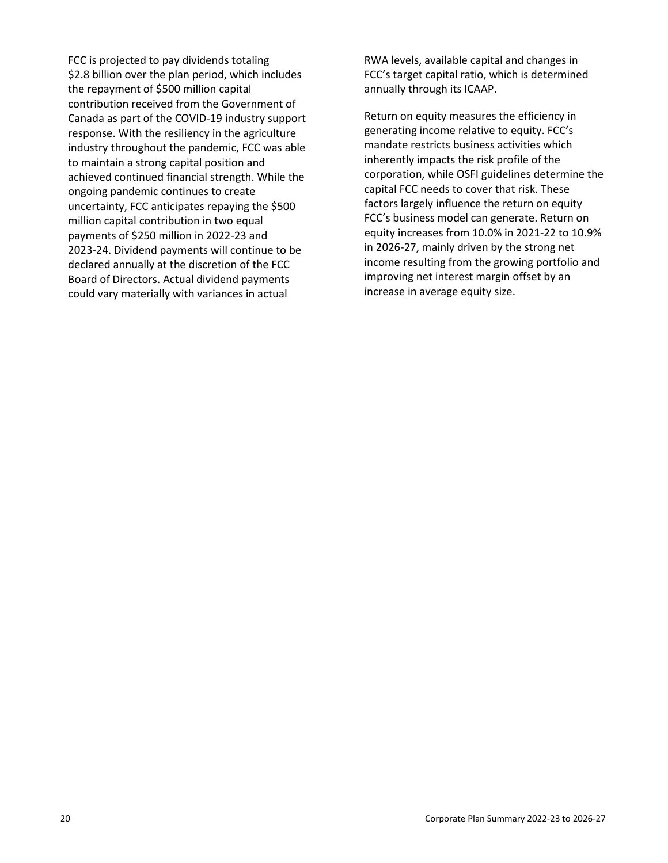FCC is projected to pay dividends totaling \$2.8 billion over the plan period, which includes the repayment of \$500 million capital contribution received from the Government of Canada as part of the COVID-19 industry support response. With the resiliency in the agriculture industry throughout the pandemic, FCC was able to maintain a strong capital position and achieved continued financial strength. While the ongoing pandemic continues to create uncertainty, FCC anticipates repaying the \$500 million capital contribution in two equal payments of \$250 million in 2022-23 and 2023-24. Dividend payments will continue to be declared annually at the discretion of the FCC Board of Directors. Actual dividend payments could vary materially with variances in actual

RWA levels, available capital and changes in FCC's target capital ratio, which is determined annually through its ICAAP.

Return on equity measures the efficiency in generating income relative to equity. FCC's mandate restricts business activities which inherently impacts the risk profile of the corporation, while OSFI guidelines determine the capital FCC needs to cover that risk. These factors largely influence the return on equity FCC's business model can generate. Return on equity increases from 10.0% in 2021-22 to 10.9% in 2026-27, mainly driven by the strong net income resulting from the growing portfolio and improving net interest margin offset by an increase in average equity size.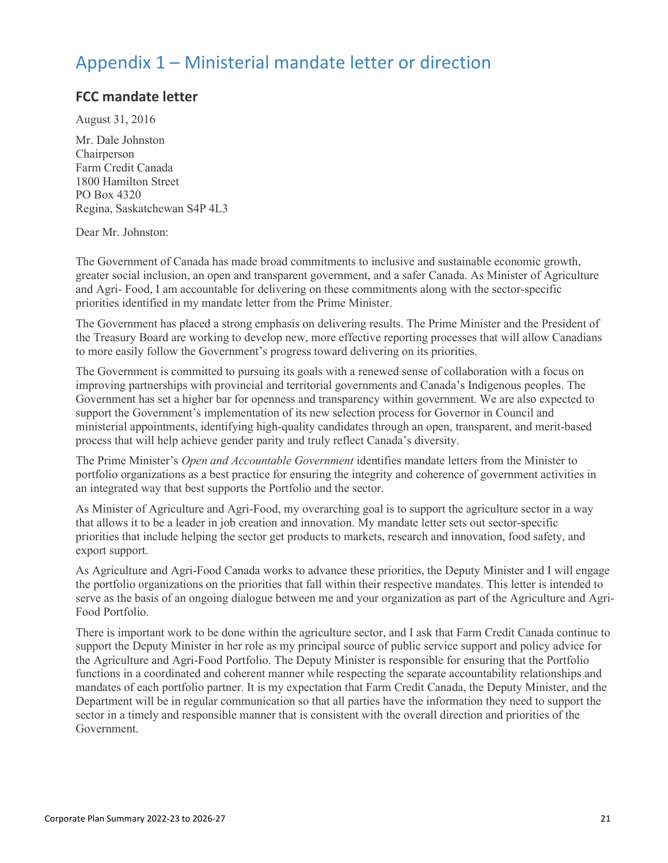## Appendix 1 – Ministerial mandate letter or direction

## **FCC mandate letter**

August 31, 2016

Mr. Dale Johnston Chairperson Farm Credit Canada 1800 Hamilton Street PO Box 4320 Regina, Saskatchewan S4P 4L3

#### Dear Mr. Johnston:

The Government of Canada has made broad commitments to inclusive and sustainable economic growth, greater social inclusion, an open and transparent government, and a safer Canada. As Minister of Agriculture and Agri- Food, I am accountable for delivering on these commitments along with the sector-specific priorities identified in my mandate letter from the Prime Minister.

The Government has placed a strong emphasis on delivering results. The Prime Minister and the President of the Treasury Board are working to develop new, more effective reporting processes that will allow Canadians to more easily follow the Government's progress toward delivering on its priorities.

The Government is committed to pursuing its goals with a renewed sense of collaboration with a focus on improving partnerships with provincial and territorial governments and Canada's Indigenous peoples. The Government has set a higher bar for openness and transparency within government. We are also expected to support the Government's implementation of its new selection process for Governor in Council and ministerial appointments, identifying high-quality candidates through an open, transparent, and merit-based process that will help achieve gender parity and truly reflect Canada's diversity.

The Prime Minister's *Open and Accountable Government* identifies mandate letters from the Minister to portfolio organizations as a best practice for ensuring the integrity and coherence of government activities in an integrated way that best supports the Portfolio and the sector.

As Minister of Agriculture and Agri-Food, my overarching goal is to support the agriculture sector in a way that allows it to be a leader in job creation and innovation. My mandate letter sets out sector-specific priorities that include helping the sector get products to markets, research and innovation, food safety, and export support.

As Agriculture and Agri-Food Canada works to advance these priorities, the Deputy Minister and I will engage the portfolio organizations on the priorities that fall within their respective mandates. This letter is intended to serve as the basis of an ongoing dialogue between me and your organization as part of the Agriculture and Agri-Food Portfolio.

There is important work to be done within the agriculture sector, and I ask that Farm Credit Canada continue to support the Deputy Minister in her role as my principal source of public service support and policy advice for the Agriculture and Agri-Food Portfolio. The Deputy Minister is responsible for ensuring that the Portfolio functions in a coordinated and coherent manner while respecting the separate accountability relationships and mandates of each portfolio partner. It is my expectation that Farm Credit Canada, the Deputy Minister, and the Department will be in regular communication so that all parties have the information they need to support the sector in a timely and responsible manner that is consistent with the overall direction and priorities of the Government.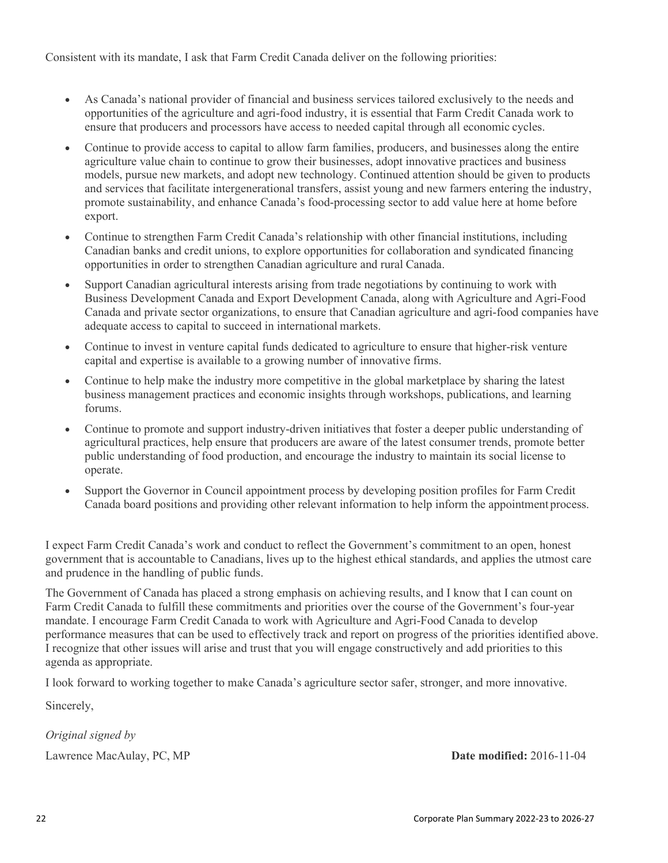Consistent with its mandate, I ask that Farm Credit Canada deliver on the following priorities:

- As Canada's national provider of financial and business services tailored exclusively to the needs and opportunities of the agriculture and agri-food industry, it is essential that Farm Credit Canada work to ensure that producers and processors have access to needed capital through all economic cycles.
- Continue to provide access to capital to allow farm families, producers, and businesses along the entire agriculture value chain to continue to grow their businesses, adopt innovative practices and business models, pursue new markets, and adopt new technology. Continued attention should be given to products and services that facilitate intergenerational transfers, assist young and new farmers entering the industry, promote sustainability, and enhance Canada's food-processing sector to add value here at home before export.
- Continue to strengthen Farm Credit Canada's relationship with other financial institutions, including Canadian banks and credit unions, to explore opportunities for collaboration and syndicated financing opportunities in order to strengthen Canadian agriculture and rural Canada.
- Support Canadian agricultural interests arising from trade negotiations by continuing to work with Business Development Canada and Export Development Canada, along with Agriculture and Agri-Food Canada and private sector organizations, to ensure that Canadian agriculture and agri-food companies have adequate access to capital to succeed in international markets.
- Continue to invest in venture capital funds dedicated to agriculture to ensure that higher-risk venture capital and expertise is available to a growing number of innovative firms.
- Continue to help make the industry more competitive in the global marketplace by sharing the latest business management practices and economic insights through workshops, publications, and learning forums.
- Continue to promote and support industry-driven initiatives that foster a deeper public understanding of agricultural practices, help ensure that producers are aware of the latest consumer trends, promote better public understanding of food production, and encourage the industry to maintain its social license to operate.
- Support the Governor in Council appointment process by developing position profiles for Farm Credit Canada board positions and providing other relevant information to help inform the appointment process.

I expect Farm Credit Canada's work and conduct to reflect the Government's commitment to an open, honest government that is accountable to Canadians, lives up to the highest ethical standards, and applies the utmost care and prudence in the handling of public funds.

The Government of Canada has placed a strong emphasis on achieving results, and I know that I can count on Farm Credit Canada to fulfill these commitments and priorities over the course of the Government's four-year mandate. I encourage Farm Credit Canada to work with Agriculture and Agri-Food Canada to develop performance measures that can be used to effectively track and report on progress of the priorities identified above. I recognize that other issues will arise and trust that you will engage constructively and add priorities to this agenda as appropriate.

I look forward to working together to make Canada's agriculture sector safer, stronger, and more innovative.

Sincerely,

*Original signed by*

Lawrence MacAulay, PC, MP **Date modified:** 2016-11-04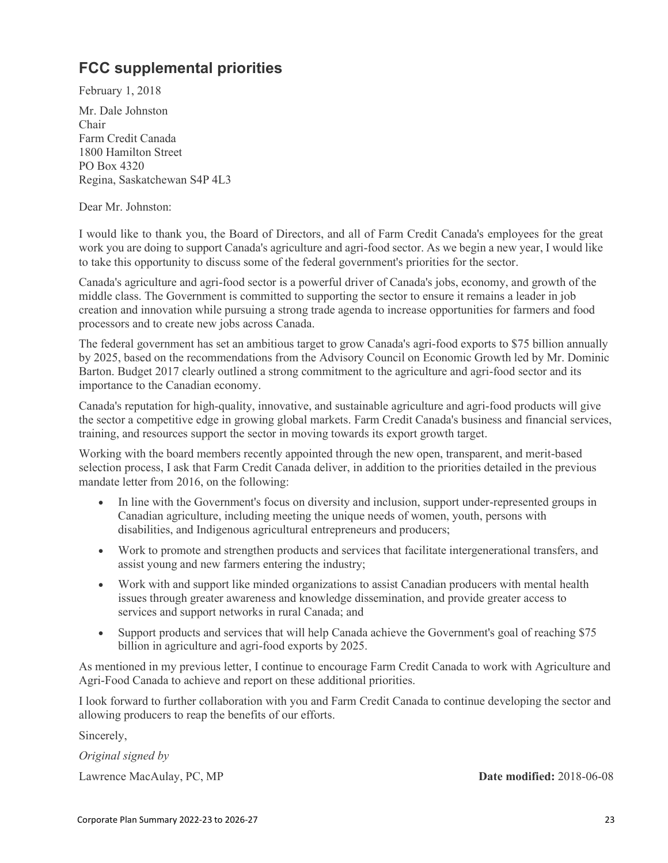## **FCC supplemental priorities**

February 1, 2018

Mr. Dale Johnston Chair Farm Credit Canada 1800 Hamilton Street PO Box 4320 Regina, Saskatchewan S4P 4L3

Dear Mr. Johnston:

I would like to thank you, the Board of Directors, and all of Farm Credit Canada's employees for the great work you are doing to support Canada's agriculture and agri-food sector. As we begin a new year, I would like to take this opportunity to discuss some of the federal government's priorities for the sector.

Canada's agriculture and agri-food sector is a powerful driver of Canada's jobs, economy, and growth of the middle class. The Government is committed to supporting the sector to ensure it remains a leader in job creation and innovation while pursuing a strong trade agenda to increase opportunities for farmers and food processors and to create new jobs across Canada.

The federal government has set an ambitious target to grow Canada's agri-food exports to \$75 billion annually by 2025, based on the recommendations from the Advisory Council on Economic Growth led by Mr. Dominic Barton. Budget 2017 clearly outlined a strong commitment to the agriculture and agri-food sector and its importance to the Canadian economy.

Canada's reputation for high-quality, innovative, and sustainable agriculture and agri-food products will give the sector a competitive edge in growing global markets. Farm Credit Canada's business and financial services, training, and resources support the sector in moving towards its export growth target.

Working with the board members recently appointed through the new open, transparent, and merit-based selection process, I ask that Farm Credit Canada deliver, in addition to the priorities detailed in the previous mandate letter from 2016, on the following:

- In line with the Government's focus on diversity and inclusion, support under-represented groups in Canadian agriculture, including meeting the unique needs of women, youth, persons with disabilities, and Indigenous agricultural entrepreneurs and producers;
- Work to promote and strengthen products and services that facilitate intergenerational transfers, and assist young and new farmers entering the industry;
- Work with and support like minded organizations to assist Canadian producers with mental health issues through greater awareness and knowledge dissemination, and provide greater access to services and support networks in rural Canada; and
- Support products and services that will help Canada achieve the Government's goal of reaching \$75 billion in agriculture and agri-food exports by 2025.

As mentioned in my previous letter, I continue to encourage Farm Credit Canada to work with Agriculture and Agri-Food Canada to achieve and report on these additional priorities.

I look forward to further collaboration with you and Farm Credit Canada to continue developing the sector and allowing producers to reap the benefits of our efforts.

Sincerely,

*Original signed by* Lawrence MacAulay, PC, MP **Date modified:** 2018-06-08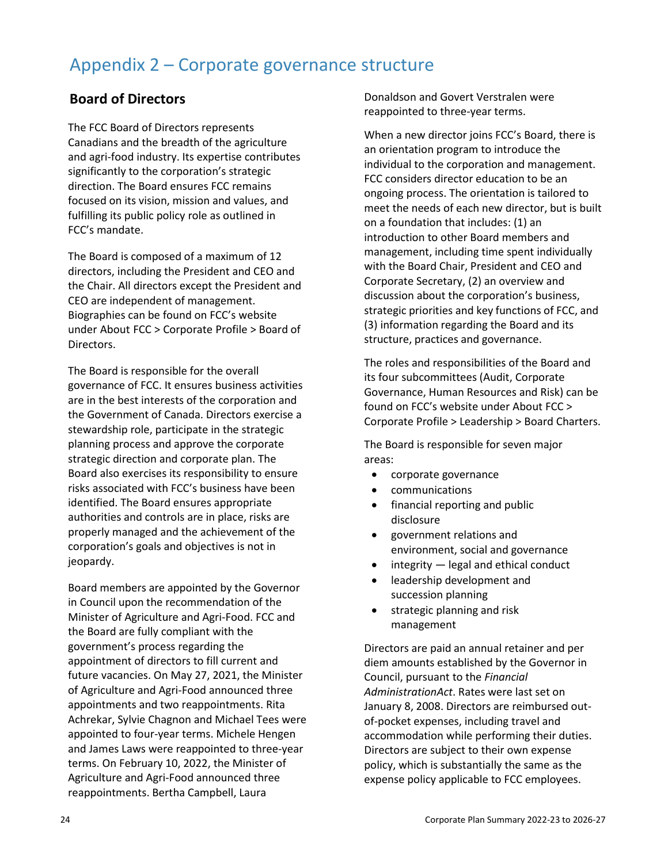## Appendix 2 – Corporate governance structure

## **Board of Directors**

The FCC Board of Directors represents Canadians and the breadth of the agriculture and agri-food industry. Its expertise contributes significantly to the corporation's strategic direction. The Board ensures FCC remains focused on its vision, mission and values, and fulfilling its public policy role as outlined in FCC's mandate.

The Board is composed of a maximum of 12 directors, including the President and CEO and the Chair. All directors except the President and CEO are independent of management. Biographies can be found on FCC's website under About FCC > Corporate Profile > Board of Directors.

The Board is responsible for the overall governance of FCC. It ensures business activities are in the best interests of the corporation and the Government of Canada. Directors exercise a stewardship role, participate in the strategic planning process and approve the corporate strategic direction and corporate plan. The Board also exercises its responsibility to ensure risks associated with FCC's business have been identified. The Board ensures appropriate authorities and controls are in place, risks are properly managed and the achievement of the corporation's goals and objectives is not in jeopardy.

Board members are appointed by the Governor in Council upon the recommendation of the Minister of Agriculture and Agri-Food. FCC and the Board are fully compliant with the government's process regarding the appointment of directors to fill current and future vacancies. On May 27, 2021, the Minister of Agriculture and Agri-Food announced three appointments and two reappointments. Rita Achrekar, Sylvie Chagnon and Michael Tees were appointed to four-year terms. Michele Hengen and James Laws were reappointed to three-year terms. On February 10, 2022, the Minister of Agriculture and Agri-Food announced three reappointments. Bertha Campbell, Laura

Donaldson and Govert Verstralen were reappointed to three-year terms.

When a new director joins FCC's Board, there is an orientation program to introduce the individual to the corporation and management. FCC considers director education to be an ongoing process. The orientation is tailored to meet the needs of each new director, but is built on a foundation that includes: (1) an introduction to other Board members and management, including time spent individually with the Board Chair, President and CEO and Corporate Secretary, (2) an overview and discussion about the corporation's business, strategic priorities and key functions of FCC, and (3) information regarding the Board and its structure, practices and governance.

The roles and responsibilities of the Board and its four subcommittees (Audit, Corporate Governance, Human Resources and Risk) can be found on FCC's website under About FCC > Corporate Profile > Leadership > Board Charters.

The Board is responsible for seven major areas:

- corporate governance
- communications
- financial reporting and public disclosure
- government relations and environment, social and governance
- integrity legal and ethical conduct
- leadership development and succession planning
- strategic planning and risk management

Directors are paid an annual retainer and per diem amounts established by the Governor in Council, pursuant to the *Financial AdministrationAct*. Rates were last set on January 8, 2008. Directors are reimbursed outof-pocket expenses, including travel and accommodation while performing their duties. Directors are subject to their own expense policy, which is substantially the same as the expense policy applicable to FCC employees.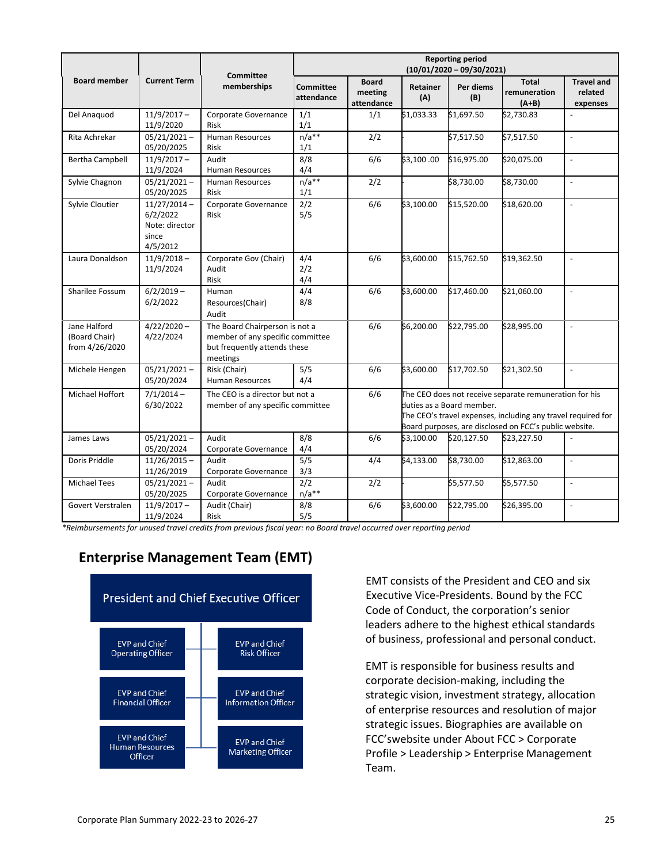|                                                 |                                                                   |                                                                                                                | <b>Reporting period</b><br>$(10/01/2020 - 09/30/2021)$ |                                                                                                                                                                                                                      |                        |                  |                                         |                                          |  |  |
|-------------------------------------------------|-------------------------------------------------------------------|----------------------------------------------------------------------------------------------------------------|--------------------------------------------------------|----------------------------------------------------------------------------------------------------------------------------------------------------------------------------------------------------------------------|------------------------|------------------|-----------------------------------------|------------------------------------------|--|--|
| <b>Board member</b>                             | <b>Current Term</b>                                               | <b>Committee</b><br>memberships                                                                                | <b>Committee</b><br>attendance                         | <b>Board</b><br>meeting<br>attendance                                                                                                                                                                                | <b>Retainer</b><br>(A) | Per diems<br>(B) | <b>Total</b><br>remuneration<br>$(A+B)$ | <b>Travel and</b><br>related<br>expenses |  |  |
| Del Anaquod                                     | $11/9/2017 -$<br>11/9/2020                                        | Corporate Governance<br>Risk                                                                                   | 1/1<br>1/1                                             | 1/1                                                                                                                                                                                                                  | \$1,033.33             | \$1,697.50       | \$2,730.83                              | $\overline{\phantom{a}}$                 |  |  |
| Rita Achrekar                                   | $05/21/2021 -$<br>05/20/2025                                      | <b>Human Resources</b><br><b>Risk</b>                                                                          | $n/a**$<br>1/1                                         | 2/2                                                                                                                                                                                                                  |                        | \$7,517.50       | \$7,517.50                              | $\sim$                                   |  |  |
| <b>Bertha Campbell</b>                          | $11/9/2017 -$<br>11/9/2024                                        | Audit<br><b>Human Resources</b>                                                                                | 8/8<br>4/4                                             | 6/6                                                                                                                                                                                                                  | \$3,100.00             | \$16,975.00      | \$20,075.00                             | $\blacksquare$                           |  |  |
| Sylvie Chagnon                                  | $05/21/2021 -$<br>05/20/2025                                      | Human Resources<br><b>Risk</b>                                                                                 | $n/a**$<br>1/1                                         | 2/2                                                                                                                                                                                                                  |                        | \$8,730.00       | \$8,730.00                              | $\overline{\phantom{a}}$                 |  |  |
| Sylvie Cloutier                                 | $11/27/2014 -$<br>6/2/2022<br>Note: director<br>since<br>4/5/2012 | Corporate Governance<br>Risk                                                                                   | 2/2<br>5/5                                             | 6/6                                                                                                                                                                                                                  | \$3,100.00             | \$15,520.00      | \$18,620.00                             | $\overline{\phantom{a}}$                 |  |  |
| Laura Donaldson                                 | $11/9/2018 -$<br>11/9/2024                                        | Corporate Gov (Chair)<br>Audit<br><b>Risk</b>                                                                  | 4/4<br>2/2<br>4/4                                      | 6/6                                                                                                                                                                                                                  | \$3,600.00             | \$15,762.50      | \$19,362.50                             | $\sim$                                   |  |  |
| Sharilee Fossum                                 | $6/2/2019 -$<br>6/2/2022                                          | Human<br>Resources(Chair)<br>Audit                                                                             | 4/4<br>8/8                                             | 6/6                                                                                                                                                                                                                  | \$3,600.00             | \$17,460.00      | \$21,060.00                             | $\blacksquare$                           |  |  |
| Jane Halford<br>(Board Chair)<br>from 4/26/2020 | $4/22/2020 -$<br>4/22/2024                                        | The Board Chairperson is not a<br>member of any specific committee<br>but frequently attends these<br>meetings |                                                        | 6/6                                                                                                                                                                                                                  | \$6,200.00             | \$22,795.00      | \$28,995.00                             | $\blacksquare$                           |  |  |
| Michele Hengen                                  | $05/21/2021 -$<br>05/20/2024                                      | Risk (Chair)<br><b>Human Resources</b>                                                                         | 5/5<br>4/4                                             | 6/6                                                                                                                                                                                                                  | \$3,600.00             | \$17,702.50      | \$21,302.50                             | $\overline{a}$                           |  |  |
| Michael Hoffort                                 | $7/1/2014 -$<br>6/30/2022                                         | The CEO is a director but not a<br>member of any specific committee                                            |                                                        | 6/6<br>The CEO does not receive separate remuneration for his<br>duties as a Board member.<br>The CEO's travel expenses, including any travel required for<br>Board purposes, are disclosed on FCC's public website. |                        |                  |                                         |                                          |  |  |
| James Laws                                      | $05/21/2021 -$<br>05/20/2024                                      | Audit<br>Corporate Governance                                                                                  | 8/8<br>4/4                                             | 6/6                                                                                                                                                                                                                  | \$3,100.00             | \$20,127.50      | \$23,227.50                             | $\blacksquare$                           |  |  |
| Doris Priddle                                   | $11/26/2015 -$<br>11/26/2019                                      | Audit<br>Corporate Governance                                                                                  | 5/5<br>3/3                                             | 4/4                                                                                                                                                                                                                  | \$4,133.00             | \$8,730.00       | \$12,863.00                             | $\blacksquare$                           |  |  |
| <b>Michael Tees</b>                             | $05/21/2021 -$<br>05/20/2025                                      | Audit<br>Corporate Governance                                                                                  | $\overline{2/2}$<br>$n/a**$                            | 2/2                                                                                                                                                                                                                  |                        | \$5,577.50       | \$5,577.50                              | $\blacksquare$                           |  |  |
| Govert Verstralen                               | $11/9/2017 -$<br>11/9/2024                                        | Audit (Chair)<br>Risk                                                                                          | 8/8<br>5/5                                             | 6/6                                                                                                                                                                                                                  | \$3,600.00             | \$22,795.00      | \$26,395.00                             | $\overline{\phantom{a}}$                 |  |  |

*\*Reimbursements for unused travel credits from previous fiscal year: no Board travel occurred over reporting period*

## **Enterprise Management Team (EMT)**



EMT consists of the President and CEO and six Executive Vice-Presidents. Bound by the FCC Code of Conduct, the corporation's senior leaders adhere to the highest ethical standards of business, professional and personal conduct.

EMT is responsible for business results and corporate decision-making, including the strategic vision, investment strategy, allocation of enterprise resources and resolution of major strategic issues. Biographies are available on FCC'swebsite under About FCC > Corporate Profile > Leadership > Enterprise Management Team.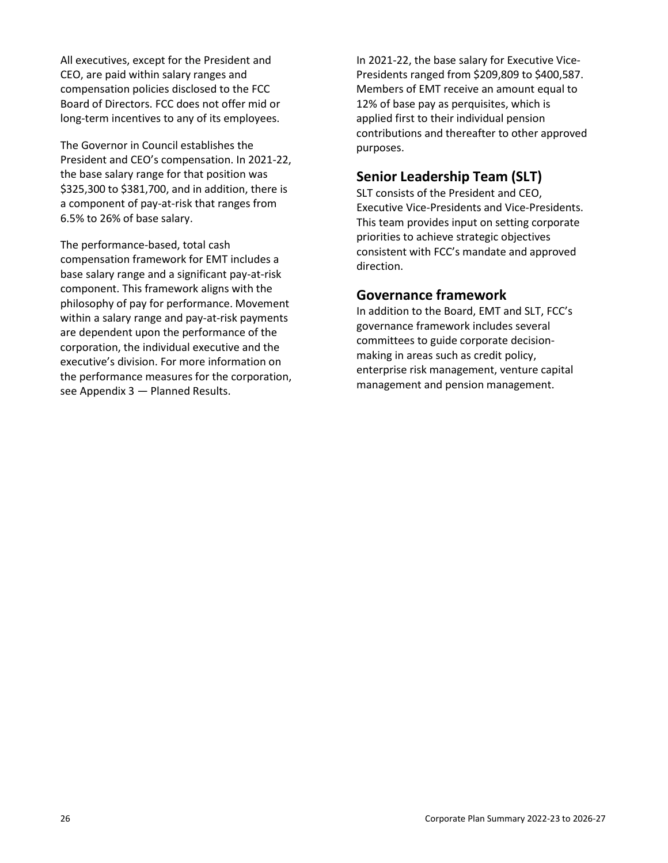All executives, except for the President and CEO, are paid within salary ranges and compensation policies disclosed to the FCC Board of Directors. FCC does not offer mid or long-term incentives to any of its employees.

The Governor in Council establishes the President and CEO's compensation. In 2021-22, the base salary range for that position was \$325,300 to \$381,700, and in addition, there is a component of pay-at-risk that ranges from 6.5% to 26% of base salary.

The performance-based, total cash compensation framework for EMT includes a base salary range and a significant pay-at-risk component. This framework aligns with the philosophy of pay for performance. Movement within a salary range and pay-at-risk payments are dependent upon the performance of the corporation, the individual executive and the executive's division. For more information on the performance measures for the corporation, see Appendix 3 — Planned Results.

In 2021-22, the base salary for Executive Vice-Presidents ranged from \$209,809 to \$400,587. Members of EMT receive an amount equal to 12% of base pay as perquisites, which is applied first to their individual pension contributions and thereafter to other approved purposes.

## **Senior Leadership Team (SLT)**

SLT consists of the President and CEO, Executive Vice-Presidents and Vice-Presidents. This team provides input on setting corporate priorities to achieve strategic objectives consistent with FCC's mandate and approved direction.

## **Governance framework**

In addition to the Board, EMT and SLT, FCC's governance framework includes several committees to guide corporate decisionmaking in areas such as credit policy, enterprise risk management, venture capital management and pension management.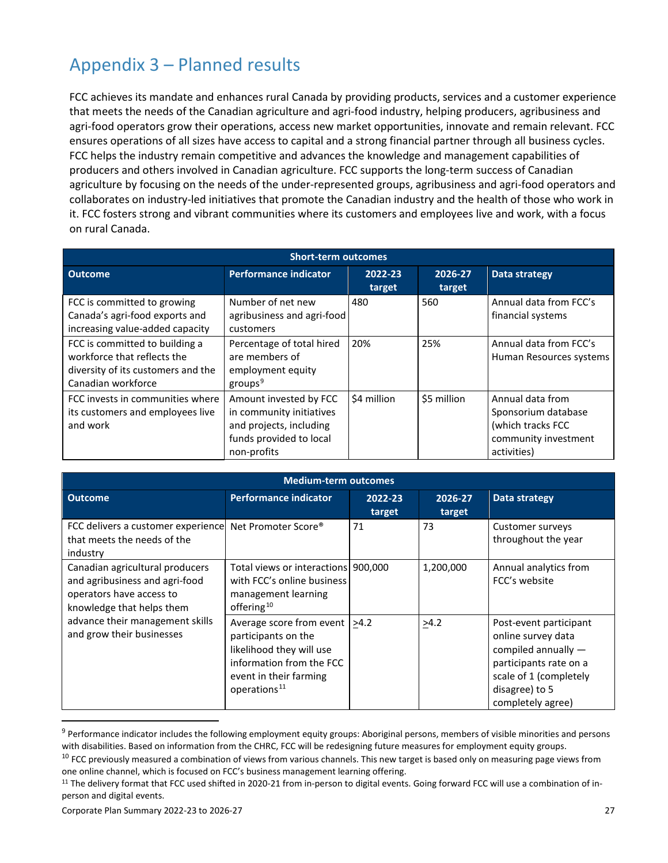# Appendix 3 – Planned results

FCC achieves its mandate and enhances rural Canada by providing products, services and a customer experience that meets the needs of the Canadian agriculture and agri-food industry, helping producers, agribusiness and agri-food operators grow their operations, access new market opportunities, innovate and remain relevant. FCC ensures operations of all sizes have access to capital and a strong financial partner through all business cycles. FCC helps the industry remain competitive and advances the knowledge and management capabilities of producers and others involved in Canadian agriculture. FCC supports the long-term success of Canadian agriculture by focusing on the needs of the under-represented groups, agribusiness and agri-food operators and collaborates on industry-led initiatives that promote the Canadian industry and the health of those who work in it. FCC fosters strong and vibrant communities where its customers and employees live and work, with a focus on rural Canada.

| <b>Short-term outcomes</b>                                                                                                |                                                                                                                         |                   |                   |                                                                                                     |  |  |  |  |  |
|---------------------------------------------------------------------------------------------------------------------------|-------------------------------------------------------------------------------------------------------------------------|-------------------|-------------------|-----------------------------------------------------------------------------------------------------|--|--|--|--|--|
| <b>Outcome</b>                                                                                                            | <b>Performance indicator</b>                                                                                            | 2022-23<br>target | 2026-27<br>target | Data strategy                                                                                       |  |  |  |  |  |
| FCC is committed to growing<br>Canada's agri-food exports and<br>increasing value-added capacity                          | Number of net new<br>agribusiness and agri-food<br>customers                                                            | 480               | 560               | Annual data from FCC's<br>financial systems                                                         |  |  |  |  |  |
| FCC is committed to building a<br>workforce that reflects the<br>diversity of its customers and the<br>Canadian workforce | Percentage of total hired<br>are members of<br>employment equity<br>$g$ roups <sup>9</sup>                              | 20%               | 25%               | Annual data from FCC's<br>Human Resources systems                                                   |  |  |  |  |  |
| FCC invests in communities where<br>its customers and employees live<br>and work                                          | Amount invested by FCC<br>in community initiatives<br>and projects, including<br>funds provided to local<br>non-profits | \$4 million       | \$5 million       | Annual data from<br>Sponsorium database<br>(which tracks FCC<br>community investment<br>activities) |  |  |  |  |  |

| <b>Medium-term outcomes</b>                                                                                                |                                                                                                                                                                              |                   |                   |                                                                                                                                                                |  |  |  |  |  |  |
|----------------------------------------------------------------------------------------------------------------------------|------------------------------------------------------------------------------------------------------------------------------------------------------------------------------|-------------------|-------------------|----------------------------------------------------------------------------------------------------------------------------------------------------------------|--|--|--|--|--|--|
| <b>Outcome</b>                                                                                                             | <b>Performance indicator</b>                                                                                                                                                 | 2022-23<br>target | 2026-27<br>target | Data strategy                                                                                                                                                  |  |  |  |  |  |  |
| FCC delivers a customer experience<br>that meets the needs of the<br>industry                                              | Net Promoter Score <sup>®</sup>                                                                                                                                              | 71                | 73                | Customer surveys<br>throughout the year                                                                                                                        |  |  |  |  |  |  |
| Canadian agricultural producers<br>and agribusiness and agri-food<br>operators have access to<br>knowledge that helps them | Total views or interactions 900,000<br>with FCC's online business<br>management learning<br>offering <sup>10</sup>                                                           |                   | 1,200,000         | Annual analytics from<br>FCC's website                                                                                                                         |  |  |  |  |  |  |
| advance their management skills<br>and grow their businesses                                                               | Average score from event $ _{\geq 4.2}$<br>participants on the<br>likelihood they will use<br>information from the FCC<br>event in their farming<br>operations <sup>11</sup> |                   | >4.2              | Post-event participant<br>online survey data<br>compiled annually -<br>participants rate on a<br>scale of 1 (completely<br>disagree) to 5<br>completely agree) |  |  |  |  |  |  |

<span id="page-28-0"></span><sup>&</sup>lt;sup>9</sup> Performance indicator includes the following employment equity groups: Aboriginal persons, members of visible minorities and persons with disabilities. Based on information from the CHRC, FCC will be redesigning future measures for employment equity groups.

<span id="page-28-1"></span><sup>&</sup>lt;sup>10</sup> FCC previously measured a combination of views from various channels. This new target is based only on measuring page views from one online channel, which is focused on FCC's business management learning offering.

<span id="page-28-2"></span><sup>&</sup>lt;sup>11</sup> The delivery format that FCC used shifted in 2020-21 from in-person to digital events. Going forward FCC will use a combination of inperson and digital events.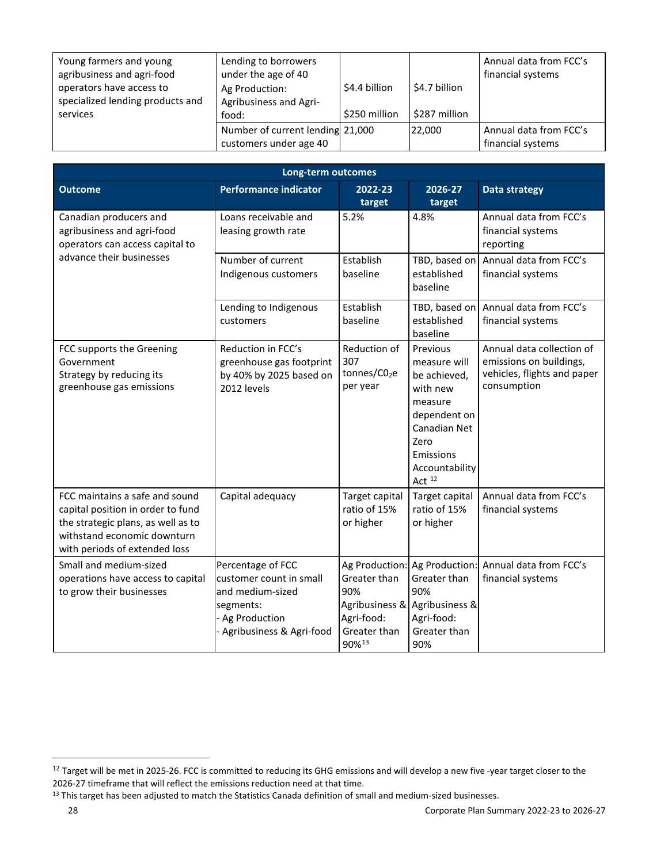| Young farmers and young<br>agribusiness and agri-food<br>operators have access to<br>specialized lending products and | Lending to borrowers<br>under the age of 40<br>Ag Production:<br>Agribusiness and Agri- | \$4.4 billion | $\frac{1}{2}$ \$4.7 billion | Annual data from FCC's<br>financial systems |
|-----------------------------------------------------------------------------------------------------------------------|-----------------------------------------------------------------------------------------|---------------|-----------------------------|---------------------------------------------|
| services                                                                                                              | food:                                                                                   | \$250 million | \$287 million               |                                             |
|                                                                                                                       | Number of current lending 21,000                                                        |               | 22,000                      | Annual data from FCC's                      |
|                                                                                                                       | customers under age 40                                                                  |               |                             | financial systems                           |

| Long-term outcomes                                                                                                                                                        |                                                                                                                             |                                                                                                |                                                                                                                                                    |                                                                                                    |  |  |  |  |  |
|---------------------------------------------------------------------------------------------------------------------------------------------------------------------------|-----------------------------------------------------------------------------------------------------------------------------|------------------------------------------------------------------------------------------------|----------------------------------------------------------------------------------------------------------------------------------------------------|----------------------------------------------------------------------------------------------------|--|--|--|--|--|
| <b>Outcome</b>                                                                                                                                                            | <b>Performance indicator</b>                                                                                                | 2022-23<br>target                                                                              | 2026-27<br>target                                                                                                                                  | <b>Data strategy</b>                                                                               |  |  |  |  |  |
| Canadian producers and<br>agribusiness and agri-food<br>operators can access capital to                                                                                   | Loans receivable and<br>leasing growth rate                                                                                 | 5.2%                                                                                           | 4.8%                                                                                                                                               | Annual data from FCC's<br>financial systems<br>reporting                                           |  |  |  |  |  |
| advance their businesses                                                                                                                                                  | Number of current<br>Indigenous customers                                                                                   | Establish<br>baseline                                                                          | TBD, based on<br>established<br>baseline                                                                                                           | Annual data from FCC's<br>financial systems                                                        |  |  |  |  |  |
|                                                                                                                                                                           | Lending to Indigenous<br>customers                                                                                          | Establish<br>baseline                                                                          | TBD, based on<br>established<br>baseline                                                                                                           | Annual data from FCC's<br>financial systems                                                        |  |  |  |  |  |
| FCC supports the Greening<br>Government<br>Strategy by reducing its<br>greenhouse gas emissions                                                                           | Reduction in FCC's<br>greenhouse gas footprint<br>by 40% by 2025 based on<br>2012 levels                                    | Reduction of<br>307<br>tonnes/C02e<br>per year                                                 | Previous<br>measure will<br>be achieved,<br>with new<br>measure<br>dependent on<br>Canadian Net<br>Zero<br>Emissions<br>Accountability<br>Act $12$ | Annual data collection of<br>emissions on buildings,<br>vehicles, flights and paper<br>consumption |  |  |  |  |  |
| FCC maintains a safe and sound<br>capital position in order to fund<br>the strategic plans, as well as to<br>withstand economic downturn<br>with periods of extended loss | Capital adequacy                                                                                                            | Target capital<br>ratio of 15%<br>or higher                                                    | Target capital<br>ratio of 15%<br>or higher                                                                                                        | Annual data from FCC's<br>financial systems                                                        |  |  |  |  |  |
| Small and medium-sized<br>operations have access to capital<br>to grow their businesses                                                                                   | Percentage of FCC<br>lcustomer count in small<br>and medium-sized<br>segments:<br>Ag Production<br>Agribusiness & Agri-food | Ag Production:<br>Greater than<br>90%<br>Agribusiness &<br>Agri-food:<br>Greater than<br>90%13 | Ag Production:<br>Greater than<br>90%<br>Agribusiness &<br>Agri-food:<br>Greater than<br>90%                                                       | Annual data from FCC's<br>financial systems                                                        |  |  |  |  |  |

<span id="page-29-0"></span><sup>&</sup>lt;sup>12</sup> Target will be met in 2025-26. FCC is committed to reducing its GHG emissions and will develop a new five -year target closer to the 2026-27 timeframe that will reflect the emissions reduction need at that time.

<span id="page-29-1"></span><sup>&</sup>lt;sup>13</sup> This target has been adjusted to match the Statistics Canada definition of small and medium-sized businesses.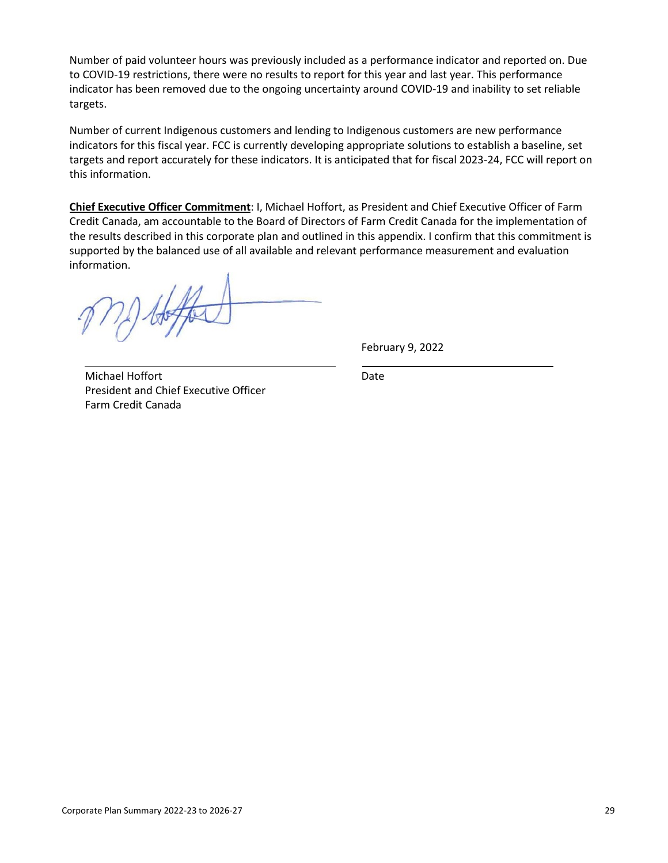Number of paid volunteer hours was previously included as a performance indicator and reported on. Due to COVID-19 restrictions, there were no results to report for this year and last year. This performance indicator has been removed due to the ongoing uncertainty around COVID-19 and inability to set reliable targets.

Number of current Indigenous customers and lending to Indigenous customers are new performance indicators for this fiscal year. FCC is currently developing appropriate solutions to establish a baseline, set targets and report accurately for these indicators. It is anticipated that for fiscal 2023-24, FCC will report on this information.

**Chief Executive Officer Commitment**: I, Michael Hoffort, as President and Chief Executive Officer of Farm Credit Canada, am accountable to the Board of Directors of Farm Credit Canada for the implementation of the results described in this corporate plan and outlined in this appendix. I confirm that this commitment is supported by the balanced use of all available and relevant performance measurement and evaluation information.

February 9, 2022

Michael Hoffort President and Chief Executive Officer Farm Credit Canada

Date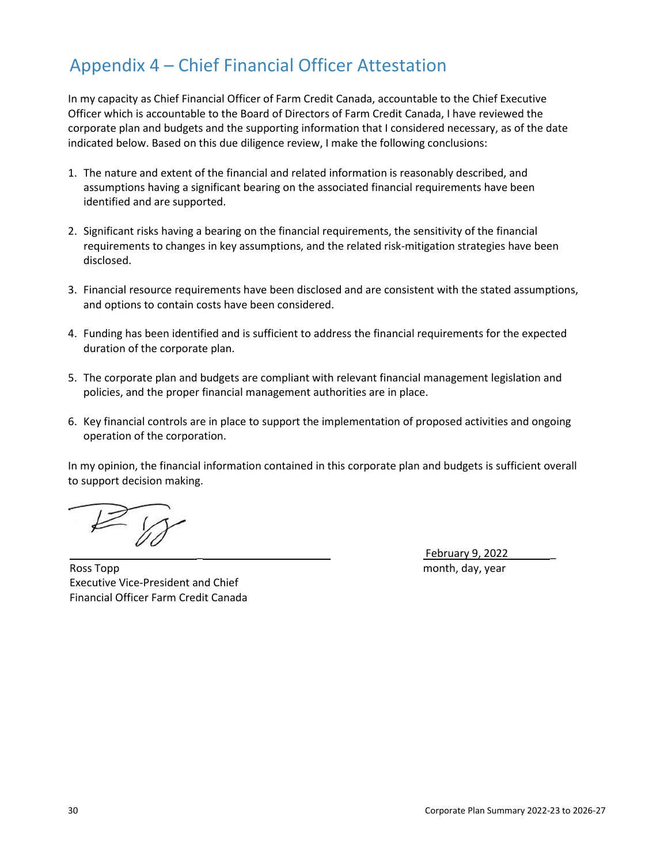## Appendix 4 – Chief Financial Officer Attestation

In my capacity as Chief Financial Officer of Farm Credit Canada, accountable to the Chief Executive Officer which is accountable to the Board of Directors of Farm Credit Canada, I have reviewed the corporate plan and budgets and the supporting information that I considered necessary, as of the date indicated below. Based on this due diligence review, I make the following conclusions:

- 1. The nature and extent of the financial and related information is reasonably described, and assumptions having a significant bearing on the associated financial requirements have been identified and are supported.
- 2. Significant risks having a bearing on the financial requirements, the sensitivity of the financial requirements to changes in key assumptions, and the related risk-mitigation strategies have been disclosed.
- 3. Financial resource requirements have been disclosed and are consistent with the stated assumptions, and options to contain costs have been considered.
- 4. Funding has been identified and is sufficient to address the financial requirements for the expected duration of the corporate plan.
- 5. The corporate plan and budgets are compliant with relevant financial management legislation and policies, and the proper financial management authorities are in place.
- 6. Key financial controls are in place to support the implementation of proposed activities and ongoing operation of the corporation.

In my opinion, the financial information contained in this corporate plan and budgets is sufficient overall to support decision making.

Ross Topp **Month** and the control of the control of the control of the control of the control of the control of the control of the control of the control of the control of the control of the control of the control of the c Executive Vice-President and Chief Financial Officer Farm Credit Canada

\_ February 9, 2022 \_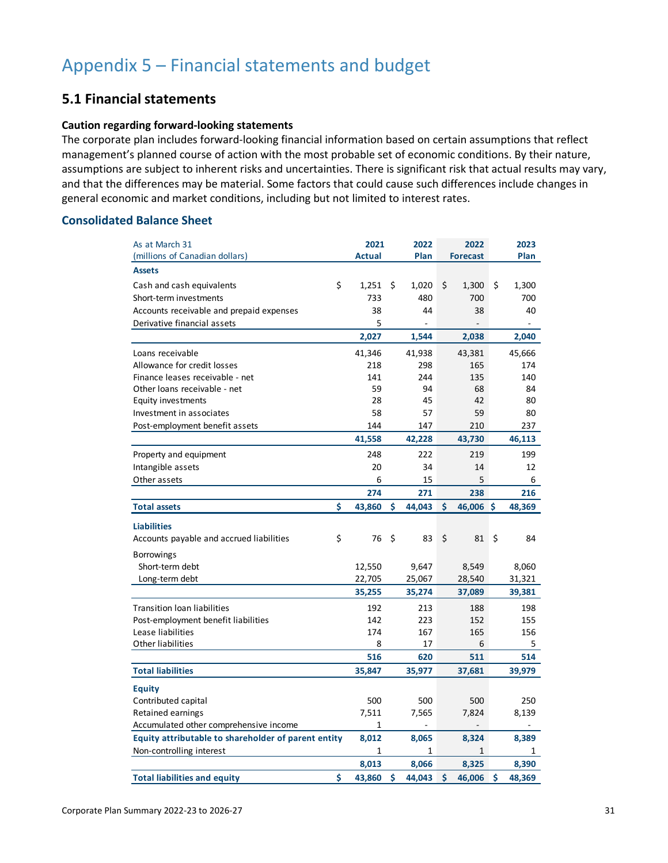## **5.1 Financial statements**

#### **Caution regarding forward-looking statements**

The corporate plan includes forward-looking financial information based on certain assumptions that reflect management's planned course of action with the most probable set of economic conditions. By their nature, assumptions are subject to inherent risks and uncertainties. There is significant risk that actual results may vary, and that the differences may be material. Some factors that could cause such differences include changes in general economic and market conditions, including but not limited to interest rates.

#### **Consolidated Balance Sheet**

| As at March 31                                      | 2021          | 2022         | 2022         | 2023         |
|-----------------------------------------------------|---------------|--------------|--------------|--------------|
| (millions of Canadian dollars)                      | <b>Actual</b> | Plan         | Forecast     | Plan         |
| <b>Assets</b>                                       |               |              |              |              |
| \$<br>Cash and cash equivalents                     | 1,251         | \$<br>1,020  | \$<br>1,300  | \$<br>1,300  |
| Short-term investments                              | 733           | 480          | 700          | 700          |
| Accounts receivable and prepaid expenses            | 38            | 44           | 38           | 40           |
| Derivative financial assets                         | 5             |              |              |              |
|                                                     | 2,027         | 1,544        | 2,038        | 2,040        |
| Loans receivable                                    | 41,346        | 41,938       | 43,381       | 45,666       |
| Allowance for credit losses                         | 218           | 298          | 165          | 174          |
| Finance leases receivable - net                     | 141           | 244          | 135          | 140          |
| Other loans receivable - net                        | 59            | 94           | 68           | 84           |
| Equity investments                                  | 28            | 45           | 42           | 80           |
| Investment in associates                            | 58            | 57           | 59           | 80           |
| Post-employment benefit assets                      | 144           | 147          | 210          | 237          |
|                                                     | 41,558        | 42,228       | 43,730       | 46,113       |
| Property and equipment                              | 248           | 222          | 219          | 199          |
| Intangible assets                                   | 20            | 34           | 14           | 12           |
| Other assets                                        | 6             | 15           | 5            | 6            |
|                                                     | 274           | 271          | 238          | 216          |
| \$<br><b>Total assets</b>                           | 43,860        | \$<br>44,043 | \$<br>46,006 | \$<br>48,369 |
| <b>Liabilities</b>                                  |               |              |              |              |
| \$<br>Accounts payable and accrued liabilities      | 76            | \$<br>83     | \$<br>81     | \$<br>84     |
| <b>Borrowings</b>                                   |               |              |              |              |
| Short-term debt                                     | 12,550        | 9,647        | 8,549        | 8,060        |
| Long-term debt                                      | 22,705        | 25,067       | 28,540       | 31,321       |
|                                                     | 35,255        | 35,274       | 37,089       | 39,381       |
| <b>Transition loan liabilities</b>                  | 192           | 213          | 188          | 198          |
| Post-employment benefit liabilities                 | 142           | 223          | 152          | 155          |
| Lease liabilities                                   | 174           | 167          | 165          | 156          |
| Other liabilities                                   | 8             | 17           | 6            | 5            |
|                                                     | 516           | 620          | 511          | 514          |
| <b>Total liabilities</b>                            | 35,847        | 35,977       | 37,681       | 39,979       |
| <b>Equity</b>                                       |               |              |              |              |
| Contributed capital                                 | 500           | 500          | 500          | 250          |
| Retained earnings                                   | 7,511         | 7,565        | 7,824        | 8,139        |
| Accumulated other comprehensive income              | 1             |              |              |              |
| Equity attributable to shareholder of parent entity | 8,012         | 8,065        | 8,324        | 8,389        |
| Non-controlling interest                            | 1             | 1            | $\mathbf{1}$ | 1            |
|                                                     | 8,013         | 8,066        | 8,325        | 8,390        |
| \$<br><b>Total liabilities and equity</b>           | 43,860        | \$<br>44,043 | \$<br>46,006 | \$<br>48,369 |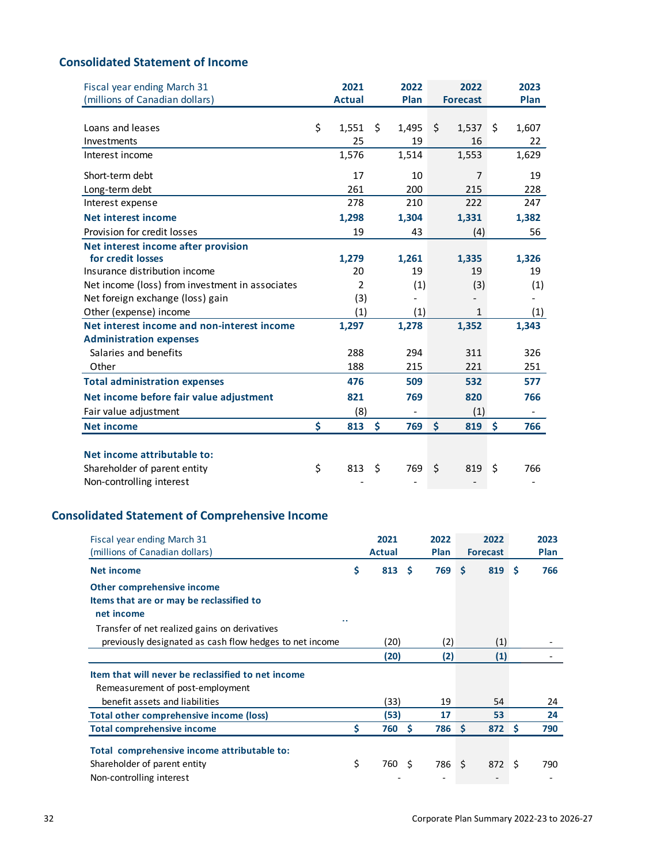## **Consolidated Statement of Income**

| Fiscal year ending March 31                     | 2021          | 2022        | 2022            | 2023                     |
|-------------------------------------------------|---------------|-------------|-----------------|--------------------------|
| (millions of Canadian dollars)                  | <b>Actual</b> | Plan        | <b>Forecast</b> | Plan                     |
|                                                 |               |             |                 |                          |
| Loans and leases                                | \$<br>1,551   | \$<br>1,495 | \$<br>1,537     | \$<br>1,607              |
| Investments                                     | 25            | 19          | 16              | 22                       |
| Interest income                                 | 1,576         | 1,514       | 1,553           | 1,629                    |
| Short-term debt                                 | 17            | 10          | 7               | 19                       |
| Long-term debt                                  | 261           | 200         | 215             | 228                      |
| Interest expense                                | 278           | 210         | 222             | 247                      |
| <b>Net interest income</b>                      | 1,298         | 1,304       | 1,331           | 1,382                    |
| Provision for credit losses                     | 19            | 43          | (4)             | 56                       |
| Net interest income after provision             |               |             |                 |                          |
| for credit losses                               | 1,279         | 1,261       | 1,335           | 1,326                    |
| Insurance distribution income                   | 20            | 19          | 19              | 19                       |
| Net income (loss) from investment in associates | 2             | (1)         | (3)             | (1)                      |
| Net foreign exchange (loss) gain                | (3)           |             |                 |                          |
| Other (expense) income                          | (1)           | (1)         | $\mathbf{1}$    | (1)                      |
| Net interest income and non-interest income     | 1,297         | 1,278       | 1,352           | 1,343                    |
| <b>Administration expenses</b>                  |               |             |                 |                          |
| Salaries and benefits                           | 288           | 294         | 311             | 326                      |
| Other                                           | 188           | 215         | 221             | 251                      |
| <b>Total administration expenses</b>            | 476           | 509         | 532             | 577                      |
| Net income before fair value adjustment         | 821           | 769         | 820             | 766                      |
| Fair value adjustment                           | (8)           |             | (1)             | $\overline{\phantom{a}}$ |
| <b>Net income</b>                               | \$<br>813     | \$<br>769   | \$<br>819       | \$<br>766                |
|                                                 |               |             |                 |                          |
| Net income attributable to:                     |               |             |                 |                          |
| Shareholder of parent entity                    | \$<br>813     | \$<br>769   | \$<br>819       | \$<br>766                |
| Non-controlling interest                        |               |             |                 |                          |

## **Consolidated Statement of Comprehensive Income**

| Fiscal year ending March 31<br>(millions of Canadian dollars) |    | 2021<br><b>Actual</b> |          | 2022<br><b>Plan</b> |          | 2022<br><b>Forecast</b> |     | 2023<br>Plan |
|---------------------------------------------------------------|----|-----------------------|----------|---------------------|----------|-------------------------|-----|--------------|
| Net income                                                    | \$ | 813                   | <b>S</b> | 769                 | Ŝ.       | 819                     | S   | 766          |
| Other comprehensive income                                    |    |                       |          |                     |          |                         |     |              |
| Items that are or may be reclassified to                      |    |                       |          |                     |          |                         |     |              |
| net income<br>. .                                             |    |                       |          |                     |          |                         |     |              |
| Transfer of net realized gains on derivatives                 |    |                       |          |                     |          |                         |     |              |
| previously designated as cash flow hedges to net income       |    | (20)                  |          | (2)                 |          | (1)                     |     |              |
|                                                               |    | (20)                  |          | (2)                 |          | $\left( 1\right)$       |     |              |
| Item that will never be reclassified to net income            |    |                       |          |                     |          |                         |     |              |
| Remeasurement of post-employment                              |    |                       |          |                     |          |                         |     |              |
| benefit assets and liabilities                                |    | (33)                  |          | 19                  |          | 54                      |     | 24           |
| Total other comprehensive income (loss)                       |    | (53)                  |          | 17                  |          | 53                      |     | 24           |
| <b>Total comprehensive income</b>                             | Ś  | 760                   | <b>S</b> | 786                 | <b>S</b> | 872 <sub>5</sub>        |     | 790          |
| Total comprehensive income attributable to:                   |    |                       |          |                     |          |                         |     |              |
| Shareholder of parent entity                                  | \$ | 760 S                 |          | 786 \$              |          | 872                     | ∣\$ | 790          |
| Non-controlling interest                                      |    |                       |          |                     |          |                         |     |              |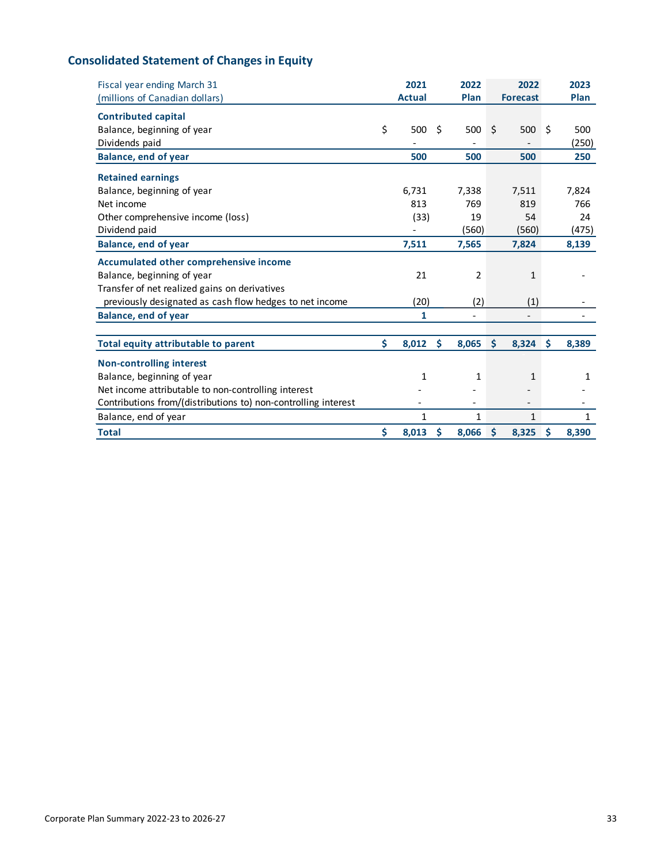## **Consolidated Statement of Changes in Equity**

| Fiscal year ending March 31                                    | 2021          |    | 2022           |    | 2022            |    | 2023  |
|----------------------------------------------------------------|---------------|----|----------------|----|-----------------|----|-------|
| (millions of Canadian dollars)                                 | <b>Actual</b> |    | Plan           |    | <b>Forecast</b> |    | Plan  |
| <b>Contributed capital</b>                                     |               |    |                |    |                 |    |       |
| Balance, beginning of year                                     | \$<br>500     | Ś  | 500            | Ŝ. | 500             | Ŝ. | 500   |
| Dividends paid                                                 |               |    |                |    |                 |    | (250) |
| <b>Balance, end of year</b>                                    | 500           |    | 500            |    | 500             |    | 250   |
| <b>Retained earnings</b>                                       |               |    |                |    |                 |    |       |
| Balance, beginning of year                                     | 6,731         |    | 7,338          |    | 7,511           |    | 7,824 |
| Net income                                                     | 813           |    | 769            |    | 819             |    | 766   |
| Other comprehensive income (loss)                              | (33)          |    | 19             |    | 54              |    | 24    |
| Dividend paid                                                  |               |    | (560)          |    | (560)           |    | (475) |
| <b>Balance, end of year</b>                                    | 7,511         |    | 7,565          |    | 7,824           |    | 8,139 |
| <b>Accumulated other comprehensive income</b>                  |               |    |                |    |                 |    |       |
| Balance, beginning of year                                     | 21            |    | 2              |    | 1               |    |       |
| Transfer of net realized gains on derivatives                  |               |    |                |    |                 |    |       |
| previously designated as cash flow hedges to net income        | (20)          |    | (2)            |    | (1)             |    |       |
| <b>Balance, end of year</b>                                    | $\mathbf{1}$  |    | $\overline{a}$ |    |                 |    |       |
|                                                                |               |    |                |    |                 |    |       |
| Total equity attributable to parent                            | \$<br>8,012   | Ŝ. | 8,065          | \$ | 8,324           | \$ | 8,389 |
| <b>Non-controlling interest</b>                                |               |    |                |    |                 |    |       |
| Balance, beginning of year                                     | 1             |    | 1              |    | $\mathbf{1}$    |    | 1     |
| Net income attributable to non-controlling interest            |               |    |                |    |                 |    |       |
| Contributions from/(distributions to) non-controlling interest |               |    |                |    |                 |    |       |
| Balance, end of year                                           | 1             |    | 1              |    | 1               |    | 1     |
| <b>Total</b>                                                   | \$<br>8,013   | \$ | 8,066          | \$ | 8,325           | \$ | 8,390 |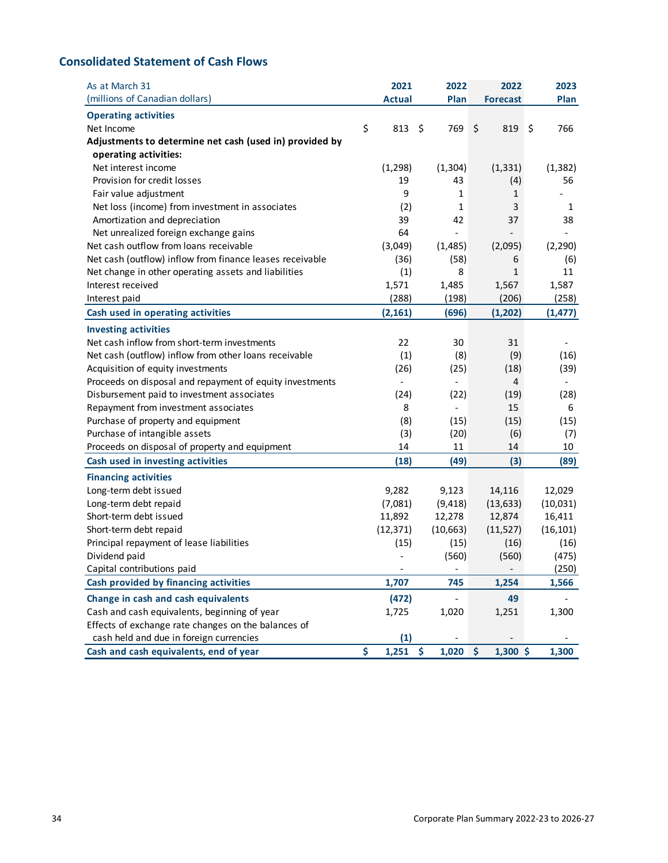## **Consolidated Statement of Cash Flows**

| As at March 31                                           | 2021                     |           | 2022                     | 2022                              | 2023                     |
|----------------------------------------------------------|--------------------------|-----------|--------------------------|-----------------------------------|--------------------------|
| (millions of Canadian dollars)                           | <b>Actual</b>            |           | Plan                     | <b>Forecast</b>                   | Plan                     |
| <b>Operating activities</b>                              |                          |           |                          |                                   |                          |
| Net Income                                               | \$<br>813                | \$        | 769                      | \$<br>819                         | \$<br>766                |
| Adjustments to determine net cash (used in) provided by  |                          |           |                          |                                   |                          |
| operating activities:                                    |                          |           |                          |                                   |                          |
| Net interest income                                      | (1, 298)                 | (1, 304)  |                          | (1, 331)                          | (1, 382)                 |
| Provision for credit losses                              | 19                       |           | 43                       | (4)                               | 56                       |
| Fair value adjustment                                    | 9                        |           | 1                        | 1                                 |                          |
| Net loss (income) from investment in associates          | (2)                      |           | 1                        | 3                                 | 1                        |
| Amortization and depreciation                            | 39                       |           | 42                       | 37                                | 38                       |
| Net unrealized foreign exchange gains                    | 64                       |           | $\overline{\phantom{0}}$ |                                   |                          |
| Net cash outflow from loans receivable                   | (3,049)                  | (1, 485)  |                          | (2,095)                           | (2, 290)                 |
| Net cash (outflow) inflow from finance leases receivable | (36)                     |           | (58)                     | 6                                 | (6)                      |
| Net change in other operating assets and liabilities     | (1)                      |           | 8                        | 1                                 | 11                       |
| Interest received                                        | 1,571                    |           | 1,485                    | 1,567                             | 1,587                    |
| Interest paid                                            | (288)                    |           | (198)                    | (206)                             | (258)                    |
| Cash used in operating activities                        | (2, 161)                 |           | (696)                    | (1, 202)                          | (1, 477)                 |
| <b>Investing activities</b>                              |                          |           |                          |                                   |                          |
| Net cash inflow from short-term investments              | 22                       |           | 30                       | 31                                | $\overline{\phantom{a}}$ |
| Net cash (outflow) inflow from other loans receivable    | (1)                      |           | (8)                      | (9)                               | (16)                     |
| Acquisition of equity investments                        | (26)                     |           | (25)                     | (18)                              | (39)                     |
| Proceeds on disposal and repayment of equity investments | $\overline{\phantom{0}}$ |           | $\overline{\phantom{0}}$ | 4                                 | $\overline{\phantom{a}}$ |
| Disbursement paid to investment associates               | (24)                     |           | (22)                     | (19)                              | (28)                     |
| Repayment from investment associates                     | 8                        |           | $\overline{\phantom{0}}$ | 15                                | 6                        |
| Purchase of property and equipment                       | (8)                      |           | (15)                     | (15)                              | (15)                     |
| Purchase of intangible assets                            | (3)                      |           | (20)                     | (6)                               | (7)                      |
| Proceeds on disposal of property and equipment           | 14                       |           | 11                       | 14                                | 10                       |
| Cash used in investing activities                        | (18)                     |           | (49)                     | (3)                               | (89)                     |
| <b>Financing activities</b>                              |                          |           |                          |                                   |                          |
| Long-term debt issued                                    | 9,282                    | 9,123     |                          | 14,116                            | 12,029                   |
| Long-term debt repaid                                    | (7,081)                  | (9, 418)  |                          | (13, 633)                         | (10, 031)                |
| Short-term debt issued                                   | 11,892                   | 12,278    |                          | 12,874                            | 16,411                   |
| Short-term debt repaid                                   | (12, 371)                | (10, 663) |                          | (11, 527)                         | (16, 101)                |
| Principal repayment of lease liabilities                 | (15)                     |           | (15)                     | (16)                              | (16)                     |
| Dividend paid                                            |                          |           | (560)                    | (560)                             | (475)                    |
| Capital contributions paid                               |                          |           |                          |                                   | (250)                    |
| Cash provided by financing activities                    | 1,707                    |           | 745                      | 1,254                             | 1,566                    |
| Change in cash and cash equivalents                      | (472)                    |           | $\overline{\phantom{0}}$ | 49                                |                          |
| Cash and cash equivalents, beginning of year             | 1,725                    |           | 1,020                    | 1,251                             | 1,300                    |
| Effects of exchange rate changes on the balances of      |                          |           |                          |                                   |                          |
| cash held and due in foreign currencies                  | (1)                      |           |                          |                                   |                          |
| Cash and cash equivalents, end of year                   | \$<br>1,251              | \$        | 1,020                    | $\ddot{\mathsf{S}}$<br>$1,300$ \$ | 1,300                    |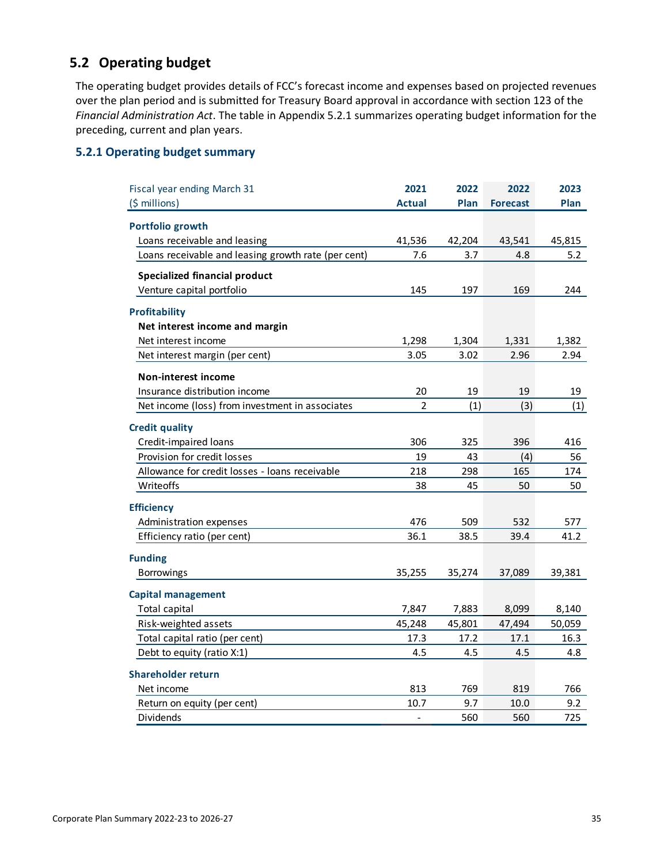## **5.2 Operating budget**

The operating budget provides details of FCC's forecast income and expenses based on projected revenues over the plan period and is submitted for Treasury Board approval in accordance with section 123 of the *Financial Administration Act*. The table in Appendix 5.2.1 summarizes operating budget information for the preceding, current and plan years.

## **5.2.1 Operating budget summary**

| Fiscal year ending March 31                         | 2021           | 2022   | 2022            | 2023   |
|-----------------------------------------------------|----------------|--------|-----------------|--------|
| (\$ millions)                                       | <b>Actual</b>  | Plan   | <b>Forecast</b> | Plan   |
| Portfolio growth                                    |                |        |                 |        |
| Loans receivable and leasing                        | 41,536         | 42,204 | 43,541          | 45,815 |
| Loans receivable and leasing growth rate (per cent) | 7.6            | 3.7    | 4.8             | 5.2    |
| <b>Specialized financial product</b>                |                |        |                 |        |
| Venture capital portfolio                           | 145            | 197    | 169             | 244    |
| <b>Profitability</b>                                |                |        |                 |        |
| Net interest income and margin                      |                |        |                 |        |
| Net interest income                                 | 1,298          | 1,304  | 1,331           | 1,382  |
| Net interest margin (per cent)                      | 3.05           | 3.02   | 2.96            | 2.94   |
| <b>Non-interest income</b>                          |                |        |                 |        |
| Insurance distribution income                       | 20             | 19     | 19              | 19     |
| Net income (loss) from investment in associates     | $\overline{2}$ | (1)    | (3)             | (1)    |
|                                                     |                |        |                 |        |
| <b>Credit quality</b>                               |                |        |                 |        |
| Credit-impaired loans                               | 306            | 325    | 396             | 416    |
| Provision for credit losses                         | 19             | 43     | (4)             | 56     |
| Allowance for credit losses - loans receivable      | 218            | 298    | 165             | 174    |
| Writeoffs                                           | 38             | 45     | 50              | 50     |
| <b>Efficiency</b>                                   |                |        |                 |        |
| Administration expenses                             | 476            | 509    | 532             | 577    |
| Efficiency ratio (per cent)                         | 36.1           | 38.5   | 39.4            | 41.2   |
| <b>Funding</b>                                      |                |        |                 |        |
| Borrowings                                          | 35,255         | 35,274 | 37,089          | 39,381 |
| <b>Capital management</b>                           |                |        |                 |        |
| <b>Total capital</b>                                | 7,847          | 7,883  | 8,099           | 8,140  |
| Risk-weighted assets                                | 45,248         | 45,801 | 47,494          | 50,059 |
| Total capital ratio (per cent)                      | 17.3           | 17.2   | 17.1            | 16.3   |
| Debt to equity (ratio X:1)                          | 4.5            | 4.5    | 4.5             | 4.8    |
| <b>Shareholder return</b>                           |                |        |                 |        |
| Net income                                          | 813            | 769    | 819             | 766    |
| Return on equity (per cent)                         | 10.7           | 9.7    | 10.0            | 9.2    |
| Dividends                                           | $\frac{1}{2}$  | 560    | 560             | 725    |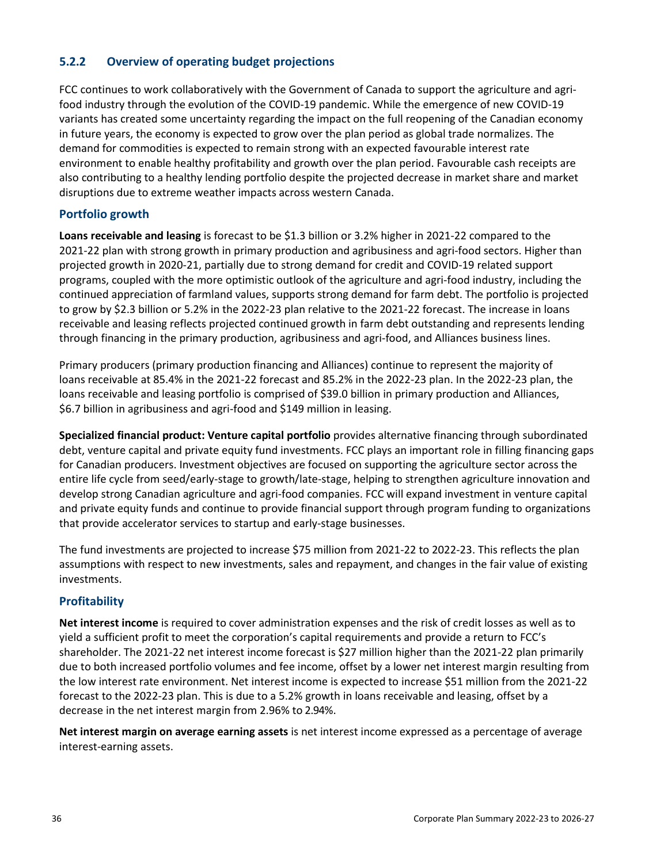## **5.2.2 Overview of operating budget projections**

FCC continues to work collaboratively with the Government of Canada to support the agriculture and agrifood industry through the evolution of the COVID-19 pandemic. While the emergence of new COVID-19 variants has created some uncertainty regarding the impact on the full reopening of the Canadian economy in future years, the economy is expected to grow over the plan period as global trade normalizes. The demand for commodities is expected to remain strong with an expected favourable interest rate environment to enable healthy profitability and growth over the plan period. Favourable cash receipts are also contributing to a healthy lending portfolio despite the projected decrease in market share and market disruptions due to extreme weather impacts across western Canada.

### **Portfolio growth**

**Loans receivable and leasing** is forecast to be \$1.3 billion or 3.2% higher in 2021-22 compared to the 2021-22 plan with strong growth in primary production and agribusiness and agri-food sectors. Higher than projected growth in 2020-21, partially due to strong demand for credit and COVID-19 related support programs, coupled with the more optimistic outlook of the agriculture and agri-food industry, including the continued appreciation of farmland values, supports strong demand for farm debt. The portfolio is projected to grow by \$2.3 billion or 5.2% in the 2022-23 plan relative to the 2021-22 forecast. The increase in loans receivable and leasing reflects projected continued growth in farm debt outstanding and represents lending through financing in the primary production, agribusiness and agri-food, and Alliances business lines.

Primary producers (primary production financing and Alliances) continue to represent the majority of loans receivable at 85.4% in the 2021-22 forecast and 85.2% in the 2022-23 plan. In the 2022-23 plan, the loans receivable and leasing portfolio is comprised of \$39.0 billion in primary production and Alliances, \$6.7 billion in agribusiness and agri-food and \$149 million in leasing.

**Specialized financial product: Venture capital portfolio** provides alternative financing through subordinated debt, venture capital and private equity fund investments. FCC plays an important role in filling financing gaps for Canadian producers. Investment objectives are focused on supporting the agriculture sector across the entire life cycle from seed/early-stage to growth/late-stage, helping to strengthen agriculture innovation and develop strong Canadian agriculture and agri-food companies. FCC will expand investment in venture capital and private equity funds and continue to provide financial support through program funding to organizations that provide accelerator services to startup and early-stage businesses.

The fund investments are projected to increase \$75 million from 2021-22 to 2022-23. This reflects the plan assumptions with respect to new investments, sales and repayment, and changes in the fair value of existing investments.

## **Profitability**

**Net interest income** is required to cover administration expenses and the risk of credit losses as well as to yield a sufficient profit to meet the corporation's capital requirements and provide a return to FCC's shareholder. The 2021-22 net interest income forecast is \$27 million higher than the 2021-22 plan primarily due to both increased portfolio volumes and fee income, offset by a lower net interest margin resulting from the low interest rate environment. Net interest income is expected to increase \$51 million from the 2021-22 forecast to the 2022-23 plan. This is due to a 5.2% growth in loans receivable and leasing, offset by a decrease in the net interest margin from 2.96% to 2.94%.

**Net interest margin on average earning assets** is net interest income expressed as a percentage of average interest-earning assets.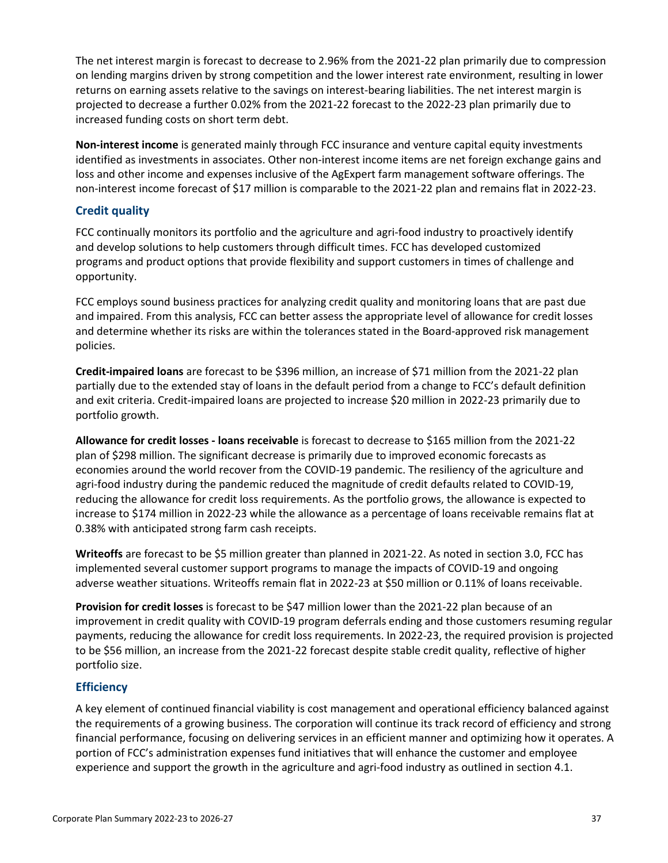The net interest margin is forecast to decrease to 2.96% from the 2021-22 plan primarily due to compression on lending margins driven by strong competition and the lower interest rate environment, resulting in lower returns on earning assets relative to the savings on interest-bearing liabilities. The net interest margin is projected to decrease a further 0.02% from the 2021-22 forecast to the 2022-23 plan primarily due to increased funding costs on short term debt.

**Non-interest income** is generated mainly through FCC insurance and venture capital equity investments identified as investments in associates. Other non-interest income items are net foreign exchange gains and loss and other income and expenses inclusive of the AgExpert farm management software offerings. The non-interest income forecast of \$17 million is comparable to the 2021-22 plan and remains flat in 2022-23.

### **Credit quality**

FCC continually monitors its portfolio and the agriculture and agri-food industry to proactively identify and develop solutions to help customers through difficult times. FCC has developed customized programs and product options that provide flexibility and support customers in times of challenge and opportunity.

FCC employs sound business practices for analyzing credit quality and monitoring loans that are past due and impaired. From this analysis, FCC can better assess the appropriate level of allowance for credit losses and determine whether its risks are within the tolerances stated in the Board-approved risk management policies.

**Credit-impaired loans** are forecast to be \$396 million, an increase of \$71 million from the 2021-22 plan partially due to the extended stay of loans in the default period from a change to FCC's default definition and exit criteria. Credit-impaired loans are projected to increase \$20 million in 2022-23 primarily due to portfolio growth.

**Allowance for credit losses - loans receivable** is forecast to decrease to \$165 million from the 2021-22 plan of \$298 million. The significant decrease is primarily due to improved economic forecasts as economies around the world recover from the COVID-19 pandemic. The resiliency of the agriculture and agri-food industry during the pandemic reduced the magnitude of credit defaults related to COVID-19, reducing the allowance for credit loss requirements. As the portfolio grows, the allowance is expected to increase to \$174 million in 2022-23 while the allowance as a percentage of loans receivable remains flat at 0.38% with anticipated strong farm cash receipts.

**Writeoffs** are forecast to be \$5 million greater than planned in 2021-22. As noted in section 3.0, FCC has implemented several customer support programs to manage the impacts of COVID-19 and ongoing adverse weather situations. Writeoffs remain flat in 2022-23 at \$50 million or 0.11% of loans receivable.

**Provision for credit losses** is forecast to be \$47 million lower than the 2021-22 plan because of an improvement in credit quality with COVID-19 program deferrals ending and those customers resuming regular payments, reducing the allowance for credit loss requirements. In 2022-23, the required provision is projected to be \$56 million, an increase from the 2021-22 forecast despite stable credit quality, reflective of higher portfolio size.

## **Efficiency**

A key element of continued financial viability is cost management and operational efficiency balanced against the requirements of a growing business. The corporation will continue its track record of efficiency and strong financial performance, focusing on delivering services in an efficient manner and optimizing how it operates. A portion of FCC's administration expenses fund initiatives that will enhance the customer and employee experience and support the growth in the agriculture and agri-food industry as outlined in section 4.1.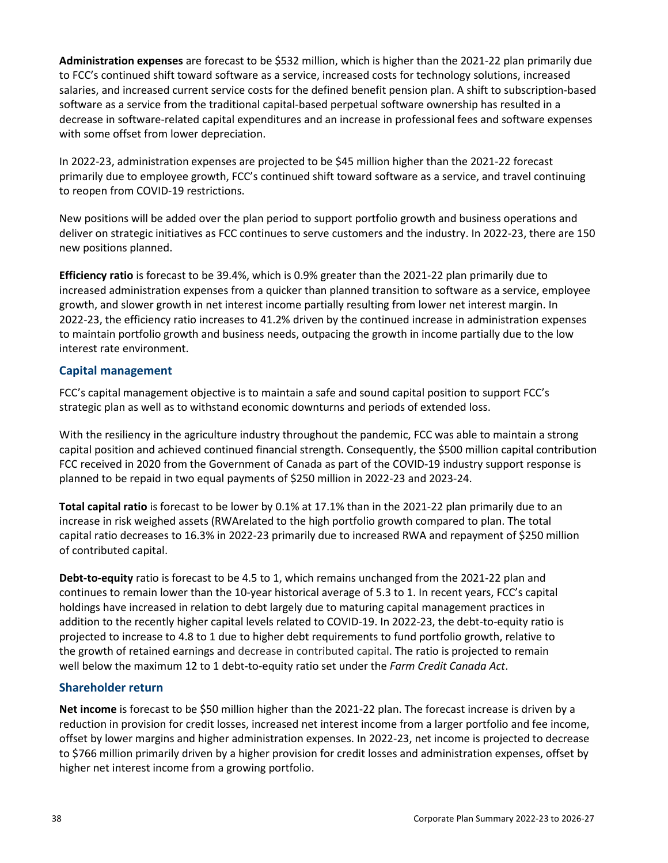**Administration expenses** are forecast to be \$532 million, which is higher than the 2021-22 plan primarily due to FCC's continued shift toward software as a service, increased costs for technology solutions, increased salaries, and increased current service costs for the defined benefit pension plan. A shift to subscription-based software as a service from the traditional capital-based perpetual software ownership has resulted in a decrease in software-related capital expenditures and an increase in professional fees and software expenses with some offset from lower depreciation.

In 2022-23, administration expenses are projected to be \$45 million higher than the 2021-22 forecast primarily due to employee growth, FCC's continued shift toward software as a service, and travel continuing to reopen from COVID-19 restrictions.

New positions will be added over the plan period to support portfolio growth and business operations and deliver on strategic initiatives as FCC continues to serve customers and the industry. In 2022-23, there are 150 new positions planned.

**Efficiency ratio** is forecast to be 39.4%, which is 0.9% greater than the 2021-22 plan primarily due to increased administration expenses from a quicker than planned transition to software as a service, employee growth, and slower growth in net interest income partially resulting from lower net interest margin. In 2022-23, the efficiency ratio increases to 41.2% driven by the continued increase in administration expenses to maintain portfolio growth and business needs, outpacing the growth in income partially due to the low interest rate environment.

### **Capital management**

FCC's capital management objective is to maintain a safe and sound capital position to support FCC's strategic plan as well as to withstand economic downturns and periods of extended loss.

With the resiliency in the agriculture industry throughout the pandemic, FCC was able to maintain a strong capital position and achieved continued financial strength. Consequently, the \$500 million capital contribution FCC received in 2020 from the Government of Canada as part of the COVID-19 industry support response is planned to be repaid in two equal payments of \$250 million in 2022-23 and 2023-24.

**Total capital ratio** is forecast to be lower by 0.1% at 17.1% than in the 2021-22 plan primarily due to an increase in risk weighed assets (RWArelated to the high portfolio growth compared to plan. The total capital ratio decreases to 16.3% in 2022-23 primarily due to increased RWA and repayment of \$250 million of contributed capital.

**Debt-to-equity** ratio is forecast to be 4.5 to 1, which remains unchanged from the 2021-22 plan and continues to remain lower than the 10-year historical average of 5.3 to 1. In recent years, FCC's capital holdings have increased in relation to debt largely due to maturing capital management practices in addition to the recently higher capital levels related to COVID-19. In 2022-23, the debt-to-equity ratio is projected to increase to 4.8 to 1 due to higher debt requirements to fund portfolio growth, relative to the growth of retained earnings and decrease in contributed capital. The ratio is projected to remain well below the maximum 12 to 1 debt-to-equity ratio set under the *Farm Credit Canada Act*.

#### **Shareholder return**

**Net income** is forecast to be \$50 million higher than the 2021-22 plan. The forecast increase is driven by a reduction in provision for credit losses, increased net interest income from a larger portfolio and fee income, offset by lower margins and higher administration expenses. In 2022-23, net income is projected to decrease to \$766 million primarily driven by a higher provision for credit losses and administration expenses, offset by higher net interest income from a growing portfolio.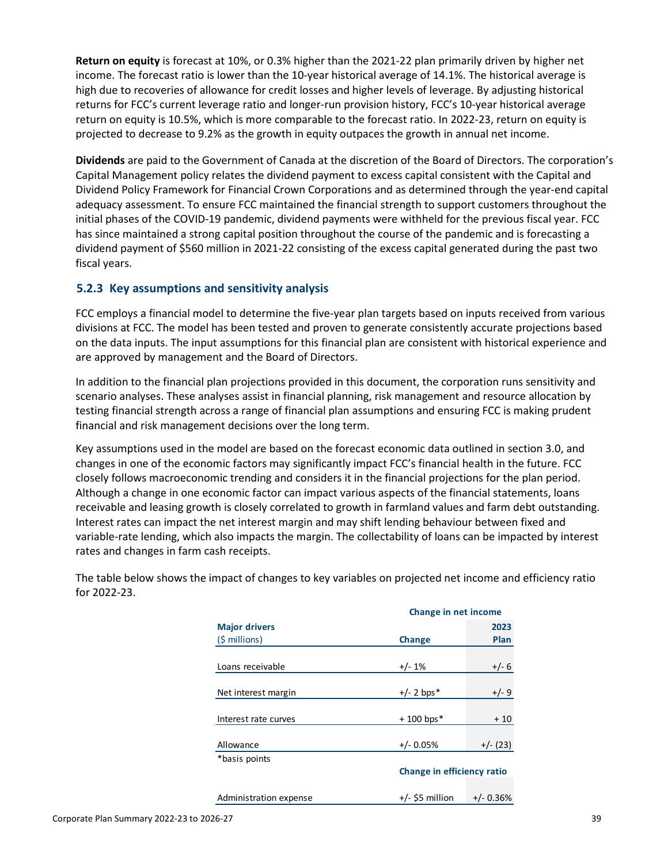**Return on equity** is forecast at 10%, or 0.3% higher than the 2021-22 plan primarily driven by higher net income. The forecast ratio is lower than the 10-year historical average of 14.1%. The historical average is high due to recoveries of allowance for credit losses and higher levels of leverage. By adjusting historical returns for FCC's current leverage ratio and longer-run provision history, FCC's 10-year historical average return on equity is 10.5%, which is more comparable to the forecast ratio. In 2022-23, return on equity is projected to decrease to 9.2% as the growth in equity outpaces the growth in annual net income.

**Dividends** are paid to the Government of Canada at the discretion of the Board of Directors. The corporation's Capital Management policy relates the dividend payment to excess capital consistent with the Capital and Dividend Policy Framework for Financial Crown Corporations and as determined through the year-end capital adequacy assessment. To ensure FCC maintained the financial strength to support customers throughout the initial phases of the COVID-19 pandemic, dividend payments were withheld for the previous fiscal year. FCC has since maintained a strong capital position throughout the course of the pandemic and is forecasting a dividend payment of \$560 million in 2021-22 consisting of the excess capital generated during the past two fiscal years.

## **5.2.3 Key assumptions and sensitivity analysis**

FCC employs a financial model to determine the five-year plan targets based on inputs received from various divisions at FCC. The model has been tested and proven to generate consistently accurate projections based on the data inputs. The input assumptions for this financial plan are consistent with historical experience and are approved by management and the Board of Directors.

In addition to the financial plan projections provided in this document, the corporation runs sensitivity and scenario analyses. These analyses assist in financial planning, risk management and resource allocation by testing financial strength across a range of financial plan assumptions and ensuring FCC is making prudent financial and risk management decisions over the long term.

Key assumptions used in the model are based on the forecast economic data outlined in section 3.0, and changes in one of the economic factors may significantly impact FCC's financial health in the future. FCC closely follows macroeconomic trending and considers it in the financial projections for the plan period. Although a change in one economic factor can impact various aspects of the financial statements, loans receivable and leasing growth is closely correlated to growth in farmland values and farm debt outstanding. Interest rates can impact the net interest margin and may shift lending behaviour between fixed and variable-rate lending, which also impacts the margin. The collectability of loans can be impacted by interest rates and changes in farm cash receipts.

|                        | Change in net income |                            |  |
|------------------------|----------------------|----------------------------|--|
| <b>Major drivers</b>   |                      | 2023                       |  |
| $(5 millions)$         | Change               | Plan                       |  |
|                        |                      |                            |  |
| Loans receivable       | $+/- 1%$             | $+/- 6$                    |  |
|                        |                      |                            |  |
| Net interest margin    | $+/- 2$ bps*         | $+/-9$                     |  |
|                        |                      |                            |  |
| Interest rate curves   | $+100$ bps*          | $+10$                      |  |
|                        |                      |                            |  |
| Allowance              | $+/- 0.05%$          | $+/- (23)$                 |  |
| *basis points          |                      |                            |  |
|                        |                      | Change in efficiency ratio |  |
|                        |                      |                            |  |
| Administration expense | $+/-$ \$5 million    | $+/- 0.36%$                |  |

The table below shows the impact of changes to key variables on projected net income and efficiency ratio for 2022-23.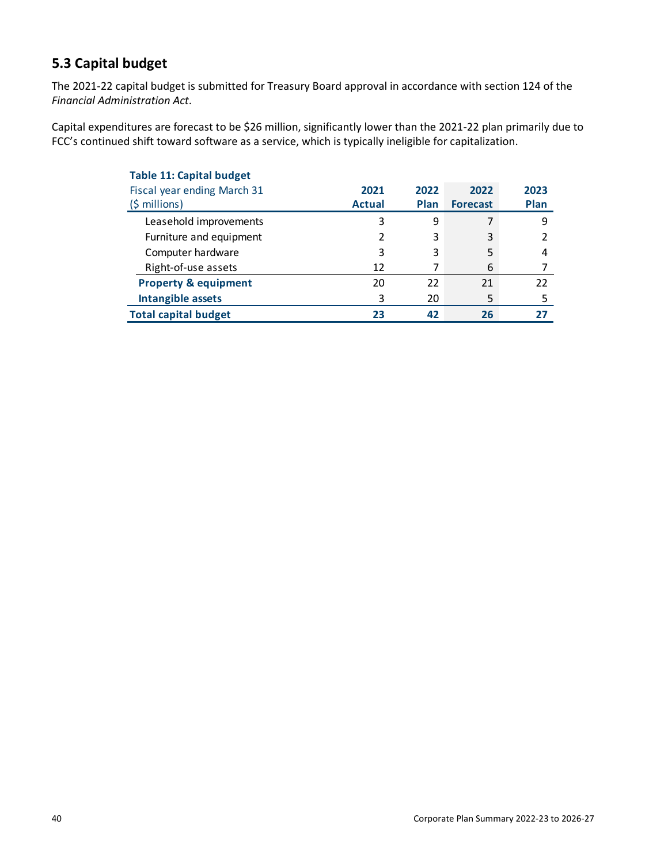## **5.3 Capital budget**

The 2021-22 capital budget is submitted for Treasury Board approval in accordance with section 124 of the *Financial Administration Act*.

Capital expenditures are forecast to be \$26 million, significantly lower than the 2021-22 plan primarily due to FCC's continued shift toward software as a service, which is typically ineligible for capitalization.

| <b>Table 11: Capital budget</b> |               |             |                 |      |
|---------------------------------|---------------|-------------|-----------------|------|
| Fiscal year ending March 31     | 2021          | 2022        | 2022            | 2023 |
| $(\frac{1}{2} millions)$        | <b>Actual</b> | <b>Plan</b> | <b>Forecast</b> | Plan |
| Leasehold improvements          | 3             | 9           |                 | 9    |
| Furniture and equipment         | 2             | 3           | 3               |      |
| Computer hardware               | 3             | 3           | 5               | 4    |
| Right-of-use assets             | 12            | 7           | 6               |      |
| <b>Property &amp; equipment</b> | 20            | 22          | 21              | 22   |
| Intangible assets               | 3             | 20          |                 | 5    |
| <b>Total capital budget</b>     | 23            | 42          | 26              | 77   |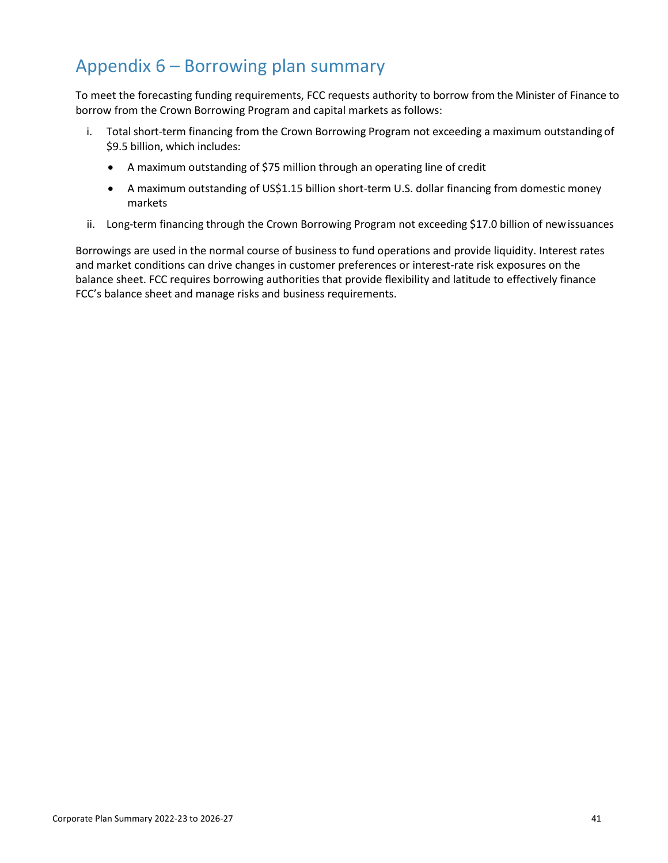# Appendix 6 – Borrowing plan summary

To meet the forecasting funding requirements, FCC requests authority to borrow from the Minister of Finance to borrow from the Crown Borrowing Program and capital markets as follows:

- i. Total short-term financing from the Crown Borrowing Program not exceeding a maximum outstanding of \$9.5 billion, which includes:
	- A maximum outstanding of \$75 million through an operating line of credit
	- A maximum outstanding of US\$1.15 billion short-term U.S. dollar financing from domestic money markets
- ii. Long-term financing through the Crown Borrowing Program not exceeding \$17.0 billion of newissuances

Borrowings are used in the normal course of business to fund operations and provide liquidity. Interest rates and market conditions can drive changes in customer preferences or interest-rate risk exposures on the balance sheet. FCC requires borrowing authorities that provide flexibility and latitude to effectively finance FCC's balance sheet and manage risks and business requirements.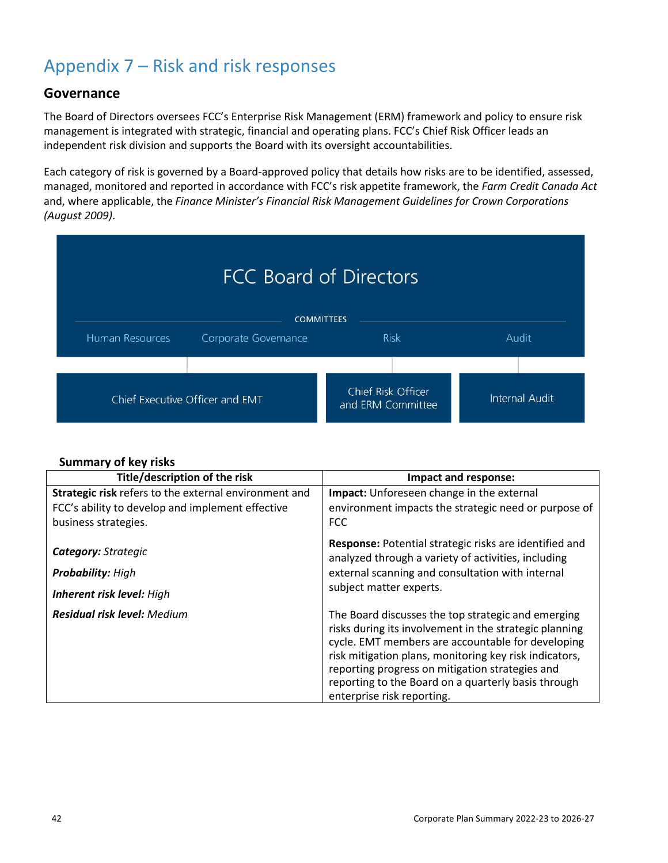# Appendix 7 – Risk and risk responses

## **Governance**

The Board of Directors oversees FCC's Enterprise Risk Management (ERM) framework and policy to ensure risk management is integrated with strategic, financial and operating plans. FCC's Chief Risk Officer leads an independent risk division and supports the Board with its oversight accountabilities.

Each category of risk is governed by a Board-approved policy that details how risks are to be identified, assessed, managed, monitored and reported in accordance with FCC's risk appetite framework, the *Farm Credit Canada Act* and, where applicable, the *Finance Minister's Financial Risk Management Guidelines for Crown Corporations (August 2009)*.

| <b>FCC Board of Directors</b>                                                        |                                 |                                         |                       |  |
|--------------------------------------------------------------------------------------|---------------------------------|-----------------------------------------|-----------------------|--|
| <b>COMMITTEES</b><br><b>Risk</b><br>Human Resources<br>Audit<br>Corporate Governance |                                 |                                         |                       |  |
|                                                                                      |                                 |                                         |                       |  |
|                                                                                      | Chief Executive Officer and EMT | Chief Risk Officer<br>and ERM Committee | <b>Internal Audit</b> |  |

## **Summary of key risks**

| Title/description of the risk                                                                                                     | Impact and response:                                                                                                                                                                                                                                                                                                                                                |
|-----------------------------------------------------------------------------------------------------------------------------------|---------------------------------------------------------------------------------------------------------------------------------------------------------------------------------------------------------------------------------------------------------------------------------------------------------------------------------------------------------------------|
| Strategic risk refers to the external environment and<br>FCC's ability to develop and implement effective<br>business strategies. | Impact: Unforeseen change in the external<br>environment impacts the strategic need or purpose of<br><b>FCC</b>                                                                                                                                                                                                                                                     |
| <b>Category: Strategic</b><br><b>Probability: High</b><br>Inherent risk level: High                                               | Response: Potential strategic risks are identified and<br>analyzed through a variety of activities, including<br>external scanning and consultation with internal<br>subject matter experts.                                                                                                                                                                        |
| <b>Residual risk level: Medium</b>                                                                                                | The Board discusses the top strategic and emerging<br>risks during its involvement in the strategic planning<br>cycle. EMT members are accountable for developing<br>risk mitigation plans, monitoring key risk indicators,<br>reporting progress on mitigation strategies and<br>reporting to the Board on a quarterly basis through<br>enterprise risk reporting. |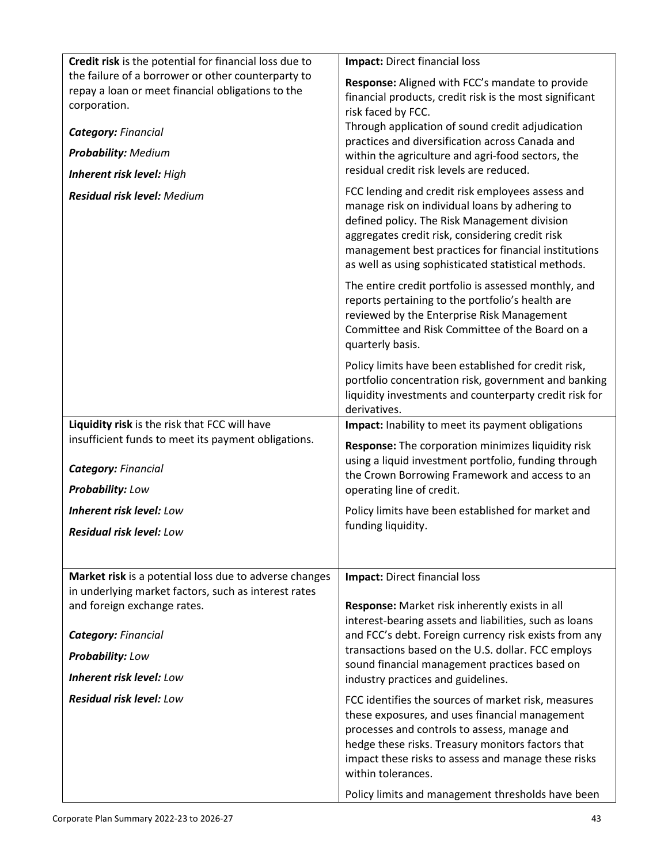| Credit risk is the potential for financial loss due to                                                                  | Impact: Direct financial loss                                                                                                                                                                                                                                                           |
|-------------------------------------------------------------------------------------------------------------------------|-----------------------------------------------------------------------------------------------------------------------------------------------------------------------------------------------------------------------------------------------------------------------------------------|
| the failure of a borrower or other counterparty to<br>repay a loan or meet financial obligations to the<br>corporation. | Response: Aligned with FCC's mandate to provide<br>financial products, credit risk is the most significant<br>risk faced by FCC.                                                                                                                                                        |
| <b>Category: Financial</b>                                                                                              | Through application of sound credit adjudication                                                                                                                                                                                                                                        |
| <b>Probability: Medium</b>                                                                                              | practices and diversification across Canada and                                                                                                                                                                                                                                         |
|                                                                                                                         | within the agriculture and agri-food sectors, the<br>residual credit risk levels are reduced.                                                                                                                                                                                           |
| Inherent risk level: High                                                                                               | FCC lending and credit risk employees assess and                                                                                                                                                                                                                                        |
| <b>Residual risk level: Medium</b>                                                                                      | manage risk on individual loans by adhering to<br>defined policy. The Risk Management division<br>aggregates credit risk, considering credit risk<br>management best practices for financial institutions<br>as well as using sophisticated statistical methods.                        |
|                                                                                                                         | The entire credit portfolio is assessed monthly, and<br>reports pertaining to the portfolio's health are<br>reviewed by the Enterprise Risk Management<br>Committee and Risk Committee of the Board on a<br>quarterly basis.                                                            |
|                                                                                                                         | Policy limits have been established for credit risk,<br>portfolio concentration risk, government and banking<br>liquidity investments and counterparty credit risk for<br>derivatives.                                                                                                  |
| Liquidity risk is the risk that FCC will have                                                                           | Impact: Inability to meet its payment obligations                                                                                                                                                                                                                                       |
| insufficient funds to meet its payment obligations.                                                                     | Response: The corporation minimizes liquidity risk                                                                                                                                                                                                                                      |
| <b>Category: Financial</b>                                                                                              | using a liquid investment portfolio, funding through<br>the Crown Borrowing Framework and access to an                                                                                                                                                                                  |
| Probability: Low                                                                                                        | operating line of credit.                                                                                                                                                                                                                                                               |
| <b>Inherent risk level: Low</b>                                                                                         | Policy limits have been established for market and                                                                                                                                                                                                                                      |
| <b>Residual risk level: Low</b>                                                                                         | funding liquidity.                                                                                                                                                                                                                                                                      |
|                                                                                                                         |                                                                                                                                                                                                                                                                                         |
| Market risk is a potential loss due to adverse changes                                                                  | Impact: Direct financial loss                                                                                                                                                                                                                                                           |
| in underlying market factors, such as interest rates                                                                    |                                                                                                                                                                                                                                                                                         |
| and foreign exchange rates.                                                                                             | Response: Market risk inherently exists in all                                                                                                                                                                                                                                          |
|                                                                                                                         | interest-bearing assets and liabilities, such as loans                                                                                                                                                                                                                                  |
| <b>Category: Financial</b>                                                                                              | and FCC's debt. Foreign currency risk exists from any<br>transactions based on the U.S. dollar. FCC employs                                                                                                                                                                             |
| <b>Probability: Low</b>                                                                                                 | sound financial management practices based on                                                                                                                                                                                                                                           |
| <b>Inherent risk level: Low</b>                                                                                         | industry practices and guidelines.                                                                                                                                                                                                                                                      |
| <b>Residual risk level: Low</b>                                                                                         | FCC identifies the sources of market risk, measures<br>these exposures, and uses financial management<br>processes and controls to assess, manage and<br>hedge these risks. Treasury monitors factors that<br>impact these risks to assess and manage these risks<br>within tolerances. |
|                                                                                                                         | Policy limits and management thresholds have been                                                                                                                                                                                                                                       |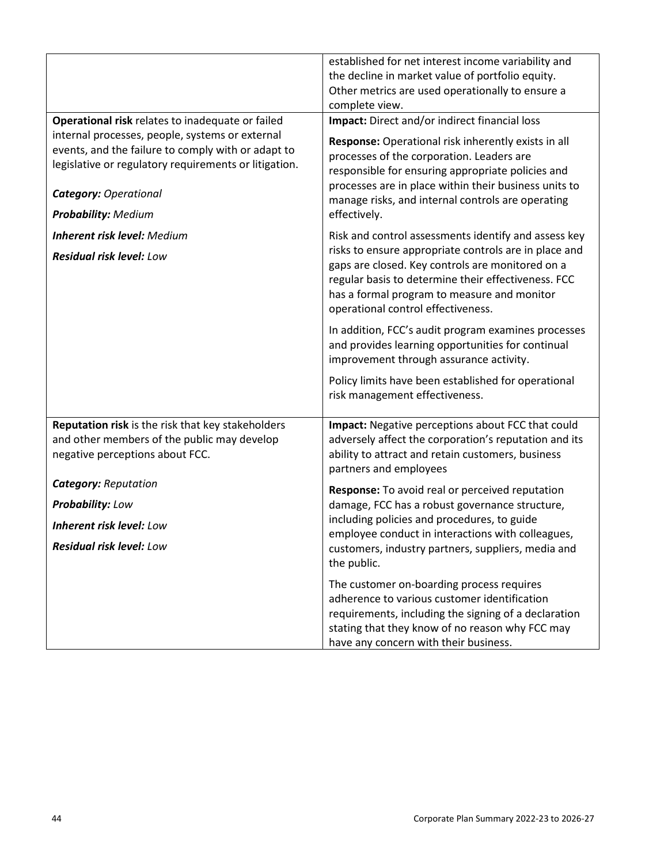|                                                                                                                                                                                                                              | established for net interest income variability and<br>the decline in market value of portfolio equity.<br>Other metrics are used operationally to ensure a<br>complete view.                                                                                                       |  |
|------------------------------------------------------------------------------------------------------------------------------------------------------------------------------------------------------------------------------|-------------------------------------------------------------------------------------------------------------------------------------------------------------------------------------------------------------------------------------------------------------------------------------|--|
| Operational risk relates to inadequate or failed                                                                                                                                                                             | Impact: Direct and/or indirect financial loss                                                                                                                                                                                                                                       |  |
| internal processes, people, systems or external<br>events, and the failure to comply with or adapt to<br>legislative or regulatory requirements or litigation.<br><b>Category: Operational</b><br><b>Probability: Medium</b> | Response: Operational risk inherently exists in all<br>processes of the corporation. Leaders are<br>responsible for ensuring appropriate policies and<br>processes are in place within their business units to<br>manage risks, and internal controls are operating<br>effectively. |  |
| <b>Inherent risk level: Medium</b>                                                                                                                                                                                           | Risk and control assessments identify and assess key                                                                                                                                                                                                                                |  |
| <b>Residual risk level: Low</b>                                                                                                                                                                                              | risks to ensure appropriate controls are in place and<br>gaps are closed. Key controls are monitored on a<br>regular basis to determine their effectiveness. FCC<br>has a formal program to measure and monitor<br>operational control effectiveness.                               |  |
|                                                                                                                                                                                                                              | In addition, FCC's audit program examines processes<br>and provides learning opportunities for continual<br>improvement through assurance activity.                                                                                                                                 |  |
|                                                                                                                                                                                                                              | Policy limits have been established for operational<br>risk management effectiveness.                                                                                                                                                                                               |  |
| Reputation risk is the risk that key stakeholders<br>and other members of the public may develop<br>negative perceptions about FCC.                                                                                          | Impact: Negative perceptions about FCC that could<br>adversely affect the corporation's reputation and its<br>ability to attract and retain customers, business<br>partners and employees                                                                                           |  |
| <b>Category: Reputation</b>                                                                                                                                                                                                  | Response: To avoid real or perceived reputation                                                                                                                                                                                                                                     |  |
| Probability: Low                                                                                                                                                                                                             | damage, FCC has a robust governance structure,                                                                                                                                                                                                                                      |  |
| Inherent risk level: Low                                                                                                                                                                                                     | including policies and procedures, to guide<br>employee conduct in interactions with colleagues,                                                                                                                                                                                    |  |
| <b>Residual risk level: Low</b>                                                                                                                                                                                              | customers, industry partners, suppliers, media and<br>the public.                                                                                                                                                                                                                   |  |
|                                                                                                                                                                                                                              | The customer on-boarding process requires<br>adherence to various customer identification<br>requirements, including the signing of a declaration<br>stating that they know of no reason why FCC may<br>have any concern with their business.                                       |  |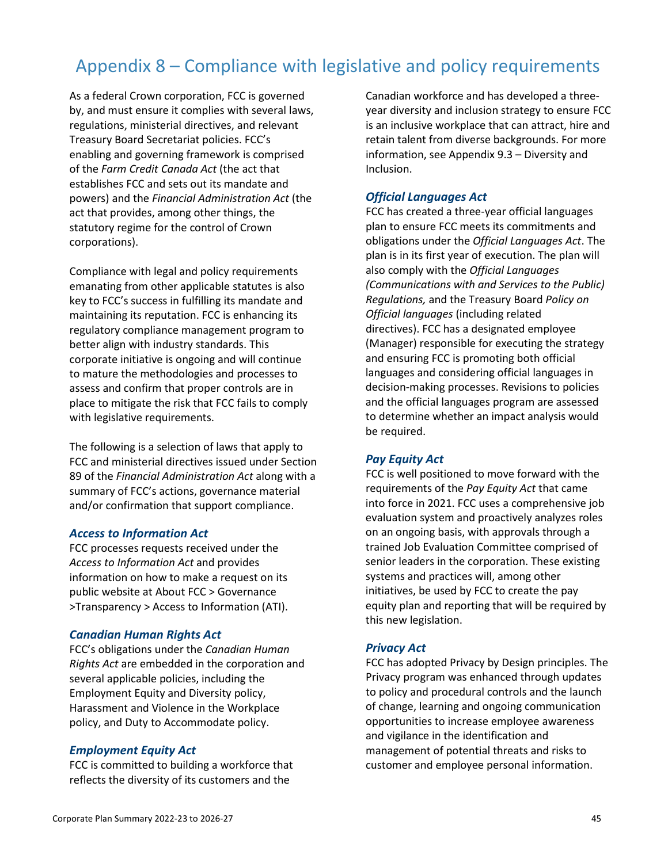## Appendix 8 – Compliance with legislative and policy requirements

As a federal Crown corporation, FCC is governed by, and must ensure it complies with several laws, regulations, ministerial directives, and relevant Treasury Board Secretariat policies. FCC's enabling and governing framework is comprised of the *Farm Credit Canada Act* (the act that establishes FCC and sets out its mandate and powers) and the *Financial Administration Act* (the act that provides, among other things, the statutory regime for the control of Crown corporations).

Compliance with legal and policy requirements emanating from other applicable statutes is also key to FCC's success in fulfilling its mandate and maintaining its reputation. FCC is enhancing its regulatory compliance management program to better align with industry standards. This corporate initiative is ongoing and will continue to mature the methodologies and processes to assess and confirm that proper controls are in place to mitigate the risk that FCC fails to comply with legislative requirements.

The following is a selection of laws that apply to FCC and ministerial directives issued under Section 89 of the *Financial Administration Act* along with a summary of FCC's actions, governance material and/or confirmation that support compliance.

#### *Access to Information Act*

FCC processes requests received under the *Access to Information Act* and provides information on how to make a request on its public website at About FCC > Governance >Transparency > Access to Information (ATI).

#### *Canadian Human Rights Act*

FCC's obligations under the *Canadian Human Rights Act* are embedded in the corporation and several applicable policies, including the Employment Equity and Diversity policy, Harassment and Violence in the Workplace policy, and Duty to Accommodate policy.

#### *Employment Equity Act*

FCC is committed to building a workforce that reflects the diversity of its customers and the

Canadian workforce and has developed a threeyear diversity and inclusion strategy to ensure FCC is an inclusive workplace that can attract, hire and retain talent from diverse backgrounds. For more information, see Appendix 9.3 – Diversity and Inclusion.

#### *Official Languages Act*

FCC has created a three-year official languages plan to ensure FCC meets its commitments and obligations under the *Official Languages Act*. The plan is in its first year of execution. The plan will also comply with the *Official Languages (Communications with and Services to the Public) Regulations,* and the Treasury Board *Policy on Official languages* (including related directives). FCC has a designated employee (Manager) responsible for executing the strategy and ensuring FCC is promoting both official languages and considering official languages in decision-making processes. Revisions to policies and the official languages program are assessed to determine whether an impact analysis would be required.

#### *Pay Equity Act*

FCC is well positioned to move forward with the requirements of the *Pay Equity Act* that came into force in 2021. FCC uses a comprehensive job evaluation system and proactively analyzes roles on an ongoing basis, with approvals through a trained Job Evaluation Committee comprised of senior leaders in the corporation. These existing systems and practices will, among other initiatives, be used by FCC to create the pay equity plan and reporting that will be required by this new legislation.

#### *Privacy Act*

FCC has adopted Privacy by Design principles. The Privacy program was enhanced through updates to policy and procedural controls and the launch of change, learning and ongoing communication opportunities to increase employee awareness and vigilance in the identification and management of potential threats and risks to customer and employee personal information.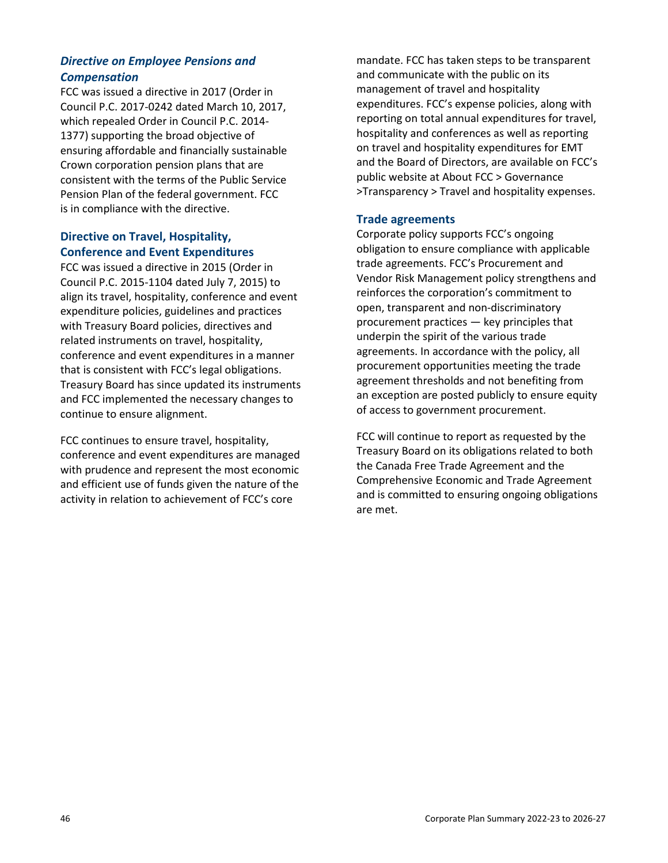## *Directive on Employee Pensions and Compensation*

FCC was issued a directive in 2017 (Order in Council P.C. 2017-0242 dated March 10, 2017, which repealed Order in Council P.C. 2014- 1377) supporting the broad objective of ensuring affordable and financially sustainable Crown corporation pension plans that are consistent with the terms of the Public Service Pension Plan of the federal government. FCC is in compliance with the directive.

## **Directive on Travel, Hospitality, Conference and Event Expenditures**

FCC was issued a directive in 2015 (Order in Council P.C. 2015-1104 dated July 7, 2015) to align its travel, hospitality, conference and event expenditure policies, guidelines and practices with Treasury Board policies, directives and related instruments on travel, hospitality, conference and event expenditures in a manner that is consistent with FCC's legal obligations. Treasury Board has since updated its instruments and FCC implemented the necessary changes to continue to ensure alignment.

FCC continues to ensure travel, hospitality, conference and event expenditures are managed with prudence and represent the most economic and efficient use of funds given the nature of the activity in relation to achievement of FCC's core

mandate. FCC has taken steps to be transparent and communicate with the public on its management of travel and hospitality expenditures. FCC's expense policies, along with reporting on total annual expenditures for travel, hospitality and conferences as well as reporting on travel and hospitality expenditures for EMT and the Board of Directors, are available on FCC's public website at About FCC > Governance >Transparency > Travel and hospitality expenses.

## **Trade agreements**

Corporate policy supports FCC's ongoing obligation to ensure compliance with applicable trade agreements. FCC's Procurement and Vendor Risk Management policy strengthens and reinforces the corporation's commitment to open, transparent and non-discriminatory procurement practices — key principles that underpin the spirit of the various trade agreements. In accordance with the policy, all procurement opportunities meeting the trade agreement thresholds and not benefiting from an exception are posted publicly to ensure equity of access to government procurement.

FCC will continue to report as requested by the Treasury Board on its obligations related to both the Canada Free Trade Agreement and the Comprehensive Economic and Trade Agreement and is committed to ensuring ongoing obligations are met.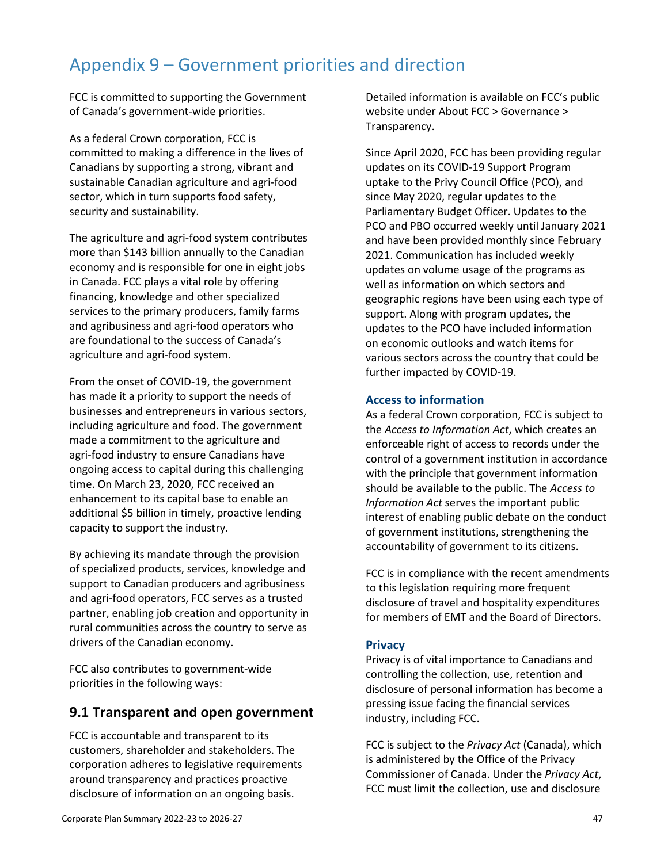## Appendix 9 – Government priorities and direction

FCC is committed to supporting the Government of Canada's government-wide priorities.

As a federal Crown corporation, FCC is committed to making a difference in the lives of Canadians by supporting a strong, vibrant and sustainable Canadian agriculture and agri-food sector, which in turn supports food safety, security and sustainability.

The agriculture and agri-food system contributes more than \$143 billion annually to the Canadian economy and is responsible for one in eight jobs in Canada. FCC plays a vital role by offering financing, knowledge and other specialized services to the primary producers, family farms and agribusiness and agri-food operators who are foundational to the success of Canada's agriculture and agri-food system.

From the onset of COVID-19, the government has made it a priority to support the needs of businesses and entrepreneurs in various sectors, including agriculture and food. The government made a commitment to the agriculture and agri-food industry to ensure Canadians have ongoing access to capital during this challenging time. On March 23, 2020, FCC received an enhancement to its capital base to enable an additional \$5 billion in timely, proactive lending capacity to support the industry.

By achieving its mandate through the provision of specialized products, services, knowledge and support to Canadian producers and agribusiness and agri-food operators, FCC serves as a trusted partner, enabling job creation and opportunity in rural communities across the country to serve as drivers of the Canadian economy.

FCC also contributes to government-wide priorities in the following ways:

## **9.1 Transparent and open government**

FCC is accountable and transparent to its customers, shareholder and stakeholders. The corporation adheres to legislative requirements around transparency and practices proactive disclosure of information on an ongoing basis.

Detailed information is available on FCC's public website under About FCC > Governance > Transparency.

Since April 2020, FCC has been providing regular updates on its COVID-19 Support Program uptake to the Privy Council Office (PCO), and since May 2020, regular updates to the Parliamentary Budget Officer. Updates to the PCO and PBO occurred weekly until January 2021 and have been provided monthly since February 2021. Communication has included weekly updates on volume usage of the programs as well as information on which sectors and geographic regions have been using each type of support. Along with program updates, the updates to the PCO have included information on economic outlooks and watch items for various sectors across the country that could be further impacted by COVID-19.

#### **Access to information**

As a federal Crown corporation, FCC is subject to the *Access to Information Act*, which creates an enforceable right of access to records under the control of a government institution in accordance with the principle that government information should be available to the public. The *Access to Information Act* serves the important public interest of enabling public debate on the conduct of government institutions, strengthening the accountability of government to its citizens.

FCC is in compliance with the recent amendments to this legislation requiring more frequent disclosure of travel and hospitality expenditures for members of EMT and the Board of Directors.

## **Privacy**

Privacy is of vital importance to Canadians and controlling the collection, use, retention and disclosure of personal information has become a pressing issue facing the financial services industry, including FCC.

FCC is subject to the *Privacy Act* (Canada), which is administered by the Office of the Privacy Commissioner of Canada. Under the *Privacy Act*, FCC must limit the collection, use and disclosure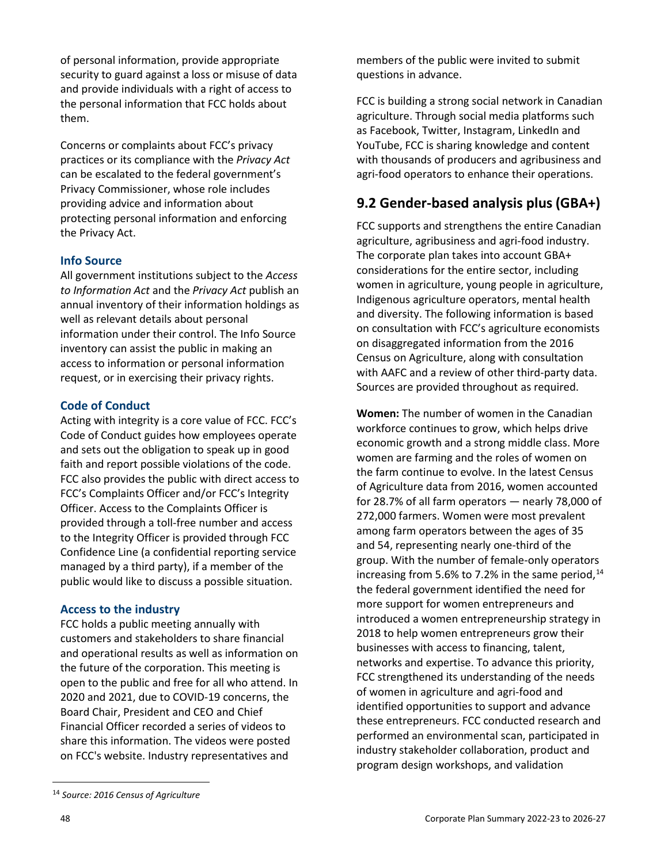of personal information, provide appropriate security to guard against a loss or misuse of data and provide individuals with a right of access to the personal information that FCC holds about them.

Concerns or complaints about FCC's privacy practices or its compliance with the *Privacy Act*  can be escalated to the federal government's Privacy Commissioner, whose role includes providing advice and information about protecting personal information and enforcing the Privacy Act.

## **Info Source**

All government institutions subject to the *Access to Information Act* and the *Privacy Act* publish an annual inventory of their information holdings as well as relevant details about personal information under their control. The Info Source inventory can assist the public in making an access to information or personal information request, or in exercising their privacy rights.

## **Code of Conduct**

Acting with integrity is a core value of FCC. FCC's Code of Conduct guides how employees operate and sets out the obligation to speak up in good faith and report possible violations of the code. FCC also provides the public with direct access to FCC's Complaints Officer and/or FCC's Integrity Officer. Access to the Complaints Officer is provided through a toll-free number and access to the Integrity Officer is provided through FCC Confidence Line (a confidential reporting service managed by a third party), if a member of the public would like to discuss a possible situation.

## **Access to the industry**

FCC holds a public meeting annually with customers and stakeholders to share financial and operational results as well as information on the future of the corporation. This meeting is open to the public and free for all who attend. In 2020 and 2021, due to COVID-19 concerns, the Board Chair, President and CEO and Chief Financial Officer recorded a series of videos to share this information. The videos were posted on FCC's website. Industry representatives and

FCC is building a strong social network in Canadian agriculture. Through social media platforms such as Facebook, Twitter, Instagram, LinkedIn and YouTube, FCC is sharing knowledge and content with thousands of producers and agribusiness and agri-food operators to enhance their operations.

## **9.2 Gender-based analysis plus(GBA+)**

FCC supports and strengthens the entire Canadian agriculture, agribusiness and agri-food industry. The corporate plan takes into account GBA+ considerations for the entire sector, including women in agriculture, young people in agriculture, Indigenous agriculture operators, mental health and diversity. The following information is based on consultation with FCC's agriculture economists on disaggregated information from the 2016 Census on Agriculture, along with consultation with AAFC and a review of other third-party data. Sources are provided throughout as required.

**Women:** The number of women in the Canadian workforce continues to grow, which helps drive economic growth and a strong middle class. More women are farming and the roles of women on the farm continue to evolve. In the latest Census of Agriculture data from 2016, women accounted for 28.7% of all farm operators — nearly 78,000 of 272,000 farmers. Women were most prevalent among farm operators between the ages of 35 and 54, representing nearly one-third of the group. With the number of female-only operators increasing from 5.6% to 7.2% in the same period, $^{14}$ the federal government identified the need for more support for women entrepreneurs and introduced a women entrepreneurship strategy in 2018 to help women entrepreneurs grow their businesses with access to financing, talent, networks and expertise. To advance this priority, FCC strengthened its understanding of the needs of women in agriculture and agri-food and identified opportunities to support and advance these entrepreneurs. FCC conducted research and performed an environmental scan, participated in industry stakeholder collaboration, product and program design workshops, and validation

members of the public were invited to submit questions in advance.

<span id="page-49-0"></span><sup>14</sup> *Source: 2016 Census of Agriculture*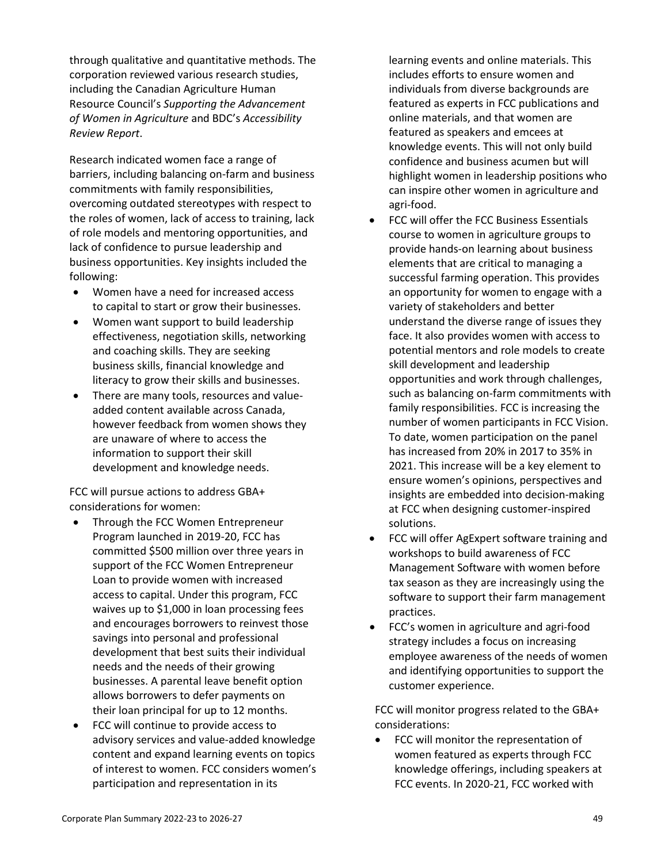through qualitative and quantitative methods. The corporation reviewed various research studies, including the Canadian Agriculture Human Resource Council's *Supporting the Advancement of Women in Agriculture* and BDC's *Accessibility Review Report*.

Research indicated women face a range of barriers, including balancing on-farm and business commitments with family responsibilities, overcoming outdated stereotypes with respect to the roles of women, lack of access to training, lack of role models and mentoring opportunities, and lack of confidence to pursue leadership and business opportunities. Key insights included the following:

- Women have a need for increased access to capital to start or grow their businesses.
- Women want support to build leadership effectiveness, negotiation skills, networking and coaching skills. They are seeking business skills, financial knowledge and literacy to grow their skills and businesses.
- There are many tools, resources and valueadded content available across Canada, however feedback from women shows they are unaware of where to access the information to support their skill development and knowledge needs.

FCC will pursue actions to address GBA+ considerations for women:

- Through the FCC Women Entrepreneur Program launched in 2019-20, FCC has committed \$500 million over three years in support of the FCC Women Entrepreneur Loan to provide women with increased access to capital. Under this program, FCC waives up to \$1,000 in loan processing fees and encourages borrowers to reinvest those savings into personal and professional development that best suits their individual needs and the needs of their growing businesses. A parental leave benefit option allows borrowers to defer payments on their loan principal for up to 12 months.
- FCC will continue to provide access to advisory services and value-added knowledge content and expand learning events on topics of interest to women. FCC considers women's participation and representation in its

learning events and online materials. This includes efforts to ensure women and individuals from diverse backgrounds are featured as experts in FCC publications and online materials, and that women are featured as speakers and emcees at knowledge events. This will not only build confidence and business acumen but will highlight women in leadership positions who can inspire other women in agriculture and agri-food.

- FCC will offer the FCC Business Essentials course to women in agriculture groups to provide hands-on learning about business elements that are critical to managing a successful farming operation. This provides an opportunity for women to engage with a variety of stakeholders and better understand the diverse range of issues they face. It also provides women with access to potential mentors and role models to create skill development and leadership opportunities and work through challenges, such as balancing on-farm commitments with family responsibilities. FCC is increasing the number of women participants in FCC Vision. To date, women participation on the panel has increased from 20% in 2017 to 35% in 2021. This increase will be a key element to ensure women's opinions, perspectives and insights are embedded into decision-making at FCC when designing customer-inspired solutions.
- FCC will offer AgExpert software training and workshops to build awareness of FCC Management Software with women before tax season as they are increasingly using the software to support their farm management practices.
- FCC's women in agriculture and agri-food strategy includes a focus on increasing employee awareness of the needs of women and identifying opportunities to support the customer experience.

FCC will monitor progress related to the GBA+ considerations:

• FCC will monitor the representation of women featured as experts through FCC knowledge offerings, including speakers at FCC events. In 2020-21, FCC worked with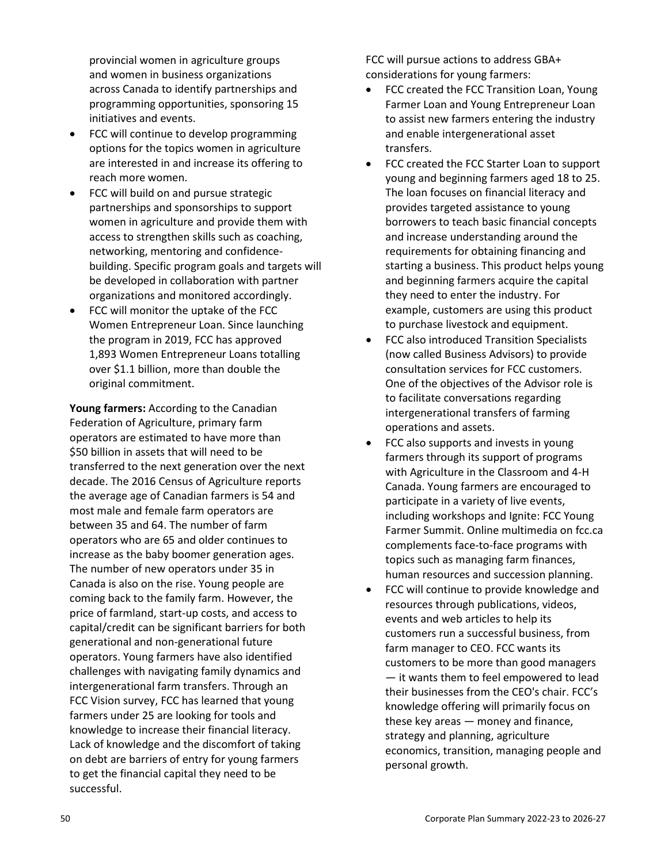provincial women in agriculture groups and women in business organizations across Canada to identify partnerships and programming opportunities, sponsoring 15 initiatives and events.

- FCC will continue to develop programming options for the topics women in agriculture are interested in and increase its offering to reach more women.
- FCC will build on and pursue strategic partnerships and sponsorships to support women in agriculture and provide them with access to strengthen skills such as coaching, networking, mentoring and confidencebuilding. Specific program goals and targets will be developed in collaboration with partner organizations and monitored accordingly.
- FCC will monitor the uptake of the FCC Women Entrepreneur Loan. Since launching the program in 2019, FCC has approved 1,893 Women Entrepreneur Loans totalling over \$1.1 billion, more than double the original commitment.

**Young farmers:** According to the Canadian Federation of Agriculture, primary farm operators are estimated to have more than \$50 billion in assets that will need to be transferred to the next generation over the next decade. The 2016 Census of Agriculture reports the average age of Canadian farmers is 54 and most male and female farm operators are between 35 and 64. The number of farm operators who are 65 and older continues to increase as the baby boomer generation ages. The number of new operators under 35 in Canada is also on the rise. Young people are coming back to the family farm. However, the price of farmland, start-up costs, and access to capital/credit can be significant barriers for both generational and non-generational future operators. Young farmers have also identified challenges with navigating family dynamics and intergenerational farm transfers. Through an FCC Vision survey, FCC has learned that young farmers under 25 are looking for tools and knowledge to increase their financial literacy. Lack of knowledge and the discomfort of taking on debt are barriers of entry for young farmers to get the financial capital they need to be successful.

FCC will pursue actions to address GBA+ considerations for young farmers:

- FCC created the FCC Transition Loan, Young Farmer Loan and Young Entrepreneur Loan to assist new farmers entering the industry and enable intergenerational asset transfers.
- FCC created the FCC Starter Loan to support young and beginning farmers aged 18 to 25. The loan focuses on financial literacy and provides targeted assistance to young borrowers to teach basic financial concepts and increase understanding around the requirements for obtaining financing and starting a business. This product helps young and beginning farmers acquire the capital they need to enter the industry. For example, customers are using this product to purchase livestock and equipment.
- FCC also introduced Transition Specialists (now called Business Advisors) to provide consultation services for FCC customers. One of the objectives of the Advisor role is to facilitate conversations regarding intergenerational transfers of farming operations and assets.
- FCC also supports and invests in young farmers through its support of programs with Agriculture in the Classroom and 4-H Canada. Young farmers are encouraged to participate in a variety of live events, including workshops and Ignite: FCC Young Farmer Summit. Online multimedia on fcc.ca complements face-to-face programs with topics such as managing farm finances, human resources and succession planning.
- FCC will continue to provide knowledge and resources through publications, videos, events and web articles to help its customers run a successful business, from farm manager to CEO. FCC wants its customers to be more than good managers — it wants them to feel empowered to lead their businesses from the CEO's chair. FCC's knowledge offering will primarily focus on these key areas — money and finance, strategy and planning, agriculture economics, transition, managing people and personal growth.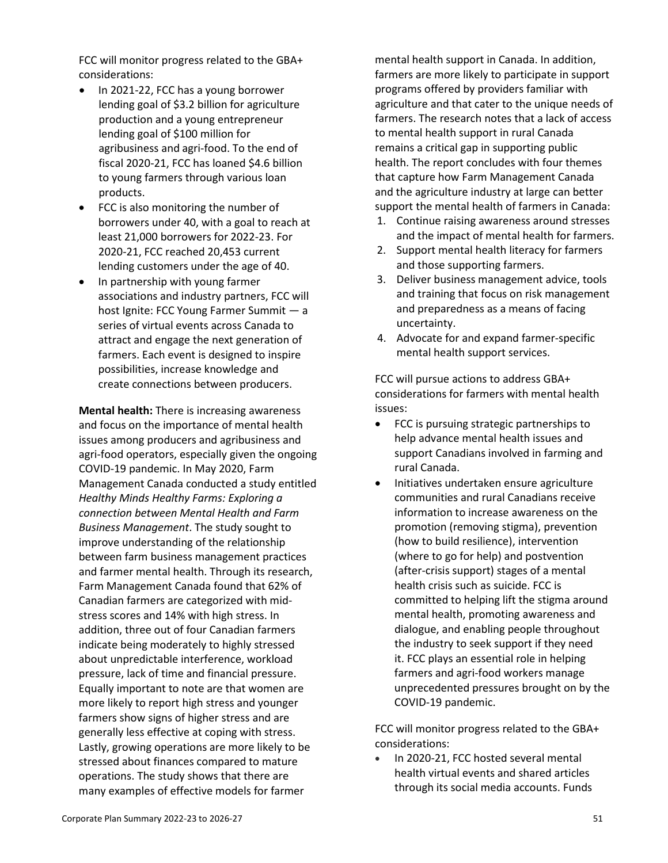FCC will monitor progress related to the GBA+ considerations:

- In 2021-22, FCC has a young borrower lending goal of \$3.2 billion for agriculture production and a young entrepreneur lending goal of \$100 million for agribusiness and agri-food. To the end of fiscal 2020-21, FCC has loaned \$4.6 billion to young farmers through various loan products.
- FCC is also monitoring the number of borrowers under 40, with a goal to reach at least 21,000 borrowers for 2022-23. For 2020-21, FCC reached 20,453 current lending customers under the age of 40.
- In partnership with young farmer associations and industry partners, FCC will host Ignite: FCC Young Farmer Summit — a series of virtual events across Canada to attract and engage the next generation of farmers. Each event is designed to inspire possibilities, increase knowledge and create connections between producers.

**Mental health:** There is increasing awareness and focus on the importance of mental health issues among producers and agribusiness and agri-food operators, especially given the ongoing COVID-19 pandemic. In May 2020, Farm Management Canada conducted a study entitled *Healthy Minds Healthy Farms: Exploring a connection between Mental Health and Farm Business Management*. The study sought to improve understanding of the relationship between farm business management practices and farmer mental health. Through its research, Farm Management Canada found that 62% of Canadian farmers are categorized with midstress scores and 14% with high stress. In addition, three out of four Canadian farmers indicate being moderately to highly stressed about unpredictable interference, workload pressure, lack of time and financial pressure. Equally important to note are that women are more likely to report high stress and younger farmers show signs of higher stress and are generally less effective at coping with stress. Lastly, growing operations are more likely to be stressed about finances compared to mature operations. The study shows that there are many examples of effective models for farmer

mental health support in Canada. In addition, farmers are more likely to participate in support programs offered by providers familiar with agriculture and that cater to the unique needs of farmers. The research notes that a lack of access to mental health support in rural Canada remains a critical gap in supporting public health. The report concludes with four themes that capture how Farm Management Canada and the agriculture industry at large can better support the mental health of farmers in Canada:

- 1. Continue raising awareness around stresses and the impact of mental health for farmers.
- 2. Support mental health literacy for farmers and those supporting farmers.
- 3. Deliver business management advice, tools and training that focus on risk management and preparedness as a means of facing uncertainty.
- 4. Advocate for and expand farmer-specific mental health support services.

FCC will pursue actions to address GBA+ considerations for farmers with mental health issues:

- FCC is pursuing strategic partnerships to help advance mental health issues and support Canadians involved in farming and rural Canada.
- Initiatives undertaken ensure agriculture communities and rural Canadians receive information to increase awareness on the promotion (removing stigma), prevention (how to build resilience), intervention (where to go for help) and postvention (after-crisis support) stages of a mental health crisis such as suicide. FCC is committed to helping lift the stigma around mental health, promoting awareness and dialogue, and enabling people throughout the industry to seek support if they need it. FCC plays an essential role in helping farmers and agri-food workers manage unprecedented pressures brought on by the COVID-19 pandemic.

FCC will monitor progress related to the GBA+ considerations:

• In 2020-21, FCC hosted several mental health virtual events and shared articles through its social media accounts. Funds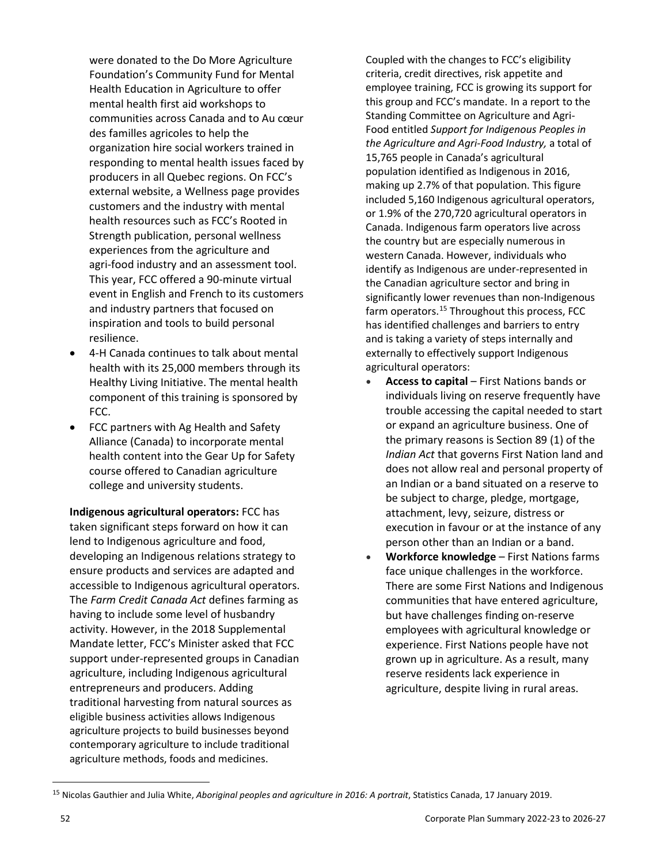were donated to the Do More Agriculture Foundation's Community Fund for Mental Health Education in Agriculture to offer mental health first aid workshops to communities across Canada and to Au cœur des familles agricoles to help the organization hire social workers trained in responding to mental health issues faced by producers in all Quebec regions. On FCC's external website, a Wellness page provides customers and the industry with mental health resources such as FCC's Rooted in Strength publication, personal wellness experiences from the agriculture and agri-food industry and an assessment tool. This year, FCC offered a 90-minute virtual event in English and French to its customers and industry partners that focused on inspiration and tools to build personal resilience.

- 4-H Canada continues to talk about mental health with its 25,000 members through its Healthy Living Initiative. The mental health component of this training is sponsored by FCC.
- FCC partners with Ag Health and Safety Alliance (Canada) to incorporate mental health content into the Gear Up for Safety course offered to Canadian agriculture college and university students.

**Indigenous agricultural operators:** FCC has taken significant steps forward on how it can lend to Indigenous agriculture and food, developing an Indigenous relations strategy to ensure products and services are adapted and accessible to Indigenous agricultural operators. The *Farm Credit Canada Act* defines farming as having to include some level of husbandry activity. However, in the 2018 Supplemental Mandate letter, FCC's Minister asked that FCC support under-represented groups in Canadian agriculture, including Indigenous agricultural entrepreneurs and producers. Adding traditional harvesting from natural sources as eligible business activities allows Indigenous agriculture projects to build businesses beyond contemporary agriculture to include traditional agriculture methods, foods and medicines.

Coupled with the changes to FCC's eligibility criteria, credit directives, risk appetite and employee training, FCC is growing its support for this group and FCC's mandate. In a report to the Standing Committee on Agriculture and Agri-Food entitled *Support for Indigenous Peoples in the Agriculture and Agri-Food Industry,* a total of 15,765 people in Canada's agricultural population identified as Indigenous in 2016, making up 2.7% of that population. This figure included 5,160 Indigenous agricultural operators, or 1.9% of the 270,720 agricultural operators in Canada. Indigenous farm operators live across the country but are especially numerous in western Canada. However, individuals who identify as Indigenous are under-represented in the Canadian agriculture sector and bring in significantly lower revenues than non-Indigenous farm operators.<sup>[15](#page-53-0)</sup> Throughout this process, FCC has identified challenges and barriers to entry and is taking a variety of steps internally and externally to effectively support Indigenous agricultural operators:

- **Access to capital**  First Nations bands or individuals living on reserve frequently have trouble accessing the capital needed to start or expand an agriculture business. One of the primary reasons is Section 89 (1) of the *Indian Act* that governs First Nation land and does not allow real and personal property of an Indian or a band situated on a reserve to be subject to charge, pledge, mortgage, attachment, levy, seizure, distress or execution in favour or at the instance of any person other than an Indian or a band.
- **Workforce knowledge** First Nations farms face unique challenges in the workforce. There are some First Nations and Indigenous communities that have entered agriculture, but have challenges finding on-reserve employees with agricultural knowledge or experience. First Nations people have not grown up in agriculture. As a result, many reserve residents lack experience in agriculture, despite living in rural areas.

<span id="page-53-0"></span><sup>15</sup> Nicolas Gauthier and Julia White, *Aboriginal peoples and agriculture in 2016: A portrait*, Statistics Canada, 17 January 2019.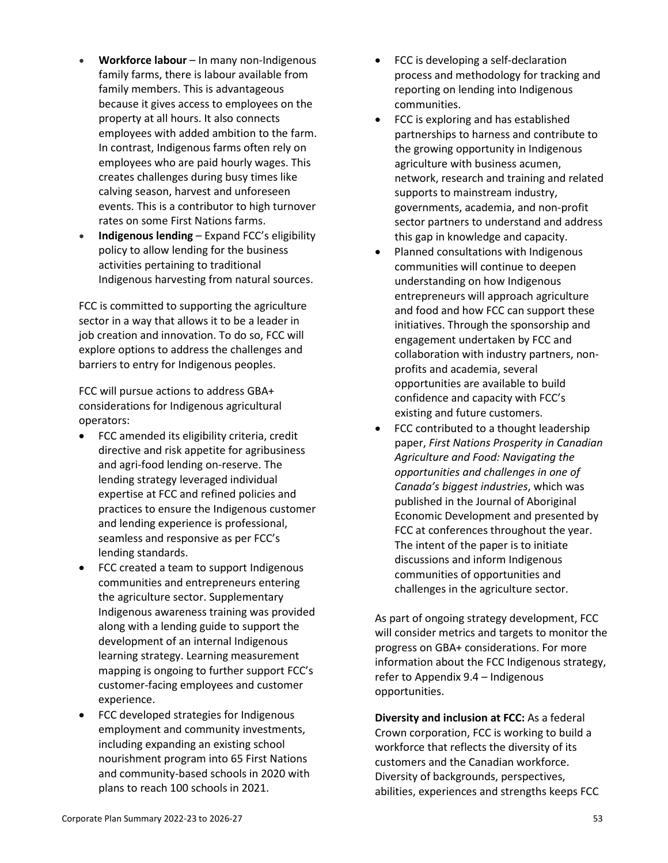- **Workforce labour**  In many non-Indigenous family farms, there is labour available from family members. This is advantageous because it gives access to employees on the property at all hours. It also connects employees with added ambition to the farm. In contrast, Indigenous farms often rely on employees who are paid hourly wages. This creates challenges during busy times like calving season, harvest and unforeseen events. This is a contributor to high turnover rates on some First Nations farms.
- **Indigenous lending**  Expand FCC's eligibility policy to allow lending for the business activities pertaining to traditional Indigenous harvesting from natural sources.

FCC is committed to supporting the agriculture sector in a way that allows it to be a leader in job creation and innovation. To do so, FCC will explore options to address the challenges and barriers to entry for Indigenous peoples.

FCC will pursue actions to address GBA+ considerations for Indigenous agricultural operators:

- FCC amended its eligibility criteria, credit directive and risk appetite for agribusiness and agri-food lending on-reserve. The lending strategy leveraged individual expertise at FCC and refined policies and practices to ensure the Indigenous customer and lending experience is professional, seamless and responsive as per FCC's lending standards.
- FCC created a team to support Indigenous communities and entrepreneurs entering the agriculture sector. Supplementary Indigenous awareness training was provided along with a lending guide to support the development of an internal Indigenous learning strategy. Learning measurement mapping is ongoing to further support FCC's customer-facing employees and customer experience.
- FCC developed strategies for Indigenous employment and community investments, including expanding an existing school nourishment program into 65 First Nations and community-based schools in 2020 with plans to reach 100 schools in 2021.
- FCC is developing a self-declaration process and methodology for tracking and reporting on lending into Indigenous communities.
- FCC is exploring and has established partnerships to harness and contribute to the growing opportunity in Indigenous agriculture with business acumen, network, research and training and related supports to mainstream industry, governments, academia, and non-profit sector partners to understand and address this gap in knowledge and capacity.
- Planned consultations with Indigenous communities will continue to deepen understanding on how Indigenous entrepreneurs will approach agriculture and food and how FCC can support these initiatives. Through the sponsorship and engagement undertaken by FCC and collaboration with industry partners, nonprofits and academia, several opportunities are available to build confidence and capacity with FCC's existing and future customers.
- FCC contributed to a thought leadership paper, *First Nations Prosperity in Canadian Agriculture and Food: Navigating the opportunities and challenges in one of Canada's biggest industries*, which was published in the Journal of Aboriginal Economic Development and presented by FCC at conferences throughout the year. The intent of the paper is to initiate discussions and inform Indigenous communities of opportunities and challenges in the agriculture sector.

As part of ongoing strategy development, FCC will consider metrics and targets to monitor the progress on GBA+ considerations. For more information about the FCC Indigenous strategy, refer to Appendix 9.4 – Indigenous opportunities.

**Diversity and inclusion at FCC:** As a federal Crown corporation, FCC is working to build a workforce that reflects the diversity of its customers and the Canadian workforce. Diversity of backgrounds, perspectives, abilities, experiences and strengths keeps FCC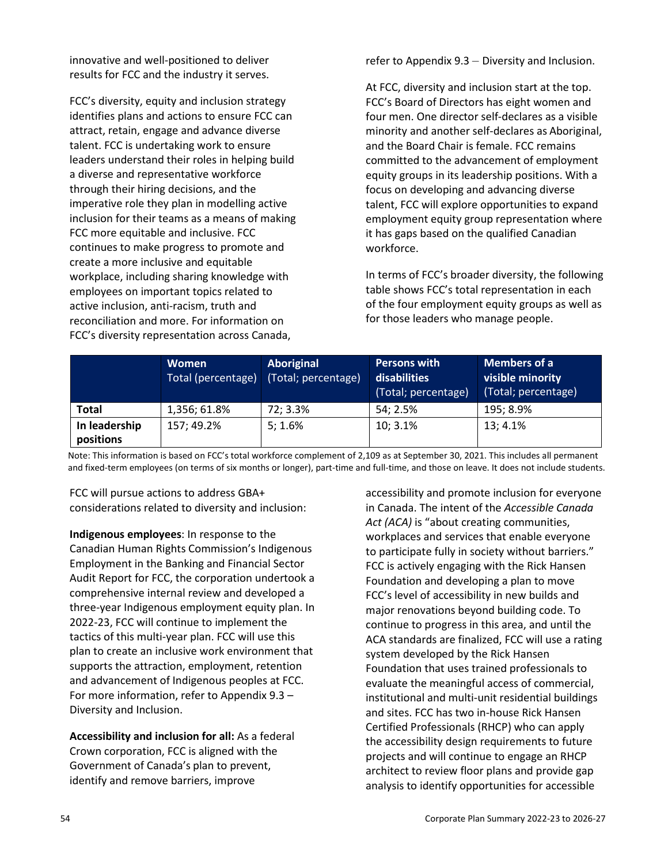innovative and well-positioned to deliver results for FCC and the industry it serves.

FCC's diversity, equity and inclusion strategy identifies plans and actions to ensure FCC can attract, retain, engage and advance diverse talent. FCC is undertaking work to ensure leaders understand their roles in helping build a diverse and representative workforce through their hiring decisions, and the imperative role they plan in modelling active inclusion for their teams as a means of making FCC more equitable and inclusive. FCC continues to make progress to promote and create a more inclusive and equitable workplace, including sharing knowledge with employees on important topics related to active inclusion, anti-racism, truth and reconciliation and more. For information on FCC's diversity representation across Canada,

refer to Appendix 9.3 – Diversity and Inclusion.

At FCC, diversity and inclusion start at the top. FCC's Board of Directors has eight women and four men. One director self-declares as a visible minority and another self-declares as Aboriginal, and the Board Chair is female. FCC remains committed to the advancement of employment equity groups in its leadership positions. With a focus on developing and advancing diverse talent, FCC will explore opportunities to expand employment equity group representation where it has gaps based on the qualified Canadian workforce.

In terms of FCC's broader diversity, the following table shows FCC's total representation in each of the four employment equity groups as well as for those leaders who manage people.

|                            | <b>Women</b><br>Total (percentage) | <b>Aboriginal</b><br>(Total; percentage) | <b>Persons with</b><br>disabilities<br>(Total; percentage) | Members of a<br>visible minority<br>(Total; percentage) |
|----------------------------|------------------------------------|------------------------------------------|------------------------------------------------------------|---------------------------------------------------------|
| <b>Total</b>               | 1,356; 61.8%                       | 72; 3.3%                                 | 54; 2.5%                                                   | 195; 8.9%                                               |
| In leadership<br>positions | 157; 49.2%                         | 5; 1.6%                                  | 10; 3.1%                                                   | 13; 4.1%                                                |

Note: This information is based on FCC's total workforce complement of 2,109 as at September 30, 2021. This includes all permanent and fixed-term employees (on terms of six months or longer), part-time and full-time, and those on leave. It does not include students.

FCC will pursue actions to address GBA+ considerations related to diversity and inclusion:

**Indigenous employees**: In response to the Canadian Human Rights Commission's Indigenous Employment in the Banking and Financial Sector Audit Report for FCC, the corporation undertook a comprehensive internal review and developed a three-year Indigenous employment equity plan. In 2022-23, FCC will continue to implement the tactics of this multi-year plan. FCC will use this plan to create an inclusive work environment that supports the attraction, employment, retention and advancement of Indigenous peoples at FCC. For more information, refer to Appendix 9.3 – Diversity and Inclusion.

**Accessibility and inclusion for all:** As a federal Crown corporation, FCC is aligned with the Government of Canada's plan to prevent, identify and remove barriers, improve

accessibility and promote inclusion for everyone in Canada. The intent of the *Accessible Canada*  Act (ACA) is "about creating communities, workplaces and services that enable everyone to participate fully in society without barriers." FCC is actively engaging with the Rick Hansen Foundation and developing a plan to move FCC's level of accessibility in new builds and major renovations beyond building code. To continue to progress in this area, and until the ACA standards are finalized, FCC will use a rating system developed by the Rick Hansen Foundation that uses trained professionals to evaluate the meaningful access of commercial, institutional and multi-unit residential buildings and sites. FCC has two in-house Rick Hansen Certified Professionals (RHCP) who can apply the accessibility design requirements to future projects and will continue to engage an RHCP architect to review floor plans and provide gap analysis to identify opportunities for accessible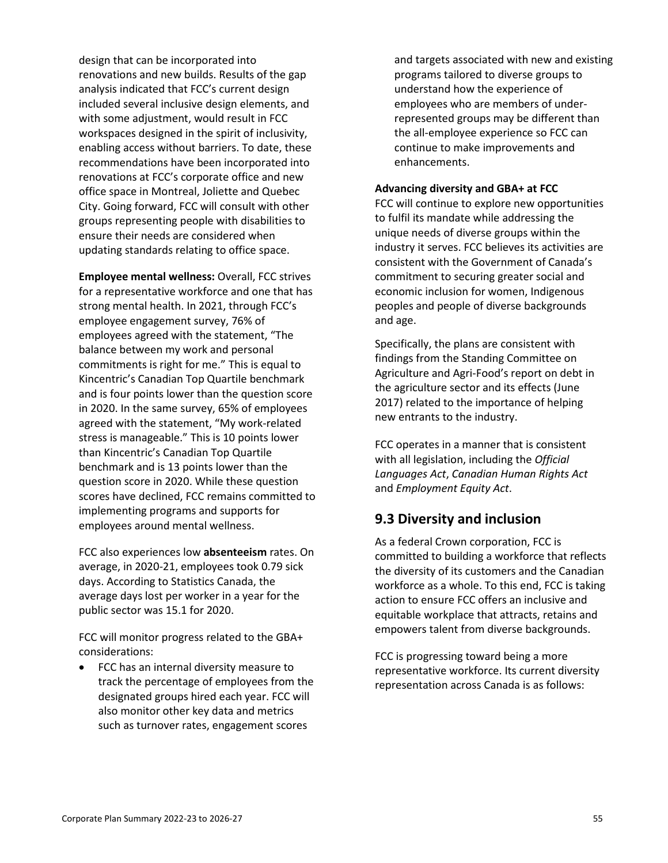design that can be incorporated into renovations and new builds. Results of the gap analysis indicated that FCC's current design included several inclusive design elements, and with some adjustment, would result in FCC workspaces designed in the spirit of inclusivity, enabling access without barriers. To date, these recommendations have been incorporated into renovations at FCC's corporate office and new office space in Montreal, Joliette and Quebec City. Going forward, FCC will consult with other groups representing people with disabilities to ensure their needs are considered when updating standards relating to office space.

**Employee mental wellness:** Overall, FCC strives for a representative workforce and one that has strong mental health. In 2021, through FCC's employee engagement survey, 76% of employees agreed with the statement, "The balance between my work and personal commitments is right for me." This is equal to Kincentric's Canadian Top Quartile benchmark and is four points lower than the question score in 2020. In the same survey, 65% of employees agreed with the statement, "My work-related stress is manageable." This is 10 points lower than Kincentric's Canadian Top Quartile benchmark and is 13 points lower than the question score in 2020. While these question scores have declined, FCC remains committed to implementing programs and supports for employees around mental wellness.

FCC also experiences low **absenteeism** rates. On average, in 2020-21, employees took 0.79 sick days. According to Statistics Canada, the average days lost per worker in a year for the public sector was 15.1 for 2020.

FCC will monitor progress related to the GBA+ considerations:

• FCC has an internal diversity measure to track the percentage of employees from the designated groups hired each year. FCC will also monitor other key data and metrics such as turnover rates, engagement scores

and targets associated with new and existing programs tailored to diverse groups to understand how the experience of employees who are members of underrepresented groups may be different than the all-employee experience so FCC can continue to make improvements and enhancements.

#### **Advancing diversity and GBA+ at FCC**

FCC will continue to explore new opportunities to fulfil its mandate while addressing the unique needs of diverse groups within the industry it serves. FCC believes its activities are consistent with the Government of Canada's commitment to securing greater social and economic inclusion for women, Indigenous peoples and people of diverse backgrounds and age.

Specifically, the plans are consistent with findings from the Standing Committee on Agriculture and Agri-Food's report on debt in the agriculture sector and its effects (June 2017) related to the importance of helping new entrants to the industry.

FCC operates in a manner that is consistent with all legislation, including the *Official Languages Act*, *Canadian Human Rights Act*  and *Employment Equity Act*.

## **9.3 Diversity and inclusion**

As a federal Crown corporation, FCC is committed to building a workforce that reflects the diversity of its customers and the Canadian workforce as a whole. To this end, FCC is taking action to ensure FCC offers an inclusive and equitable workplace that attracts, retains and empowers talent from diverse backgrounds.

FCC is progressing toward being a more representative workforce. Its current diversity representation across Canada is as follows: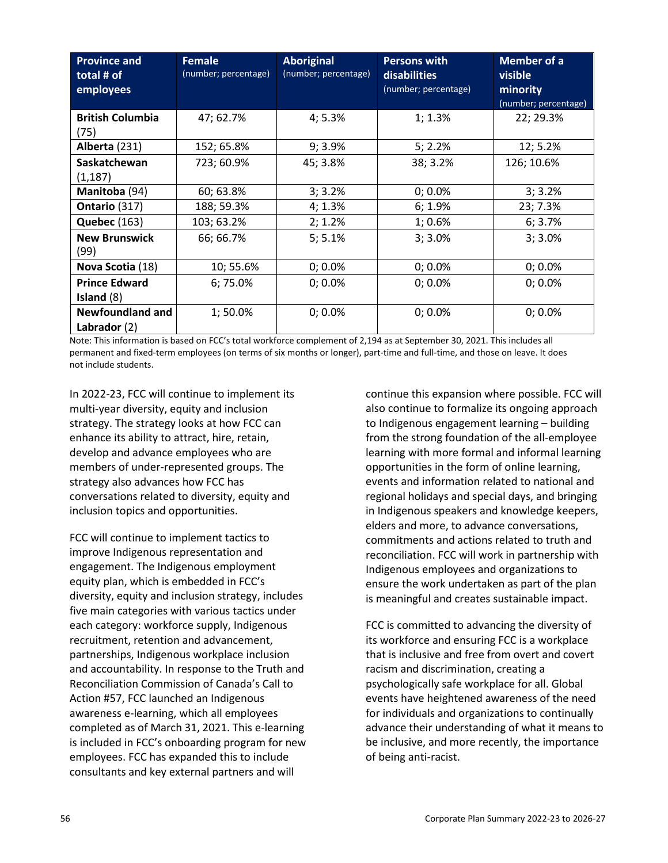| <b>Province and</b><br>total # of<br>employees | <b>Female</b><br>(number; percentage) | <b>Aboriginal</b><br>(number; percentage) | <b>Persons with</b><br>disabilities<br>(number; percentage) | <b>Member of a</b><br>visible<br>minority<br>(number; percentage) |
|------------------------------------------------|---------------------------------------|-------------------------------------------|-------------------------------------------------------------|-------------------------------------------------------------------|
| <b>British Columbia</b><br>(75)                | 47; 62.7%                             | 4; 5.3%                                   | 1; 1.3%                                                     | 22; 29.3%                                                         |
| Alberta (231)                                  | 152; 65.8%                            | 9; 3.9%                                   | 5; 2.2%                                                     | 12; 5.2%                                                          |
| <b>Saskatchewan</b><br>(1, 187)                | 723; 60.9%                            | 45; 3.8%                                  | 38; 3.2%                                                    | 126; 10.6%                                                        |
| Manitoba (94)                                  | 60; 63.8%                             | 3; 3.2%                                   | 0; 0.0%                                                     | 3; 3.2%                                                           |
| Ontario (317)                                  | 188; 59.3%                            | 4; 1.3%                                   | 6; 1.9%                                                     | 23; 7.3%                                                          |
| <b>Quebec (163)</b>                            | 103; 63.2%                            | 2; 1.2%                                   | 1;0.6%                                                      | 6; 3.7%                                                           |
| <b>New Brunswick</b><br>(99)                   | 66; 66.7%                             | 5; 5.1%                                   | 3; 3.0%                                                     | 3; 3.0%                                                           |
| Nova Scotia (18)                               | 10; 55.6%                             | 0; 0.0%                                   | 0; 0.0%                                                     | 0; 0.0%                                                           |
| <b>Prince Edward</b><br>Island $(8)$           | 6; 75.0%                              | 0; 0.0%                                   | 0; 0.0%                                                     | 0; 0.0%                                                           |
| <b>Newfoundland and</b><br>Labrador $(2)$      | 1;50.0%                               | 0; 0.0%                                   | 0; 0.0%                                                     | 0; 0.0%                                                           |

Note: This information is based on FCC's total workforce complement of 2,194 as at September 30, 2021. This includes all permanent and fixed-term employees (on terms of six months or longer), part-time and full-time, and those on leave. It does not include students.

In 2022-23, FCC will continue to implement its multi-year diversity, equity and inclusion strategy. The strategy looks at how FCC can enhance its ability to attract, hire, retain, develop and advance employees who are members of under-represented groups. The strategy also advances how FCC has conversations related to diversity, equity and inclusion topics and opportunities.

FCC will continue to implement tactics to improve Indigenous representation and engagement. The Indigenous employment equity plan, which is embedded in FCC's diversity, equity and inclusion strategy, includes five main categories with various tactics under each category: workforce supply, Indigenous recruitment, retention and advancement, partnerships, Indigenous workplace inclusion and accountability. In response to the Truth and Reconciliation Commission of Canada's Call to Action #57, FCC launched an Indigenous awareness e-learning, which all employees completed as of March 31, 2021. This e-learning is included in FCC's onboarding program for new employees. FCC has expanded this to include consultants and key external partners and will

continue this expansion where possible. FCC will also continue to formalize its ongoing approach to Indigenous engagement learning – building from the strong foundation of the all-employee learning with more formal and informal learning opportunities in the form of online learning, events and information related to national and regional holidays and special days, and bringing in Indigenous speakers and knowledge keepers, elders and more, to advance conversations, commitments and actions related to truth and reconciliation. FCC will work in partnership with Indigenous employees and organizations to ensure the work undertaken as part of the plan is meaningful and creates sustainable impact.

FCC is committed to advancing the diversity of its workforce and ensuring FCC is a workplace that is inclusive and free from overt and covert racism and discrimination, creating a psychologically safe workplace for all. Global events have heightened awareness of the need for individuals and organizations to continually advance their understanding of what it means to be inclusive, and more recently, the importance of being anti-racist.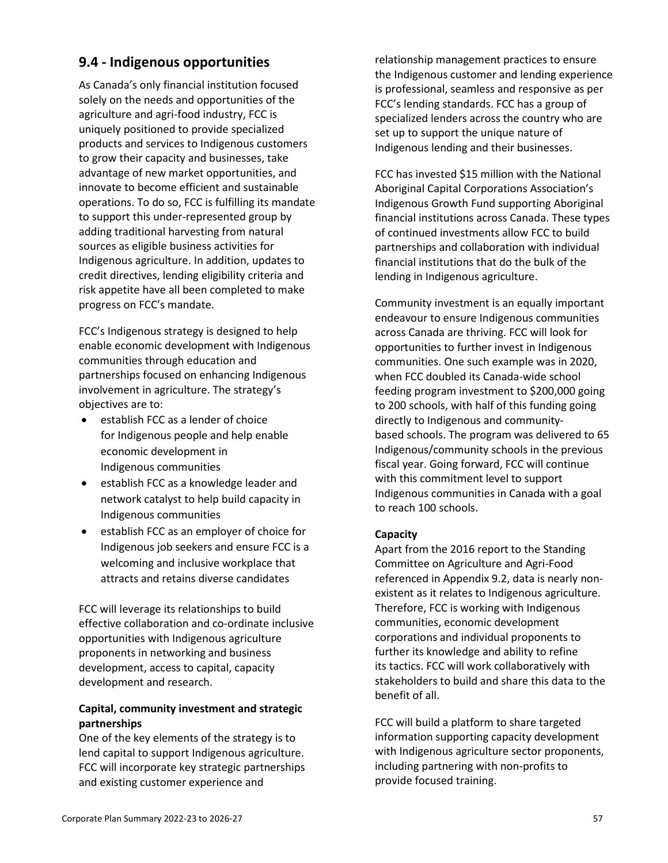## **9.4 - Indigenous opportunities**

As Canada's only financial institution focused solely on the needs and opportunities of the agriculture and agri-food industry, FCC is uniquely positioned to provide specialized products and services to Indigenous customers to grow their capacity and businesses, take advantage of new market opportunities, and innovate to become efficient and sustainable operations. To do so, FCC is fulfilling its mandate to support this under-represented group by adding traditional harvesting from natural sources as eligible business activities for Indigenous agriculture. In addition, updates to credit directives, lending eligibility criteria and risk appetite have all been completed to make progress on FCC's mandate.

FCC's Indigenous strategy is designed to help enable economic development with Indigenous communities through education and partnerships focused on enhancing Indigenous involvement in agriculture. The strategy's objectives are to: 

- establish FCC as a lender of choice for Indigenous people and help enable economic development in Indigenous communities
- establish FCC as a knowledge leader and network catalyst to help build capacity in Indigenous communities
- establish FCC as an employer of choice for Indigenous job seekers and ensure FCC is a welcoming and inclusive workplace that attracts and retains diverse candidates

FCC will leverage its relationships to build effective collaboration and co-ordinate inclusive opportunities with Indigenous agriculture proponents in networking and business development, access to capital, capacity development and research.

## **Capital, community investment and strategic partnerships**

One of the key elements of the strategy is to lend capital to support Indigenous agriculture. FCC will incorporate key strategic partnerships and existing customer experience and

relationship management practices to ensure the Indigenous customer and lending experience is professional, seamless and responsive as per FCC's lending standards. FCC has a group of specialized lenders across the country who are set up to support the unique nature of Indigenous lending and their businesses.

FCC has invested \$15 million with the National Aboriginal Capital Corporations Association's Indigenous Growth Fund supporting Aboriginal financial institutions across Canada. These types of continued investments allow FCC to build partnerships and collaboration with individual financial institutions that do the bulk of the lending in Indigenous agriculture.

Community investment is an equally important endeavour to ensure Indigenous communities across Canada are thriving. FCC will look for opportunities to further invest in Indigenous communities. One such example was in 2020, when FCC doubled its Canada-wide school feeding program investment to \$200,000 going to 200 schools, with half of this funding going directly to Indigenous and communitybased schools. The program was delivered to 65 Indigenous/community schools in the previous fiscal year. Going forward, FCC will continue with this commitment level to support Indigenous communities in Canada with a goal to reach 100 schools.

#### **Capacity**

Apart from the 2016 report to the Standing Committee on Agriculture and Agri-Food referenced in Appendix 9.2, data is nearly nonexistent as it relates to Indigenous agriculture. Therefore, FCC is working with Indigenous communities, economic development corporations and individual proponents to further its knowledge and ability to refine its tactics. FCC will work collaboratively with stakeholders to build and share this data to the benefit of all.

FCC will build a platform to share targeted information supporting capacity development with Indigenous agriculture sector proponents, including partnering with non-profits to provide focused training.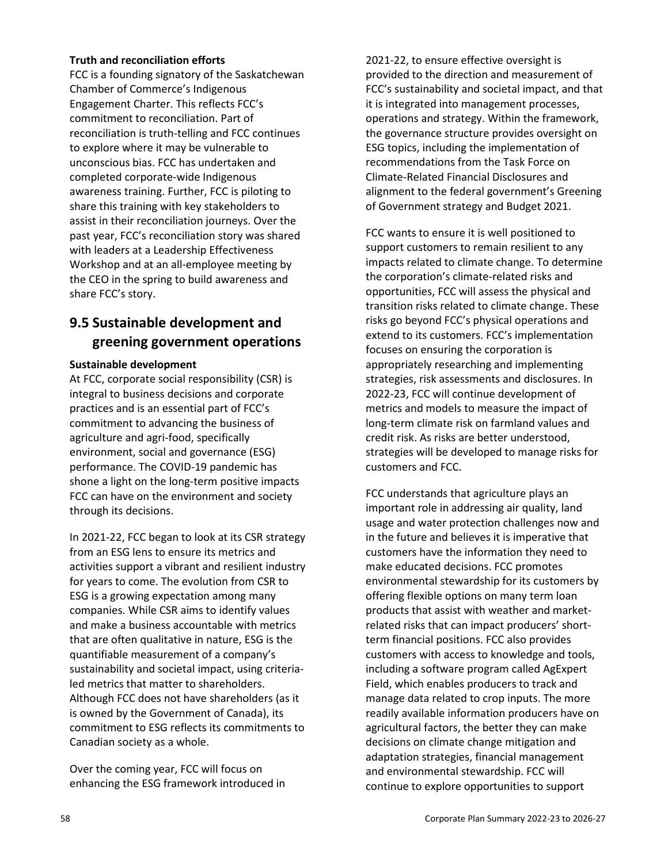#### **Truth and reconciliation efforts**

FCC is a founding signatory of the Saskatchewan Chamber of Commerce's Indigenous Engagement Charter. This reflects FCC's commitment to reconciliation. Part of reconciliation is truth-telling and FCC continues to explore where it may be vulnerable to unconscious bias. FCC has undertaken and completed corporate-wide Indigenous awareness training. Further, FCC is piloting to share this training with key stakeholders to assist in their reconciliation journeys. Over the past year, FCC's reconciliation story was shared with leaders at a Leadership Effectiveness Workshop and at an all-employee meeting by the CEO in the spring to build awareness and share FCC's story.

## **9.5 Sustainable development and greening government operations**

#### **Sustainable development**

At FCC, corporate social responsibility (CSR) is integral to business decisions and corporate practices and is an essential part of FCC's commitment to advancing the business of agriculture and agri-food, specifically environment, social and governance (ESG) performance. The COVID-19 pandemic has shone a light on the long-term positive impacts FCC can have on the environment and society through its decisions.

In 2021-22, FCC began to look at its CSR strategy from an ESG lens to ensure its metrics and activities support a vibrant and resilient industry for years to come. The evolution from CSR to ESG is a growing expectation among many companies. While CSR aims to identify values and make a business accountable with metrics that are often qualitative in nature, ESG is the quantifiable measurement of a company's sustainability and societal impact, using criterialed metrics that matter to shareholders. Although FCC does not have shareholders (as it is owned by the Government of Canada), its commitment to ESG reflects its commitments to Canadian society as a whole.

Over the coming year, FCC will focus on enhancing the ESG framework introduced in 2021-22, to ensure effective oversight is provided to the direction and measurement of FCC's sustainability and societal impact, and that it is integrated into management processes, operations and strategy. Within the framework, the governance structure provides oversight on ESG topics, including the implementation of recommendations from the Task Force on Climate-Related Financial Disclosures and alignment to the federal government's Greening of Government strategy and Budget 2021.

FCC wants to ensure it is well positioned to support customers to remain resilient to any impacts related to climate change. To determine the corporation's climate-related risks and opportunities, FCC will assess the physical and transition risks related to climate change. These risks go beyond FCC's physical operations and extend to its customers. FCC's implementation focuses on ensuring the corporation is appropriately researching and implementing strategies, risk assessments and disclosures. In 2022-23, FCC will continue development of metrics and models to measure the impact of long-term climate risk on farmland values and credit risk. As risks are better understood, strategies will be developed to manage risks for customers and FCC.

FCC understands that agriculture plays an important role in addressing air quality, land usage and water protection challenges now and in the future and believes it is imperative that customers have the information they need to make educated decisions. FCC promotes environmental stewardship for its customers by offering flexible options on many term loan products that assist with weather and marketrelated risks that can impact producers' shortterm financial positions. FCC also provides customers with access to knowledge and tools, including a software program called AgExpert Field, which enables producers to track and manage data related to crop inputs. The more readily available information producers have on agricultural factors, the better they can make decisions on climate change mitigation and adaptation strategies, financial management and environmental stewardship. FCC will continue to explore opportunities to support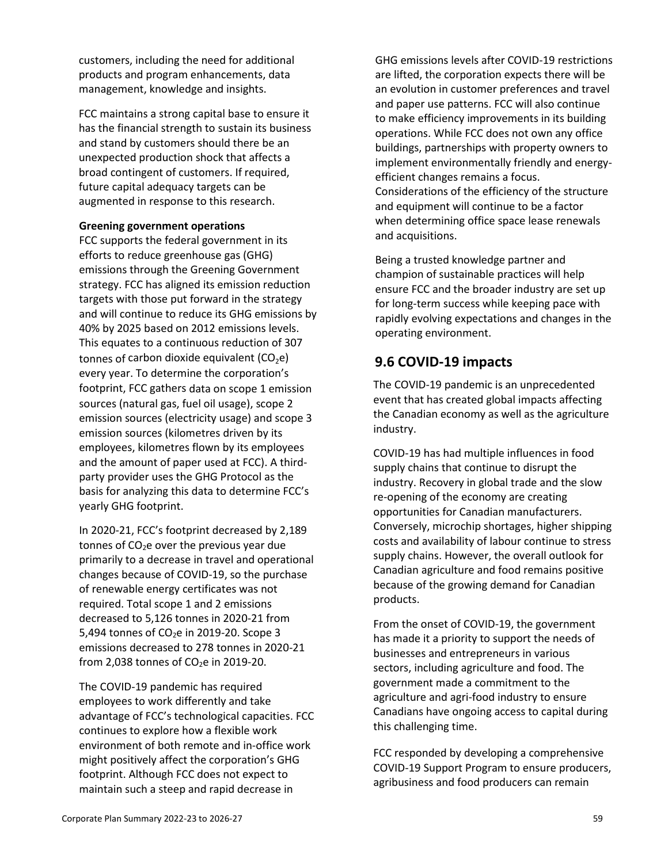customers, including the need for additional products and program enhancements, data management, knowledge and insights.

FCC maintains a strong capital base to ensure it has the financial strength to sustain its business and stand by customers should there be an unexpected production shock that affects a broad contingent of customers. If required, future capital adequacy targets can be augmented in response to this research.

#### **Greening government operations**

FCC supports the federal government in its efforts to reduce greenhouse gas (GHG) emissions through the Greening Government strategy. FCC has aligned its emission reduction targets with those put forward in the strategy and will continue to reduce its GHG emissions by 40% by 2025 based on 2012 emissions levels. This equates to a continuous reduction of 307 tonnes of carbon dioxide equivalent  $(CO<sub>2</sub>e)$ every year. To determine the corporation's footprint, FCC gathers data on scope 1 emission sources (natural gas, fuel oil usage), scope 2 emission sources (electricity usage) and scope 3 emission sources (kilometres driven by its employees, kilometres flown by its employees and the amount of paper used at FCC). A thirdparty provider uses the GHG Protocol as the basis for analyzing this data to determine FCC's yearly GHG footprint.

In 2020-21, FCC's footprint decreased by 2,189 tonnes of CO<sub>2</sub>e over the previous year due primarily to a decrease in travel and operational changes because of COVID-19, so the purchase of renewable energy certificates was not required. Total scope 1 and 2 emissions decreased to 5,126 tonnes in 2020-21 from 5.494 tonnes of  $CO<sub>2</sub>e$  in 2019-20. Scope 3 emissions decreased to 278 tonnes in 2020-21 from 2,038 tonnes of  $CO<sub>2</sub>e$  in 2019-20.

The COVID-19 pandemic has required employees to work differently and take advantage of FCC's technological capacities. FCC continues to explore how a flexible work environment of both remote and in-office work might positively affect the corporation's GHG footprint. Although FCC does not expect to maintain such a steep and rapid decrease in

GHG emissions levels after COVID-19 restrictions are lifted, the corporation expects there will be an evolution in customer preferences and travel and paper use patterns. FCC will also continue to make efficiency improvements in its building operations. While FCC does not own any office buildings, partnerships with property owners to implement environmentally friendly and energyefficient changes remains a focus. Considerations of the efficiency of the structure and equipment will continue to be a factor when determining office space lease renewals and acquisitions.

Being a trusted knowledge partner and champion of sustainable practices will help ensure FCC and the broader industry are set up for long-term success while keeping pace with rapidly evolving expectations and changes in the operating environment.

## **9.6 COVID-19 impacts**

The COVID-19 pandemic is an unprecedented event that has created global impacts affecting the Canadian economy as well as the agriculture industry.

COVID-19 has had multiple influences in food supply chains that continue to disrupt the industry. Recovery in global trade and the slow re-opening of the economy are creating opportunities for Canadian manufacturers. Conversely, microchip shortages, higher shipping costs and availability of labour continue to stress supply chains. However, the overall outlook for Canadian agriculture and food remains positive because of the growing demand for Canadian products.

From the onset of COVID-19, the government has made it a priority to support the needs of businesses and entrepreneurs in various sectors, including agriculture and food. The government made a commitment to the agriculture and agri-food industry to ensure Canadians have ongoing access to capital during this challenging time.

FCC responded by developing a comprehensive COVID-19 Support Program to ensure producers, agribusiness and food producers can remain